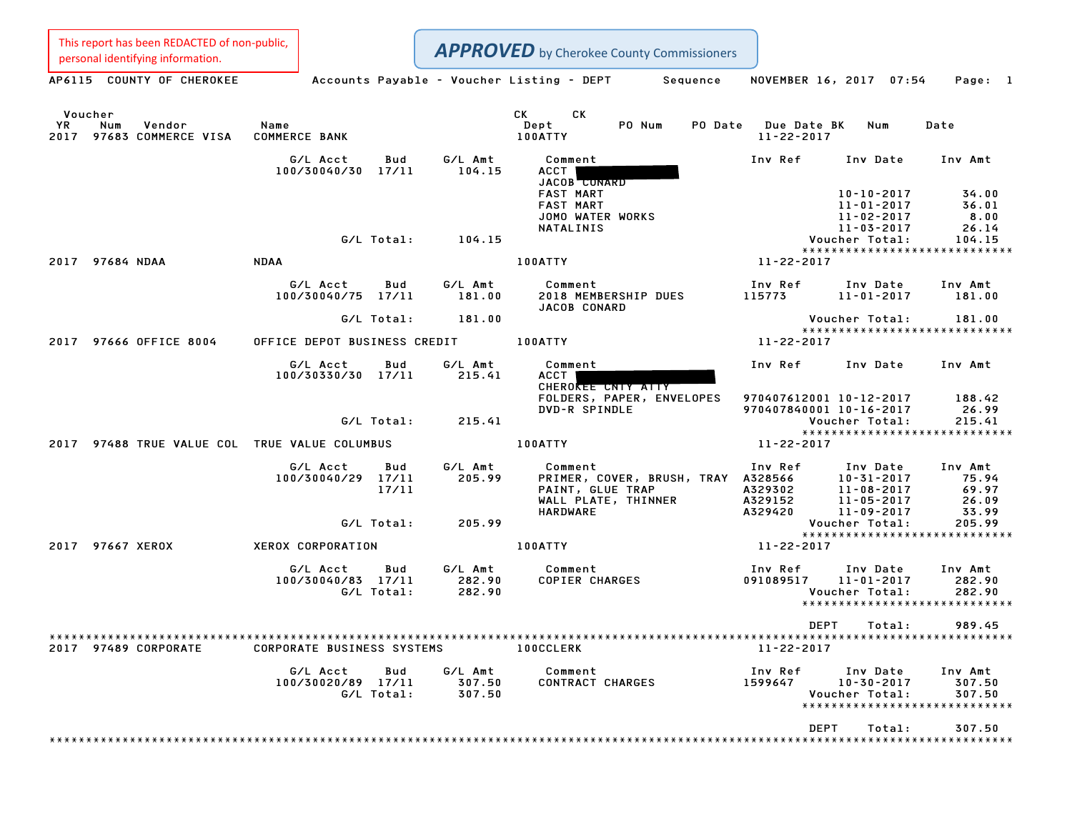This report has been REDACTED of non-public,<br>personal identifying information.

| This report has been nebected or non-public,<br>personal identifying information. |                                                              |                             | <b>APPROVED</b> by Cherokee County Commissioners                                                            |                                                                                                                                                  |                                                               |
|-----------------------------------------------------------------------------------|--------------------------------------------------------------|-----------------------------|-------------------------------------------------------------------------------------------------------------|--------------------------------------------------------------------------------------------------------------------------------------------------|---------------------------------------------------------------|
| AP6115 COUNTY OF CHEROKEE                                                         |                                                              |                             | Accounts Payable – Voucher Listing – DEPT<br>Sequence                                                       | NOVEMBER 16, 2017 07:54                                                                                                                          | Page: 1                                                       |
| Voucher<br>YR<br>Num<br>Vendor<br>2017 97683 COMMERCE VISA                        | Name<br><b>COMMERCE BANK</b>                                 |                             | CK<br><b>CK</b><br>Dept<br>PO Num<br>100ATTY                                                                | PO Date Due Date BK<br>Num<br>11-22-2017                                                                                                         | Date                                                          |
|                                                                                   | G/L Acct<br>Bud<br>100/30040/30 17/11                        | G/L Amt<br>104.15           | Comment<br>ACCT<br>JACOB CONARD<br><b>FAST MART</b><br><b>FAST MART</b><br>JOMO WATER WORKS                 | Inv Ref<br>Inv Date<br>$10 - 10 - 2017$<br>$11 - 01 - 2017$<br>$11 - 02 - 2017$                                                                  | Inv Amt<br>34.00<br>36.01<br>8.00                             |
|                                                                                   | G/L Total:                                                   | 104.15                      | NATALINIS                                                                                                   | 11-03-2017<br>Voucher Total:                                                                                                                     | 26.14<br>104.15                                               |
| 2017 97684 NDAA                                                                   | <b>NDAA</b>                                                  |                             | 100ATTY                                                                                                     | *****************************<br>11-22-2017                                                                                                      |                                                               |
|                                                                                   | G/L Acct<br>Bud<br>100/30040/75 17/11                        | G/L Amt<br>181.00           | Comment<br>2018 MEMBERSHIP DUES<br>JACOB CONARD                                                             | Inv Ref<br>Inv Date<br>115773<br>$11 - 01 - 2017$                                                                                                | Inv Amt<br>181.00                                             |
|                                                                                   | G/L Total:                                                   | 181.00                      |                                                                                                             | Voucher Total:<br>*****************************                                                                                                  | 181.00                                                        |
| 2017 97666 OFFICE 8004                                                            | OFFICE DEPOT BUSINESS CREDIT                                 |                             | 100ATTY                                                                                                     | 11-22-2017                                                                                                                                       |                                                               |
|                                                                                   | G/L Acct<br>Bud<br>100/30330/30 17/11                        | G/L Amt<br>215.41           | Comment<br><b>ACCT</b><br>CHEROKEE CNTY ATTY                                                                | Inv Ref<br>Inv Date                                                                                                                              | Inv Amt                                                       |
|                                                                                   | G/L Total:                                                   | 215.41                      | FOLDERS, PAPER, ENVELOPES<br>DVD-R SPINDLE                                                                  | 970407612001 10-12-2017<br>970407840001 10-16-2017<br>Voucher Total:                                                                             | 188.42<br>26.99<br>215.41                                     |
| 2017 97488 TRUE VALUE COL TRUE VALUE COLUMBUS                                     |                                                              |                             | 100ATTY                                                                                                     | ******************************<br>11-22-2017                                                                                                     |                                                               |
|                                                                                   | G/L Acct<br>Bud<br>100/30040/29 17/11<br>17/11<br>G/L Total: | G/L Amt<br>205.99<br>205.99 | Comment<br>PRIMER, COVER, BRUSH, TRAY A328566<br>PAINT, GLUE TRAP<br>WALL PLATE, THINNER<br><b>HARDWARE</b> | Inv Ref<br>Inv Date<br>$10 - 31 - 2017$<br>A329302<br>$11 - 08 - 2017$<br>A329152<br>$11 - 05 - 2017$<br>A329420<br>11-09-2017<br>Voucher Total: | Inv Amt<br>75.94<br>69.97<br>26.09<br>33.99<br>205.99         |
| 2017 97667 XEROX                                                                  | XEROX CORPORATION                                            |                             | 100ATTY                                                                                                     | *****************************<br>11-22-2017                                                                                                      |                                                               |
|                                                                                   | G/L Acct<br>Bud<br>100/30040/83 17/11<br>G/L Total:          | G/L Amt<br>282.90<br>282.90 | Comment<br><b>COPIER CHARGES</b>                                                                            | Inv Ref<br>Inv Date<br>091089517<br>$11 - 01 - 2017$<br>Voucher Total:<br>*****************************                                          | Inv Amt<br>282.90<br>282.90                                   |
|                                                                                   |                                                              |                             |                                                                                                             | <b>DEPT</b><br>Total:                                                                                                                            | 989.45                                                        |
| 2017 97489 CORPORATE                                                              | <b>CORPORATE BUSINESS SYSTEMS</b>                            |                             | <b>100CCLERK</b>                                                                                            | 11-22-2017                                                                                                                                       |                                                               |
|                                                                                   | G/L Acct<br>Bud<br>100/30020/89 17/11<br>G/L Total:          | G/L Amt<br>307.50<br>307.50 | Comment<br>CONTRACT CHARGES                                                                                 | Inv Ref<br>Inv Date<br>1599647<br>$10 - 30 - 2017$<br>Voucher Total:                                                                             | Inv Amt<br>307.50<br>307.50<br>****************************** |
|                                                                                   |                                                              |                             |                                                                                                             | DEPT<br>Total:                                                                                                                                   | 307.50                                                        |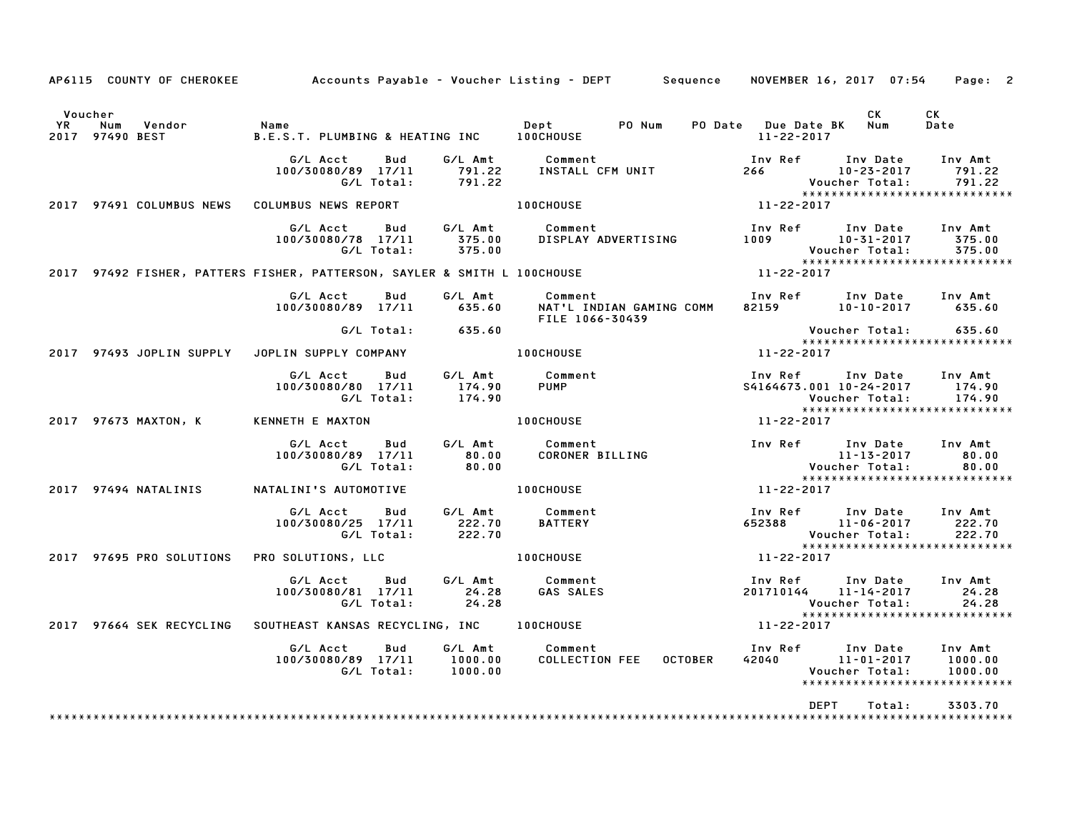|                |     | AP6115 COUNTY OF CHEROKEE |                                                   |                   |                             | Accounts Payable – Voucher Listing – DEPT         Sequence     NOVEMBER 16, 2017  07:54     Page:  2 |                |                                             |                                                                                                |                               |
|----------------|-----|---------------------------|---------------------------------------------------|-------------------|-----------------------------|------------------------------------------------------------------------------------------------------|----------------|---------------------------------------------|------------------------------------------------------------------------------------------------|-------------------------------|
| Voucher<br>YR. | Num | Vendor<br>2017 97490 BEST | Name<br>B.E.S.T. PLUMBING & HEATING INC 100CHOUSE |                   |                             | PO Num<br>Dept                                                                                       |                | PO Date Due Date BK Num<br>$11 - 22 - 2017$ | CK                                                                                             | CK<br>Date                    |
|                |     |                           | G/L Acct<br>100/30080/89 17/11                    | Bud<br>G/L Total: | G∕L Amt<br>791.22<br>791.22 | Comment<br>INSTALL CFM UNIT                                                                          |                | Inv Ref<br>266 — 10                         | Inv Date<br>$10 - 23 - 2017$<br>Voucher Total:                                                 | Inv Amt<br>791.22<br>791.22   |
|                |     | 2017 97491 COLUMBUS NEWS  | COLUMBUS NEWS REPORT                              |                   |                             | <b>100CHOUSE</b>                                                                                     |                | 11-22-2017                                  | *****************************                                                                  |                               |
|                |     |                           | G/L Acct<br>100/30080/78 17/11                    | Bud<br>G/L Total: | G/L Amt<br>375.00<br>375.00 | Comment<br>DISPLAY ADVERTISING                                                                       |                | Inv Ref<br>1009                             | Inv Date<br>$10 - 31 - 2017$<br>Voucher Total:                                                 | Inv Amt<br>375.00<br>375.00   |
|                |     |                           |                                                   |                   |                             | 2017 97492 FISHER, PATTERS FISHER, PATTERSON, SAYLER & SMITH L 100CHOUSE                             |                | 11-22-2017                                  | *****************************                                                                  |                               |
|                |     |                           | G/L Acct<br>100/30080/89 17/11                    | <b>Bud</b>        | G/L Amt<br>635.60           | Comment<br>NAT'L INDIAN GAMING COMM<br>FILE 1066-30439                                               |                | Inv Ref<br>82159                            | Inv Date<br>$10 - 10 - 2017$                                                                   | Inv Amt<br>635.60             |
|                |     |                           |                                                   |                   | G/L Total: 635.60           |                                                                                                      |                |                                             | Voucher Total:<br>*****************************                                                | 635.60                        |
|                |     | 2017 97493 JOPLIN SUPPLY  | JOPLIN SUPPLY COMPANY                             |                   |                             | <b>100CHOUSE</b>                                                                                     |                | 11-22-2017                                  |                                                                                                |                               |
|                |     |                           | G/L Acct<br>100/30080/80 17/11                    | Bud<br>G/L Total: | G/L Amt<br>174.90<br>174.90 | Comment<br><b>PUMP</b>                                                                               |                |                                             | Inv Ref Inv Date<br>S4164673.001 10-24-2017<br>Voucher Total:<br>***************************** | Inv Amt<br>174.90<br>174.90   |
|                |     | 2017 97673 MAXTON, K      | KENNETH E MAXTON                                  |                   |                             | <b>100CHOUSE</b>                                                                                     |                | 11-22-2017                                  |                                                                                                |                               |
|                |     |                           | G/L Acct<br>100/30080/89 17/11                    | Bud<br>G/L Total: | G/L Amt<br>80.00<br>80.00   | Comment<br>CORONER BILLING                                                                           |                |                                             | Inv Ref Inv Date<br>$11 - 13 - 2017$<br>Voucher Total:<br>*****************************        | Inv Amt<br>80.00<br>80.00     |
|                |     | 2017 97494 NATALINIS      | NATALINI'S AUTOMOTIVE                             |                   |                             | <b>100CHOUSE</b>                                                                                     |                | 11-22-2017                                  |                                                                                                |                               |
|                |     |                           | G/L Acct<br>100/30080/25 17/11                    | Bud<br>G/L Total: | G/L Amt<br>222.70<br>222.70 | Comment<br><b>BATTERY</b>                                                                            |                | Inv Ref<br>652388                           | Inv Date<br>$11 - 06 - 2017$<br>Voucher Total:<br>*****************************                | Inv Amt<br>222.70<br>222.70   |
|                |     | 2017 97695 PRO SOLUTIONS  | PRO SOLUTIONS, LLC                                |                   |                             | <b>100CHOUSE</b>                                                                                     |                | 11-22-2017                                  |                                                                                                |                               |
|                |     |                           | G/L Acct<br>100/30080/81 17/11                    | Bud<br>G/L Total: | G/L Amt<br>24.28<br>24.28   | Comment<br><b>GAS SALES</b>                                                                          |                |                                             | Inv Ref Inv Date<br>201710144 11-14-2017<br>Voucher Total:<br>******************************   | Inv Amt<br>24.28<br>24.28     |
|                |     | 2017 97664 SEK RECYCLING  | SOUTHEAST KANSAS RECYCLING, INC 100CHOUSE         |                   |                             |                                                                                                      |                | 11-22-2017                                  |                                                                                                |                               |
|                |     |                           | G/L Acct<br>100/30080/89 17/11                    | Bud<br>G/L Total: | 1000.00<br>1000.00          | G/L Amt Comment<br><b>COLLECTION FEE</b>                                                             | <b>OCTOBER</b> |                                             | Inv Ref      Inv Date<br>42040 11-01-2017<br>Voucher Total:<br>*****************************   | Inv Amt<br>1000.00<br>1000.00 |
|                |     |                           |                                                   |                   |                             |                                                                                                      |                |                                             | <b>DEPT</b><br>Total:                                                                          | 3303.70                       |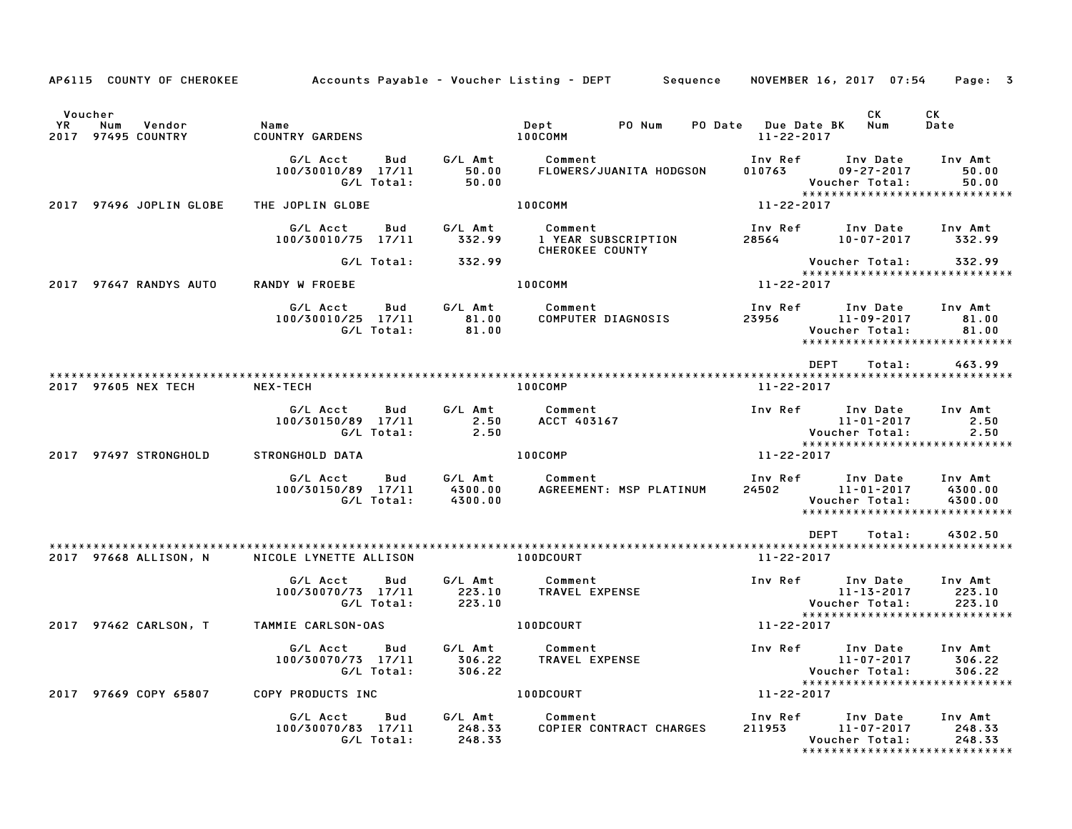| AP6115 COUNTY OF CHEROKEE                                |                                                     |                               | Accounts Payable – Voucher Listing – DEPT        Sequence |                                         | NOVEMBER 16, 2017 07:54                                                   | Page: 3                       |
|----------------------------------------------------------|-----------------------------------------------------|-------------------------------|-----------------------------------------------------------|-----------------------------------------|---------------------------------------------------------------------------|-------------------------------|
| Voucher<br>YR.<br>Num<br>Vendor<br>97495 COUNTRY<br>2017 | Name<br><b>COUNTRY GARDENS</b>                      |                               | PO Num<br>Dept<br>100COMM                                 | PO Date Due Date BK<br>$11 - 22 - 2017$ | СK<br><b>Num</b>                                                          | CK<br>Date                    |
|                                                          | G/L Acct<br>Bud<br>100/30010/89 17/11<br>G/L Total: | G/L Amt<br>50.00<br>50.00     | Comment<br>FLOWERS/JUANITA HODGSON                        | Inv Ref<br>010763                       | Inv Date<br>$09 - 27 - 2017$<br><b>Voucher Total:</b>                     | Inv Amt<br>50.00<br>50.00     |
| 2017 97496 JOPLIN GLOBE                                  | THE JOPLIN GLOBE                                    |                               | 100COMM                                                   | 11-22-2017                              | *****************************                                             |                               |
|                                                          | G/L Acct<br>Bud<br>100/30010/75 17/11               | G/L Amt<br>332.99             | Comment<br>1 YEAR SUBSCRIPTION<br><b>CHEROKEE COUNTY</b>  | Inv Ref<br>28564                        | Inv Date<br>10-07-2017                                                    | Inv Amt<br>332.99             |
|                                                          | G/L Total:                                          | 332.99                        |                                                           |                                         | Voucher Total:<br>*****************************                           | 332.99                        |
| 2017 97647 RANDYS AUTO                                   | RANDY W FROEBE                                      |                               | 100COMM                                                   | 11-22-2017                              |                                                                           |                               |
|                                                          | G/L Acct<br>Bud<br>100/30010/25 17/11<br>G/L Total: | G/L Amt<br>81.00<br>81.00     | Comment<br>COMPUTER DIAGNOSIS                             | Inv Ref<br>23956                        | Inv Date<br>11-09-2017<br>Voucher Total:<br>***************************** | Inv Amt<br>81.00<br>81.00     |
|                                                          |                                                     |                               |                                                           |                                         | <b>DEPT</b><br>Total:                                                     | 463.99                        |
| 2017 97605 NEX TECH                                      | NEX-TECH                                            |                               | 100COMP                                                   | 11-22-2017                              |                                                                           |                               |
|                                                          | G/L Acct<br>Bud<br>100/30150/89 17/11<br>G/L Total: | G/L Amt<br>2.50<br>2.50       | Comment<br>ACCT 403167                                    | Inv Ref                                 | Inv Date<br>11-01-2017<br>Voucher Total:                                  | Inv Amt<br>2.50<br>2.50       |
| 2017 97497 STRONGHOLD                                    | STRONGHOLD DATA                                     |                               | 100COMP                                                   | 11-22-2017                              | *****************************                                             |                               |
|                                                          | G/L Acct<br>Bud<br>100/30150/89 17/11<br>G/L Total: | G/L Amt<br>4300.00<br>4300.00 | Comment<br>AGREEMENT: MSP PLATINUM                        | Inv Ref<br>24502                        | Inv Date<br>11-01-2017<br>Voucher Total:<br>***************************** | Inv Amt<br>4300.00<br>4300.00 |
|                                                          |                                                     |                               |                                                           |                                         | <b>DEPT</b><br>Total:                                                     | 4302.50                       |
| 2017 97668 ALLISON, N                                    | NICOLE LYNETTE ALLISON                              |                               | 100DCOURT                                                 | 11-22-2017                              |                                                                           |                               |
|                                                          | G/L Acct<br>Bud<br>100/30070/73 17/11<br>G/L Total: | G/L Amt<br>223.10<br>223.10   | Comment<br>TRAVEL EXPENSE                                 | Inv Ref                                 | Inv Date<br>11-13-2017<br>Voucher Total:                                  | Inv Amt<br>223.10<br>223.10   |
| 2017 97462 CARLSON, T                                    | TAMMIE CARLSON-OAS                                  |                               | 100DCOURT                                                 | 11-22-2017                              | *****************************                                             |                               |
|                                                          | G/L Acct<br>Bud<br>100/30070/73 17/11<br>G/L Total: | G/L Amt<br>306.22<br>306.22   | Comment<br>TRAVEL EXPENSE                                 | Inv Ref                                 | Inv Date<br>11-07-2017<br>Voucher Total:                                  | Inv Amt<br>306.22<br>306.22   |
| 2017 97669 COPY 65807                                    | COPY PRODUCTS INC                                   |                               | 100DCOURT                                                 | $11 - 22 - 2017$                        | *****************************                                             |                               |
|                                                          | G/L Acct<br>Bud<br>100/30070/83 17/11<br>G/L Total: | G/L Amt<br>248.33<br>248.33   | Comment<br>COPIER CONTRACT CHARGES                        | Inv Ref<br>211953                       | Inv Date<br>11-07-2017<br>Voucher Total:<br>***************************** | Inv Amt<br>248.33<br>248.33   |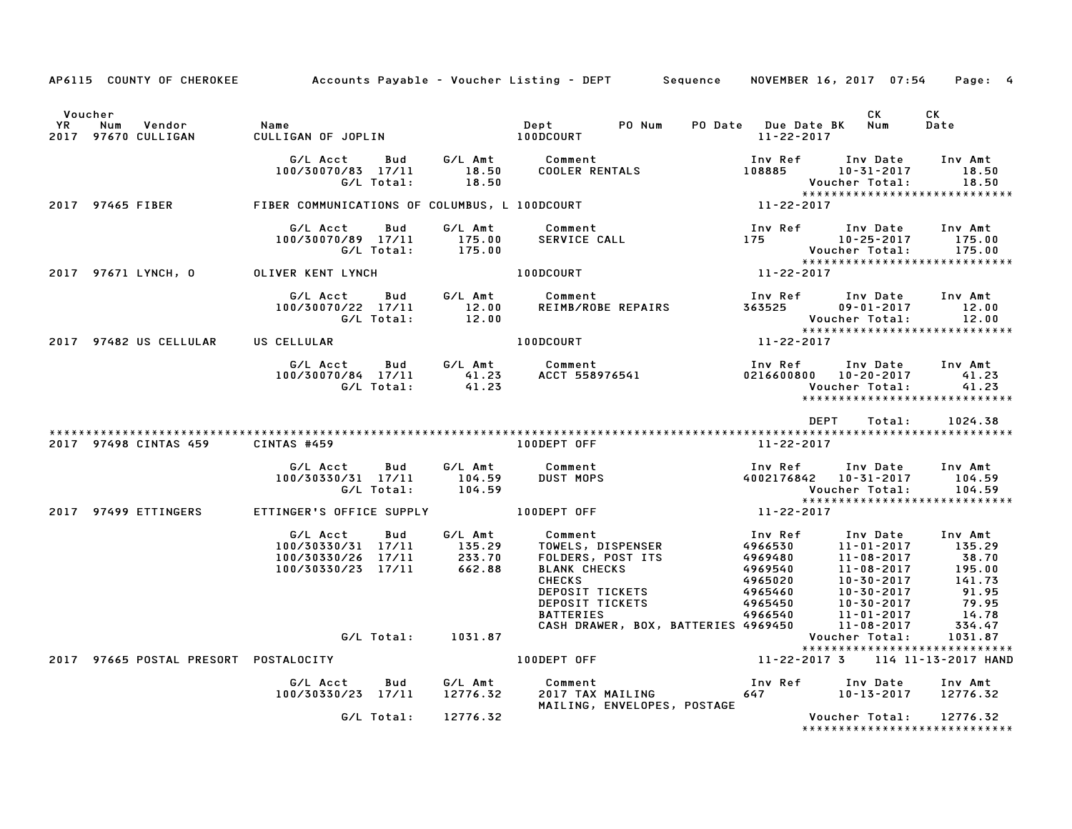|         |                                                      |                                       | AP6115 COUNTY OF CHEROKEE Accounts Payable - Voucher Listing - DEPT Sequence NOVEMBER 16, 2017 07:54 Page: 4                                                                                                                            |             |        |                                           |
|---------|------------------------------------------------------|---------------------------------------|-----------------------------------------------------------------------------------------------------------------------------------------------------------------------------------------------------------------------------------------|-------------|--------|-------------------------------------------|
| Voucher | است، السابر<br>2017 97670 CULLIGAN CULLIGAN CULLIGAN |                                       |                                                                                                                                                                                                                                         |             | CK L   | CK<br>Date                                |
|         |                                                      |                                       | G/L Acct Bud G/L Amt Comment Inv Ref Inv Date Inv Amt<br>100/30070/83 17/11 18.50 COOLER RENTALS 108885 10-31-2017 18.50<br>G/L Total: 18.50 18.50 Voucher Total: 18.50<br>2017 97465 FIBER : FIBER COMMUNICATIONS OF COLUMBUS, L 100DC |             |        |                                           |
|         |                                                      |                                       |                                                                                                                                                                                                                                         |             |        |                                           |
|         |                                                      |                                       | G/L Acct Bud G/L Amt Comment Inv Ref Inv Date Inv Amt<br>100/30070/89 17/11 175.00 SERVICE CALL 175 175 10-25-2017 175.00<br>G/L Total: 175.00 175.00 Voucher Total: 175.00<br>2017 97671 LYNCH,0 OLIVER KENT LYNCH 100DCOURT 11-22-201 |             |        |                                           |
|         |                                                      |                                       |                                                                                                                                                                                                                                         |             |        |                                           |
|         |                                                      |                                       | G/L Acct Bud G/L Amt Comment Inv Ref Inv Date Inv Amt<br>100/30070/22 17/11 12.00 REIMB/ROBE REPAIRS 363525 09-01-2017 12.00<br>G/L Total: 12.00 100DCOURT 11-22-2017 12.00<br>2017 97482 USCELLULAR USCELLULAR 100DCOURT 11-22-2017    |             |        |                                           |
|         |                                                      |                                       |                                                                                                                                                                                                                                         |             |        |                                           |
|         |                                                      |                                       | G/L Acct Bud G/L Amt Comment Inv Ref Inv Date Inv Amt Inv 2016/19/84 17/11 41.23<br>100/30070/84 17/11 41.23 ACCT 558976541 0216600800 10–20–2017 41.23<br>6/L Total: 41.23 ACCT 558976541 Voucher Total: 41.23                         |             |        |                                           |
|         |                                                      |                                       |                                                                                                                                                                                                                                         | <b>DEPT</b> | Total: | 1024.38                                   |
|         |                                                      |                                       | 2017 97498 CINTAS 459 CINTAS #459 2017 100DEPT OFF 22-2017                                                                                                                                                                              |             |        |                                           |
|         |                                                      |                                       | G/L Acct Bud G/L Amt Comment Inv Ref Inv Date Inv Amt<br>100/30330/31 17/11 104.59 DUST MOPS 4002176842 10-31-2017 104.59<br>G/L Total: 104.59 Voucher Total: 104.59<br>2017 97499 ETTINGER'S OFFICE SUPPLY 100DEPT OFF 11-22-2017      |             |        |                                           |
|         |                                                      |                                       |                                                                                                                                                                                                                                         |             |        |                                           |
|         |                                                      |                                       | 6/L Acct Bud G/L Amt Comment Inv Ref Inv Date Inv Amt<br>10/30330/26 17/11 233.70 FOLDERS, POST ITS 4966530 11-01-2017 135.29<br>100/30330/26 17/11 662.88 BLANK CHECKS 4969480 11-08-2017 38.70<br>233.70 EDLDERS, POST ITS 4969480    |             |        |                                           |
|         |                                                      |                                       |                                                                                                                                                                                                                                         |             |        |                                           |
|         |                                                      | 2017 97665 POSTAL PRESORT POSTALOCITY | 100DEPT OFF 11-22-2017 3 114 11-13-2017 HAND                                                                                                                                                                                            |             |        | *****************************             |
|         |                                                      |                                       | G/L Acct Bud G/L Amt Comment Inv Ref Inv Date Inv Amt<br>100/30330/23 17/11 12776.32 2017 TAX MAILING 647 10–13–2017 12776.32                                                                                                           |             |        |                                           |
|         |                                                      | G/L Total: 12776.32                   | 2017 TAX MAILING<br>MAILING, ENVELOPES, POSTAGE<br>Voucher Total:                                                                                                                                                                       |             |        | 12776.32<br>***************************** |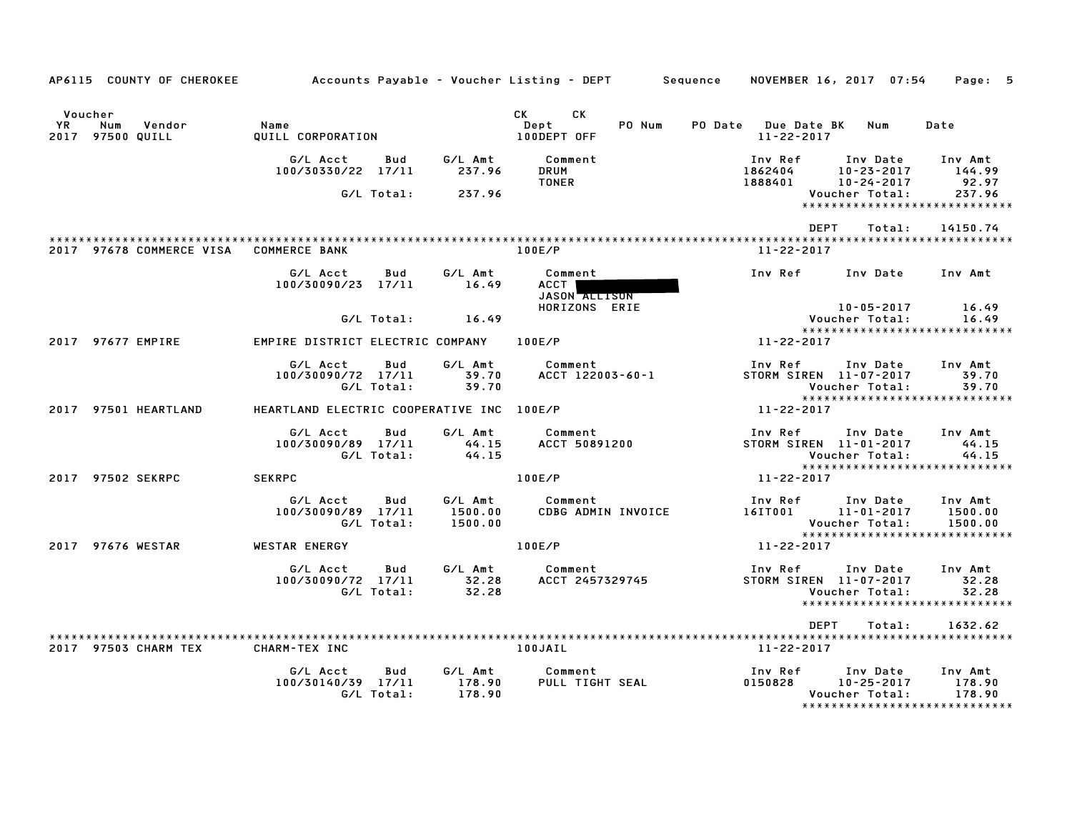| AP6115 COUNTY OF CHEROKEE                           |                                                     |                               | Accounts Payable – Voucher Listing – DEPT         Sequence | NOVEMBER 16, 2017 07:54                 |                                                | Page: 5                                                         |
|-----------------------------------------------------|-----------------------------------------------------|-------------------------------|------------------------------------------------------------|-----------------------------------------|------------------------------------------------|-----------------------------------------------------------------|
| Voucher<br>YR.<br>Vendor<br>Num<br>2017 97500 QUILL | Name<br>QUILL CORPORATION                           |                               | <b>CK</b><br><b>CK</b><br>Dept<br>PO Num<br>100DEPT OFF    | PO Date Due Date BK<br>$11 - 22 - 2017$ | Num                                            | Date                                                            |
|                                                     | G/L Acct<br>Bud<br>100/30330/22 17/11               | G/L Amt<br>237.96             | Comment<br><b>DRUM</b><br><b>TONER</b>                     | Inv Ref<br>1862404<br>1888401           | Inv Date<br>$10 - 23 - 2017$<br>10-24-2017     | Inv Amt<br>144.99<br>92.97                                      |
|                                                     | G/L Total:                                          | 237.96                        |                                                            |                                         | Voucher Total:                                 | 237.96<br>******************************                        |
| 2017 97678 COMMERCE VISA                            | <b>COMMERCE BANK</b>                                |                               | 100E/P                                                     | <b>DEPT</b><br>$11 - 22 - 2017$         | Total:                                         | 14150.74                                                        |
|                                                     | G/L Acct<br>Bud<br>100/30090/23 17/11               | G/L Amt<br>16.49              | Comment<br><b>ACCT</b><br>JASON ALLISON                    | Inv Ref                                 | Inv Date                                       | Inv Amt                                                         |
|                                                     | G/L Total:                                          | 16.49                         | HORIZONS ERIE                                              |                                         | 10-05-2017<br>Voucher Total:                   | 16.49<br>16.49<br>*****************************                 |
| 2017 97677 EMPIRE                                   | EMPIRE DISTRICT ELECTRIC COMPANY                    |                               | 100E/P                                                     | 11-22-2017                              |                                                |                                                                 |
|                                                     | G/L Acct<br>Bud<br>100/30090/72 17/11<br>G/L Total: | G/L Amt<br>39.70<br>39.70     | Comment<br>ACCT 122003-60-1                                | Inv Ref<br>STORM SIREN 11-07-2017       | Inv Date<br>Voucher Total:                     | Inv Amt<br>39.70<br>39.70<br>******************************     |
| 2017 97501 HEARTLAND                                | HEARTLAND ELECTRIC COOPERATIVE INC 100E/P           |                               |                                                            | 11-22-2017                              |                                                |                                                                 |
|                                                     | G/L Acct<br>Bud<br>100/30090/89 17/11<br>G/L Total: | G/L Amt<br>44.15<br>44.15     | Comment<br><b>ACCT 50891200</b>                            | Inv Ref<br>STORM SIREN 11-01-2017       | Inv Date<br>Voucher Total:                     | Inv Amt<br>44.15<br>44.15<br>*****************************      |
| 2017 97502 SEKRPC                                   | <b>SEKRPC</b>                                       |                               | 100E/P                                                     | 11-22-2017                              |                                                |                                                                 |
|                                                     | G/L Acct<br>Bud<br>100/30090/89 17/11<br>G/L Total: | G/L Amt<br>1500.00<br>1500.00 | Comment<br>CDBG ADMIN INVOICE                              | Inv Ref<br>16IT001                      | Inv Date<br>$11 - 01 - 2017$<br>Voucher Total: | Inv Amt<br>1500.00<br>1500.00<br>*****************************  |
| 2017 97676 WESTAR                                   | <b>WESTAR ENERGY</b>                                |                               | 100E/P                                                     | 11-22-2017                              |                                                |                                                                 |
|                                                     | G/L Acct<br>Bud<br>100/30090/72 17/11<br>G/L Total: | G/L Amt<br>32.28<br>32.28     | Comment<br>ACCT 2457329745                                 | Inv Ref<br>STORM SIREN 11-07-2017       | Inv Date<br>Voucher Total:                     | Inv Amt<br>32.28<br>32.28<br>*****************************      |
|                                                     |                                                     |                               |                                                            | DEPT                                    | Total:                                         | 1632.62                                                         |
| 2017 97503 CHARM TEX                                | CHARM-TEX INC                                       |                               | 100JAIL                                                    | 11-22-2017                              |                                                |                                                                 |
|                                                     | G/L Acct<br>Bud<br>100/30140/39 17/11<br>G/L Total: | G/L Amt<br>178.90<br>178.90   | Comment<br>PULL TIGHT SEAL                                 | Inv Ref<br>0150828                      | Inv Date<br>$10 - 25 - 2017$<br>Voucher Total: | Inv Amt<br>178.90<br>178.90<br>******************************** |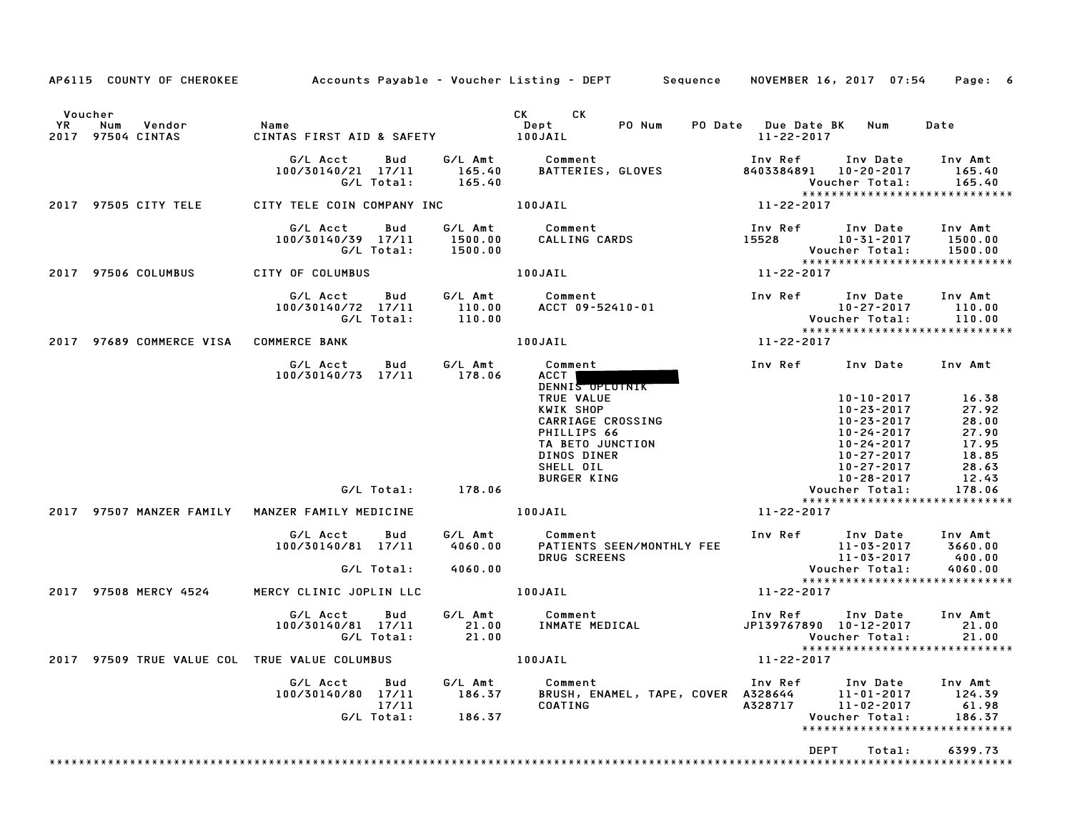|                                                         |                                                              |                             | AP6115 COUNTY OF CHEROKEE Accounts Payable - Voucher Listing - DEPT Sequence NOVEMBER 16, 2017 07:54 Page: 6                                                              |                                                                                                                                        |                                                                                       |
|---------------------------------------------------------|--------------------------------------------------------------|-----------------------------|---------------------------------------------------------------------------------------------------------------------------------------------------------------------------|----------------------------------------------------------------------------------------------------------------------------------------|---------------------------------------------------------------------------------------|
| Voucher                                                 |                                                              |                             | CK CK                                                                                                                                                                     |                                                                                                                                        |                                                                                       |
| YR D<br>Num Vendor<br>2017 97504 CINTAS                 | Name<br>CINTAS FIRST AID & SAFETY 100JAIL                    |                             | Dept PONum                                                                                                                                                                | PO Date Due Date BK Num<br>11-22-2017                                                                                                  | Date                                                                                  |
|                                                         | G/L Acct   Bud<br>100/30140/21 17/11<br>G/L Total:           | 165.40<br>165.40            | G/L Amt Comment<br>BATTERIES, GLOVES                                                                                                                                      | Inv Ref      Inv Date     Inv Amt<br>8403384891 10-20-2017 165.40<br>▼∪u∪IIでI  i ∪└── *       ▲──・・-<br>****************************** | Voucher Total: 165.40                                                                 |
| 2017 97505 CITY TELE                                    | CITY TELE COIN COMPANY INC <b>100JAIL</b>                    |                             |                                                                                                                                                                           | 11-22-2017                                                                                                                             |                                                                                       |
|                                                         | G/L Acct<br>Bud<br>100/30140/39 17/11<br>G/L Total:          | 1500.00                     |                                                                                                                                                                           | Inv Ref Inv Date Inv Amt<br>15528 10-31-2017 1500.00<br>Voucher Total: 1500.00<br>Voucher Total: 1500.00                               |                                                                                       |
| 2017 97506 COLUMBUS                                     | CITY OF COLUMBUS                                             |                             | 100JAIL                                                                                                                                                                   | 11-22-2017                                                                                                                             |                                                                                       |
|                                                         | G/L Acct   Bud<br>100/30140/72 17/11<br>G/L Total:           |                             |                                                                                                                                                                           | Inv Ref Inv Date Inv Amt<br>10.00<br>Voucher Total: 110.00<br>XXXXXXXXXXXXXXXXXXXXXXXXXXXXX                                            |                                                                                       |
| 2017 97689 COMMERCE VISA COMMERCE BANK                  |                                                              |                             | $11 - 22 - 2017$<br>100JAIL                                                                                                                                               |                                                                                                                                        |                                                                                       |
|                                                         | G/L Acct   Bud<br>100/30140/73 17/11 178.06                  | G/L Amt                     | Comment<br>ACCT  <br>DENNIS OPLOTNIK<br>TRUE VALUE<br>KWIK SHOP<br>CARRIAGE CROSSING<br>PHILLIPS 66<br>TA BETO JUNCTION<br>DINOS DINER<br>SHELL OIL<br><b>BURGER KING</b> | Inv Ref Inv Date Inv Amt<br>10-23-2017<br>10-23-2017<br>10-24-2017<br>10-24-2017<br>10-27-2017<br>10-27-2017<br>10-28-2017             | $10 - 10 - 2017$ 16.38<br>27.92<br>28.00<br>27.90<br>17.95<br>18.85<br>28.63<br>12.43 |
|                                                         | G/L Total: 178.06                                            |                             |                                                                                                                                                                           | Voucher Total:                                                                                                                         | 178.06<br>*****************************                                               |
| 2017 97507 MANZER FAMILY MANZER FAMILY MEDICINE         |                                                              |                             | 100JAIL THE RESIDENCE OF REAL PROPERTY.                                                                                                                                   | 11-22-2017                                                                                                                             |                                                                                       |
|                                                         | G/L Acct Bud<br>100/30140/81 17/11<br>G/L Total:             | 4060.00                     | G/L Amt Comment<br>4060.00 PATIENTS<br>PATIENTS SEEN/MONTHLY FEE<br><b>DRUG SCREENS</b>                                                                                   | 1nv Ref 1nv Date 1nv Amt<br>11-03-2017 3660.00<br>11-03-2017 400.00<br>Voucher Total: 4060.00                                          |                                                                                       |
| 2017 97508 MERCY 4524                                   | MERCY CLINIC JOPLIN LLC <b>100JAIL</b>                       |                             |                                                                                                                                                                           | 11-22-2017                                                                                                                             | *****************************                                                         |
|                                                         | G/L Acct   Bud<br>100/30140/81 17/11<br>G/L Total:           | 21.00                       | G/L Amt Comment<br><b>SALAMENT COMMENT<br/>21.00 INMATE MEDICAL</b>                                                                                                       | Inv Ref Inv Date Inv Amt<br>JP139767890 10-12-2017<br>Voucher Total:                                                                   | 21.00<br>21.00<br>*****************************                                       |
| 2017 97509 TRUE VALUE COL TRUE VALUE COLUMBUS   100JAIL |                                                              |                             |                                                                                                                                                                           | 11-22-2017                                                                                                                             |                                                                                       |
|                                                         | G/L Acct<br>Bud<br>100/30140/80 17/11<br>17/11<br>G/L Total: | G/L Amt<br>186.37<br>186.37 | Comment<br>BRUSH, ENAMEL, TAPE, COVER A328644<br>COATING                                                                                                                  | Inv Ref<br>Inv Date<br>$11 - 01 - 2017$<br>A328717<br>$11 - 02 - 2017$<br>Voucher Total:                                               | Inv Amt<br>124.39<br>61.98<br>186.37<br>*****************************                 |
|                                                         |                                                              |                             |                                                                                                                                                                           | DEPT<br>Total:                                                                                                                         | 6399.73                                                                               |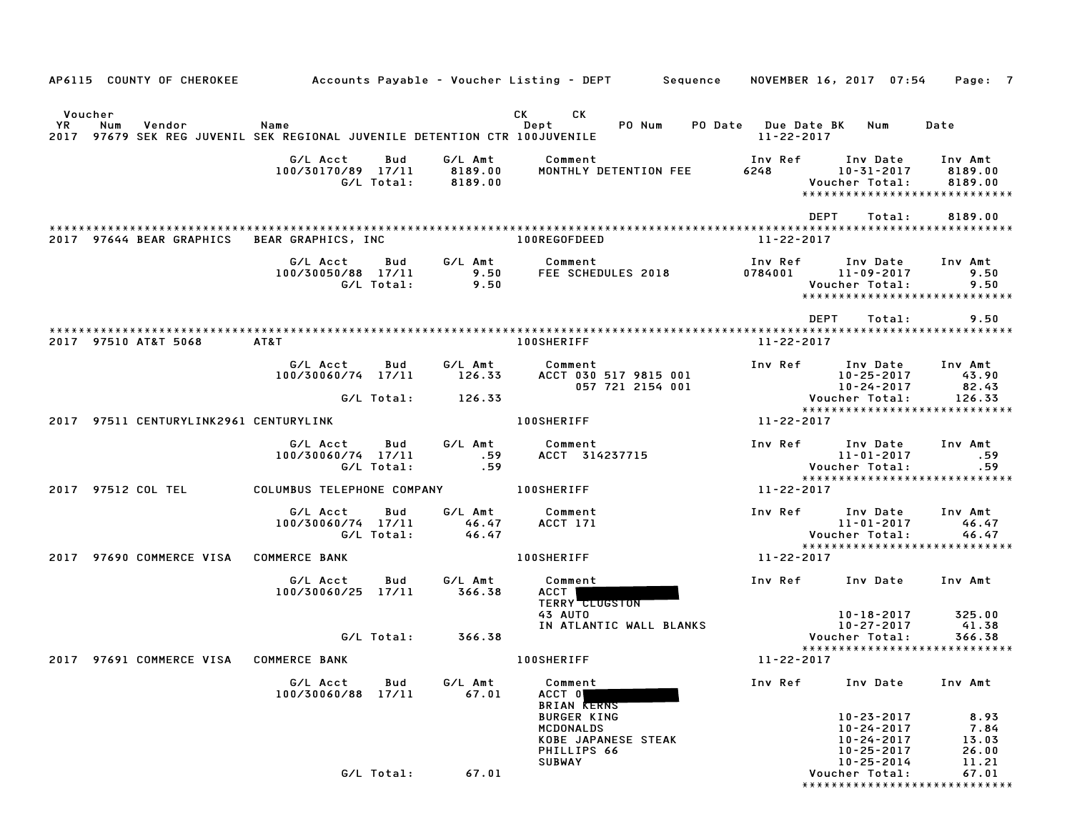|    |                | AP6115 COUNTY OF CHEROKEE              |                                                                                    |                   |                               | Accounts Payable – Voucher Listing – DEPT Sequence                           |                                          | NOVEMBER 16, 2017 07:54                                                              | Page: 7                                 |
|----|----------------|----------------------------------------|------------------------------------------------------------------------------------|-------------------|-------------------------------|------------------------------------------------------------------------------|------------------------------------------|--------------------------------------------------------------------------------------|-----------------------------------------|
| YR | Voucher<br>Num | Vendor                                 | Name<br>2017 97679 SEK REG JUVENIL SEK REGIONAL JUVENILE DETENTION CTR 100JUVENILE |                   |                               | CK.<br>CK<br>Dept<br>PO Num                                                  | <b>PO Date</b> Due Date BK<br>11-22-2017 | Num                                                                                  | Date                                    |
|    |                |                                        | G/L Acct<br>100/30170/89 17/11                                                     | Bud<br>G/L Total: | G/L Amt<br>8189.00<br>8189.00 | Comment<br>MONTHLY DETENTION FEE                                             | Inv Ref<br>6248                          | Inv Date<br>10-31-2017<br>Voucher Total:<br>******************************           | Inv Amt<br>8189.00<br>8189.00           |
|    |                |                                        |                                                                                    |                   |                               |                                                                              |                                          | DEPT<br>Total:                                                                       | 8189.00                                 |
|    |                | 2017 97644 BEAR GRAPHICS               | BEAR GRAPHICS, INC                                                                 |                   |                               | 100REGOFDEED                                                                 | 11-22-2017                               |                                                                                      |                                         |
|    |                |                                        | G/L Acct<br>100/30050/88 17/11                                                     | Bud<br>G/L Total: | G/L Amt<br>9.50<br>9.50       | Comment<br>FEE SCHEDULES 2018                                                | Inv Ref<br>0784001                       | Inv Date<br>11-09-2017<br>Voucher Total:<br>*****************************            | Inv Amt<br>9.50<br>9.50                 |
|    |                | 2017 97510 AT&T 5068                   | AT&T                                                                               |                   |                               | <b>100SHERIFF</b>                                                            | $11 - 22 - 2017$                         | <b>DEPT</b><br>Total:                                                                | 9.50                                    |
|    |                |                                        | G/L Acct<br>100/30060/74 17/11                                                     | Bud               | G/L Amt<br>126.33             | Comment<br>ACCT 030 517 9815 001<br>057 721 2154 001                         | Inv Ref                                  | Inv Date<br>$10 - 25 - 2017$<br>$10 - 24 - 2017$                                     | Inv Amt<br>43.90<br>82.43               |
|    |                |                                        |                                                                                    | G/L Total:        | 126.33                        |                                                                              |                                          | Voucher Total:<br>*****************************                                      | 126.33                                  |
|    |                | 2017 97511 CENTURYLINK2961 CENTURYLINK |                                                                                    |                   |                               | <b>100SHERIFF</b>                                                            | 11-22-2017                               |                                                                                      |                                         |
|    |                |                                        | G/L Acct<br>100/30060/74 17/11                                                     | Bud<br>G/L Total: | G/L Amt<br>.59<br>.59         | Comment<br>ACCT 314237715                                                    | Inv Ref                                  | Inv Date<br>$11 - 01 - 2017$<br>Voucher Total:                                       | Inv Amt<br>.59<br>.59                   |
|    |                | 2017 97512 COL TEL                     | COLUMBUS TELEPHONE COMPANY                                                         |                   |                               | <b>100SHERIFF</b>                                                            | 11-22-2017                               | *****************************                                                        |                                         |
|    |                |                                        | G/L Acct<br>100/30060/74 17/11                                                     | Bud<br>G/L Total: | G/L Amt<br>46.47<br>46.47     | Comment<br>ACCT 171                                                          | Inv Ref                                  | Inv Date<br>11-01-2017<br>Voucher Total:                                             | Inv Amt<br>46.47<br>46.47               |
|    |                | 2017 97690 COMMERCE VISA               | <b>COMMERCE BANK</b>                                                               |                   |                               | <b>100SHERIFF</b>                                                            | 11-22-2017                               | *****************************                                                        |                                         |
|    |                |                                        | G/L Acct<br>100/30060/25 17/11                                                     | Bud               | G/L Amt<br>366.38             | Comment<br>ACCT  <br><b>TERRY CLUGSTON</b>                                   | Inv Ref                                  | Inv Date                                                                             | Inv Amt                                 |
|    |                |                                        |                                                                                    | G/L Total:        | 366.38                        | 43 AUTO<br>IN ATLANTIC WALL BLANKS                                           |                                          | 10-18-2017<br>$10 - 27 - 2017$<br>Voucher Total:<br>*****************************    | 325.00<br>41.38<br>366.38               |
|    |                |                                        | 2017 97691 COMMERCE VISA COMMERCE BANK                                             |                   |                               | <b>100SHERIFF</b>                                                            | $11 - 22 - 2017$                         |                                                                                      |                                         |
|    |                |                                        | G/L Acct<br>100/30060/88 17/11                                                     | Bud               | G/L Amt<br>67.01              | Comment<br>ACCT 0<br><b>BRIAN KERNS</b>                                      | Inv Ref                                  | Inv Date                                                                             | Inv Amt                                 |
|    |                |                                        |                                                                                    |                   |                               | <b>BURGER KING</b><br><b>MCDONALDS</b><br>KOBE JAPANESE STEAK<br>PHILLIPS 66 |                                          | $10 - 23 - 2017$<br>$10 - 24 - 2017$<br>10-24-2017<br>$10 - 25 - 2017$<br>10-25-2014 | 8.93<br>7.84<br>13.03<br>26.00<br>11.21 |
|    |                |                                        |                                                                                    | G/L Total:        | 67.01                         | <b>SUBWAY</b>                                                                |                                          | Voucher Total:<br>******************************                                     | 67.01                                   |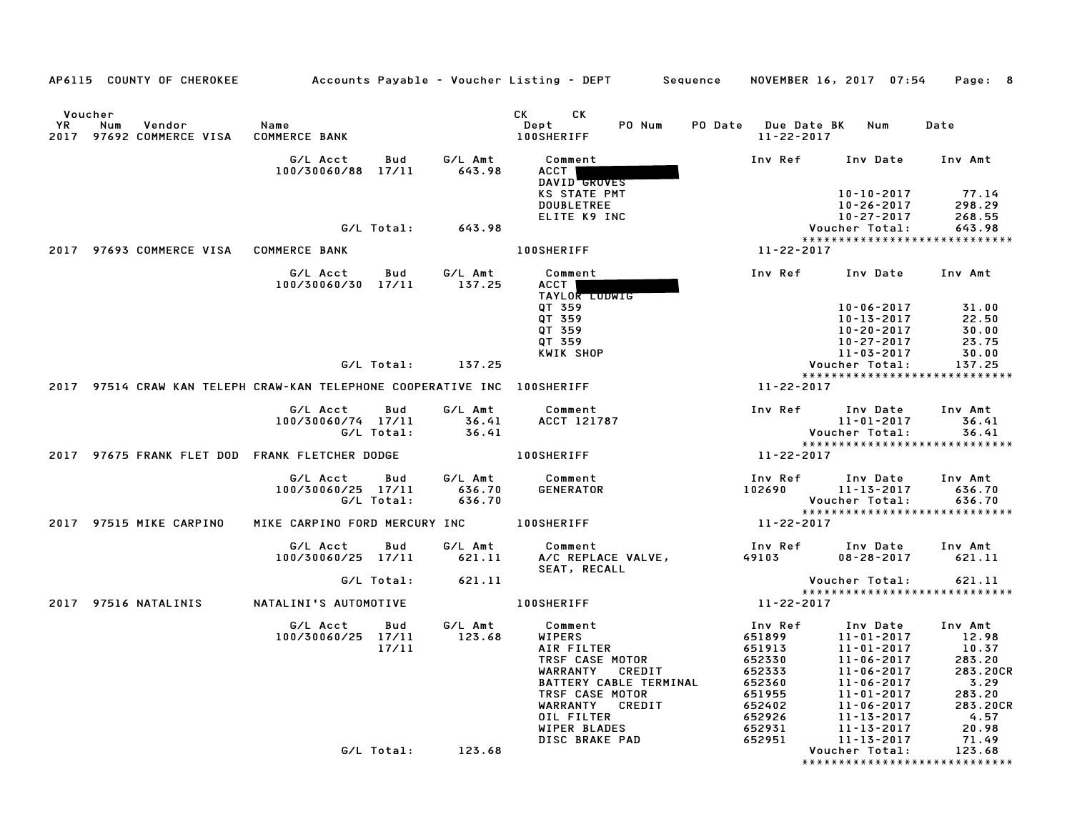| CK<br><b>CK</b><br>Voucher<br>PO Num<br>PO Date Due Date BK<br>YR<br>Vendor<br>Name<br>Dept<br>Num<br>Date<br>Num<br><b>100SHERIFF</b><br>2017 97692 COMMERCE VISA<br><b>COMMERCE BANK</b><br>11-22-2017<br>G/L Acct<br>Bud<br>G/L Amt<br>Comment<br>Inv Ref<br>Inv Date<br>Inv Amt<br>643.98<br>100/30060/88 17/11<br>ACCT  <br>DAVID GROVES<br>KS STATE PMT<br>$10 - 10 - 2017$<br>77.14<br><b>DOUBLETREE</b><br>$10 - 26 - 2017$<br>298.29<br>ELITE K9 INC<br>10-27-2017<br>268.55<br>G/L Total:<br>643.98<br>Voucher Total:<br>643.98<br>*****************************<br><b>100SHERIFF</b><br>2017 97693 COMMERCE VISA COMMERCE BANK<br>11-22-2017<br>G/L Acct<br>G/L Amt<br>Comment<br>Inv Ref<br>Inv Amt<br>Bud<br>Inv Date<br>137.25<br>ACCT  <br>100/30060/30 17/11<br>TAYLOR LUDWIG<br>QT 359<br>$10 - 06 - 2017$<br>31.00<br>QT 359<br>22.50<br>10-13-2017<br>QT 359<br>30.00<br>10-20-2017<br>QT 359<br>10-27-2017<br>23.75<br>KWIK SHOP<br>11-03-2017<br>30.00<br>G/L Total:<br>137.25<br>137.25<br>Voucher Total:<br>*****************************<br>2017 97514 CRAW KAN TELEPH CRAW-KAN TELEPHONE COOPERATIVE INC 100SHERIFF<br>11-22-2017<br>G/L Amt<br>G/L Acct<br>Bud<br>Comment<br>Inv Ref<br>Inv Date<br>Inv Amt<br>100/30060/74 17/11<br>36.41<br>ACCT 121787<br>$11 - 01 - 2017$<br>36.41<br>G/L Total:<br>36.41<br>Voucher Total:<br>36.41<br>*****************************<br><b>100SHERIFF</b><br>2017 97675 FRANK FLET DOD FRANK FLETCHER DODGE<br>11-22-2017<br>G/L Amt<br>Comment<br>Inv Ref<br>G/L Acct<br>Inv Date<br>Inv Amt<br>Bud<br>100/30060/25 17/11<br>636.70<br>GENERATOR<br>102690<br>$11 - 13 - 2017$<br>636.70<br>G/L Total:<br>636.70<br>Voucher Total:<br>636.70<br>*****************************<br>2017 97515 MIKE CARPINO<br>MIKE CARPINO FORD MERCURY INC<br><b>100SHERIFF</b><br>11-22-2017<br>G/L Acct<br>G/L Amt<br>Inv Ref<br>Bud<br>Comment<br>Inv Date<br>Inv Amt<br>A/C REPLACE VALVE,<br>$08 - 28 - 2017$<br>621.11<br>100/30060/25 17/11<br>621.11<br>49103<br>SEAT, RECALL<br>G/L Total:<br>621.11<br>621.11<br>Voucher Total:<br>*****************************<br>2017 97516 NATALINIS<br>NATALINI'S AUTOMOTIVE<br><b>100SHERIFF</b><br>11-22-2017<br>G/L Acct<br>G/L Amt<br>Inv Ref<br>Inv Date<br>Inv Amt<br>Bud<br>Comment<br>123.68<br>100/30060/25 17/11<br><b>WIPERS</b><br>651899<br>11-01-2017<br>12.98<br>17/11<br>AIR FILTER<br>651913<br>11-01-2017<br>10.37<br>TRSF CASE MOTOR<br>652330<br>$11 - 06 - 2017$<br>283.20<br>WARRANTY CREDIT<br>652333<br>283.20CR<br>11-06-2017<br>BATTERY CABLE TERMINAL<br>652360<br>11-06-2017<br>3.29<br>TRSF CASE MOTOR<br>651955<br>283.20<br>11-01-2017<br>WARRANTY CREDIT<br>652402<br>11-06-2017<br>283.20CR<br>OIL FILTER<br>4.57<br>652926<br>11-13-2017<br>WIPER BLADES<br>20.98<br>652931<br>11-13-2017<br>DISC BRAKE PAD<br>71.49<br>652951<br>11-13-2017<br>G/L Total:<br>123.68<br>123.68<br>Voucher Total:<br>***************************** | AP6115 COUNTY OF CHEROKEE | Accounts Payable – Voucher Listing – DEPT         Sequence     NOVEMBER 16, 2017  07:54 |  |  |  | Page: 8 |
|-------------------------------------------------------------------------------------------------------------------------------------------------------------------------------------------------------------------------------------------------------------------------------------------------------------------------------------------------------------------------------------------------------------------------------------------------------------------------------------------------------------------------------------------------------------------------------------------------------------------------------------------------------------------------------------------------------------------------------------------------------------------------------------------------------------------------------------------------------------------------------------------------------------------------------------------------------------------------------------------------------------------------------------------------------------------------------------------------------------------------------------------------------------------------------------------------------------------------------------------------------------------------------------------------------------------------------------------------------------------------------------------------------------------------------------------------------------------------------------------------------------------------------------------------------------------------------------------------------------------------------------------------------------------------------------------------------------------------------------------------------------------------------------------------------------------------------------------------------------------------------------------------------------------------------------------------------------------------------------------------------------------------------------------------------------------------------------------------------------------------------------------------------------------------------------------------------------------------------------------------------------------------------------------------------------------------------------------------------------------------------------------------------------------------------------------------------------------------------------------------------------------------------------------------------------------------------------------------------------------------------------------------------------------------------------------------------------------------------------------------------------------------------------------------------------------------------------------------------------------------------------------------------------------------------------------------------------------|---------------------------|-----------------------------------------------------------------------------------------|--|--|--|---------|
|                                                                                                                                                                                                                                                                                                                                                                                                                                                                                                                                                                                                                                                                                                                                                                                                                                                                                                                                                                                                                                                                                                                                                                                                                                                                                                                                                                                                                                                                                                                                                                                                                                                                                                                                                                                                                                                                                                                                                                                                                                                                                                                                                                                                                                                                                                                                                                                                                                                                                                                                                                                                                                                                                                                                                                                                                                                                                                                                                                   |                           |                                                                                         |  |  |  |         |
|                                                                                                                                                                                                                                                                                                                                                                                                                                                                                                                                                                                                                                                                                                                                                                                                                                                                                                                                                                                                                                                                                                                                                                                                                                                                                                                                                                                                                                                                                                                                                                                                                                                                                                                                                                                                                                                                                                                                                                                                                                                                                                                                                                                                                                                                                                                                                                                                                                                                                                                                                                                                                                                                                                                                                                                                                                                                                                                                                                   |                           |                                                                                         |  |  |  |         |
|                                                                                                                                                                                                                                                                                                                                                                                                                                                                                                                                                                                                                                                                                                                                                                                                                                                                                                                                                                                                                                                                                                                                                                                                                                                                                                                                                                                                                                                                                                                                                                                                                                                                                                                                                                                                                                                                                                                                                                                                                                                                                                                                                                                                                                                                                                                                                                                                                                                                                                                                                                                                                                                                                                                                                                                                                                                                                                                                                                   |                           |                                                                                         |  |  |  |         |
|                                                                                                                                                                                                                                                                                                                                                                                                                                                                                                                                                                                                                                                                                                                                                                                                                                                                                                                                                                                                                                                                                                                                                                                                                                                                                                                                                                                                                                                                                                                                                                                                                                                                                                                                                                                                                                                                                                                                                                                                                                                                                                                                                                                                                                                                                                                                                                                                                                                                                                                                                                                                                                                                                                                                                                                                                                                                                                                                                                   |                           |                                                                                         |  |  |  |         |
|                                                                                                                                                                                                                                                                                                                                                                                                                                                                                                                                                                                                                                                                                                                                                                                                                                                                                                                                                                                                                                                                                                                                                                                                                                                                                                                                                                                                                                                                                                                                                                                                                                                                                                                                                                                                                                                                                                                                                                                                                                                                                                                                                                                                                                                                                                                                                                                                                                                                                                                                                                                                                                                                                                                                                                                                                                                                                                                                                                   |                           |                                                                                         |  |  |  |         |
|                                                                                                                                                                                                                                                                                                                                                                                                                                                                                                                                                                                                                                                                                                                                                                                                                                                                                                                                                                                                                                                                                                                                                                                                                                                                                                                                                                                                                                                                                                                                                                                                                                                                                                                                                                                                                                                                                                                                                                                                                                                                                                                                                                                                                                                                                                                                                                                                                                                                                                                                                                                                                                                                                                                                                                                                                                                                                                                                                                   |                           |                                                                                         |  |  |  |         |
|                                                                                                                                                                                                                                                                                                                                                                                                                                                                                                                                                                                                                                                                                                                                                                                                                                                                                                                                                                                                                                                                                                                                                                                                                                                                                                                                                                                                                                                                                                                                                                                                                                                                                                                                                                                                                                                                                                                                                                                                                                                                                                                                                                                                                                                                                                                                                                                                                                                                                                                                                                                                                                                                                                                                                                                                                                                                                                                                                                   |                           |                                                                                         |  |  |  |         |
|                                                                                                                                                                                                                                                                                                                                                                                                                                                                                                                                                                                                                                                                                                                                                                                                                                                                                                                                                                                                                                                                                                                                                                                                                                                                                                                                                                                                                                                                                                                                                                                                                                                                                                                                                                                                                                                                                                                                                                                                                                                                                                                                                                                                                                                                                                                                                                                                                                                                                                                                                                                                                                                                                                                                                                                                                                                                                                                                                                   |                           |                                                                                         |  |  |  |         |
|                                                                                                                                                                                                                                                                                                                                                                                                                                                                                                                                                                                                                                                                                                                                                                                                                                                                                                                                                                                                                                                                                                                                                                                                                                                                                                                                                                                                                                                                                                                                                                                                                                                                                                                                                                                                                                                                                                                                                                                                                                                                                                                                                                                                                                                                                                                                                                                                                                                                                                                                                                                                                                                                                                                                                                                                                                                                                                                                                                   |                           |                                                                                         |  |  |  |         |
|                                                                                                                                                                                                                                                                                                                                                                                                                                                                                                                                                                                                                                                                                                                                                                                                                                                                                                                                                                                                                                                                                                                                                                                                                                                                                                                                                                                                                                                                                                                                                                                                                                                                                                                                                                                                                                                                                                                                                                                                                                                                                                                                                                                                                                                                                                                                                                                                                                                                                                                                                                                                                                                                                                                                                                                                                                                                                                                                                                   |                           |                                                                                         |  |  |  |         |
|                                                                                                                                                                                                                                                                                                                                                                                                                                                                                                                                                                                                                                                                                                                                                                                                                                                                                                                                                                                                                                                                                                                                                                                                                                                                                                                                                                                                                                                                                                                                                                                                                                                                                                                                                                                                                                                                                                                                                                                                                                                                                                                                                                                                                                                                                                                                                                                                                                                                                                                                                                                                                                                                                                                                                                                                                                                                                                                                                                   |                           |                                                                                         |  |  |  |         |
|                                                                                                                                                                                                                                                                                                                                                                                                                                                                                                                                                                                                                                                                                                                                                                                                                                                                                                                                                                                                                                                                                                                                                                                                                                                                                                                                                                                                                                                                                                                                                                                                                                                                                                                                                                                                                                                                                                                                                                                                                                                                                                                                                                                                                                                                                                                                                                                                                                                                                                                                                                                                                                                                                                                                                                                                                                                                                                                                                                   |                           |                                                                                         |  |  |  |         |
|                                                                                                                                                                                                                                                                                                                                                                                                                                                                                                                                                                                                                                                                                                                                                                                                                                                                                                                                                                                                                                                                                                                                                                                                                                                                                                                                                                                                                                                                                                                                                                                                                                                                                                                                                                                                                                                                                                                                                                                                                                                                                                                                                                                                                                                                                                                                                                                                                                                                                                                                                                                                                                                                                                                                                                                                                                                                                                                                                                   |                           |                                                                                         |  |  |  |         |
|                                                                                                                                                                                                                                                                                                                                                                                                                                                                                                                                                                                                                                                                                                                                                                                                                                                                                                                                                                                                                                                                                                                                                                                                                                                                                                                                                                                                                                                                                                                                                                                                                                                                                                                                                                                                                                                                                                                                                                                                                                                                                                                                                                                                                                                                                                                                                                                                                                                                                                                                                                                                                                                                                                                                                                                                                                                                                                                                                                   |                           |                                                                                         |  |  |  |         |
|                                                                                                                                                                                                                                                                                                                                                                                                                                                                                                                                                                                                                                                                                                                                                                                                                                                                                                                                                                                                                                                                                                                                                                                                                                                                                                                                                                                                                                                                                                                                                                                                                                                                                                                                                                                                                                                                                                                                                                                                                                                                                                                                                                                                                                                                                                                                                                                                                                                                                                                                                                                                                                                                                                                                                                                                                                                                                                                                                                   |                           |                                                                                         |  |  |  |         |
|                                                                                                                                                                                                                                                                                                                                                                                                                                                                                                                                                                                                                                                                                                                                                                                                                                                                                                                                                                                                                                                                                                                                                                                                                                                                                                                                                                                                                                                                                                                                                                                                                                                                                                                                                                                                                                                                                                                                                                                                                                                                                                                                                                                                                                                                                                                                                                                                                                                                                                                                                                                                                                                                                                                                                                                                                                                                                                                                                                   |                           |                                                                                         |  |  |  |         |
|                                                                                                                                                                                                                                                                                                                                                                                                                                                                                                                                                                                                                                                                                                                                                                                                                                                                                                                                                                                                                                                                                                                                                                                                                                                                                                                                                                                                                                                                                                                                                                                                                                                                                                                                                                                                                                                                                                                                                                                                                                                                                                                                                                                                                                                                                                                                                                                                                                                                                                                                                                                                                                                                                                                                                                                                                                                                                                                                                                   |                           |                                                                                         |  |  |  |         |
|                                                                                                                                                                                                                                                                                                                                                                                                                                                                                                                                                                                                                                                                                                                                                                                                                                                                                                                                                                                                                                                                                                                                                                                                                                                                                                                                                                                                                                                                                                                                                                                                                                                                                                                                                                                                                                                                                                                                                                                                                                                                                                                                                                                                                                                                                                                                                                                                                                                                                                                                                                                                                                                                                                                                                                                                                                                                                                                                                                   |                           |                                                                                         |  |  |  |         |
|                                                                                                                                                                                                                                                                                                                                                                                                                                                                                                                                                                                                                                                                                                                                                                                                                                                                                                                                                                                                                                                                                                                                                                                                                                                                                                                                                                                                                                                                                                                                                                                                                                                                                                                                                                                                                                                                                                                                                                                                                                                                                                                                                                                                                                                                                                                                                                                                                                                                                                                                                                                                                                                                                                                                                                                                                                                                                                                                                                   |                           |                                                                                         |  |  |  |         |
|                                                                                                                                                                                                                                                                                                                                                                                                                                                                                                                                                                                                                                                                                                                                                                                                                                                                                                                                                                                                                                                                                                                                                                                                                                                                                                                                                                                                                                                                                                                                                                                                                                                                                                                                                                                                                                                                                                                                                                                                                                                                                                                                                                                                                                                                                                                                                                                                                                                                                                                                                                                                                                                                                                                                                                                                                                                                                                                                                                   |                           |                                                                                         |  |  |  |         |
|                                                                                                                                                                                                                                                                                                                                                                                                                                                                                                                                                                                                                                                                                                                                                                                                                                                                                                                                                                                                                                                                                                                                                                                                                                                                                                                                                                                                                                                                                                                                                                                                                                                                                                                                                                                                                                                                                                                                                                                                                                                                                                                                                                                                                                                                                                                                                                                                                                                                                                                                                                                                                                                                                                                                                                                                                                                                                                                                                                   |                           |                                                                                         |  |  |  |         |
|                                                                                                                                                                                                                                                                                                                                                                                                                                                                                                                                                                                                                                                                                                                                                                                                                                                                                                                                                                                                                                                                                                                                                                                                                                                                                                                                                                                                                                                                                                                                                                                                                                                                                                                                                                                                                                                                                                                                                                                                                                                                                                                                                                                                                                                                                                                                                                                                                                                                                                                                                                                                                                                                                                                                                                                                                                                                                                                                                                   |                           |                                                                                         |  |  |  |         |
|                                                                                                                                                                                                                                                                                                                                                                                                                                                                                                                                                                                                                                                                                                                                                                                                                                                                                                                                                                                                                                                                                                                                                                                                                                                                                                                                                                                                                                                                                                                                                                                                                                                                                                                                                                                                                                                                                                                                                                                                                                                                                                                                                                                                                                                                                                                                                                                                                                                                                                                                                                                                                                                                                                                                                                                                                                                                                                                                                                   |                           |                                                                                         |  |  |  |         |
|                                                                                                                                                                                                                                                                                                                                                                                                                                                                                                                                                                                                                                                                                                                                                                                                                                                                                                                                                                                                                                                                                                                                                                                                                                                                                                                                                                                                                                                                                                                                                                                                                                                                                                                                                                                                                                                                                                                                                                                                                                                                                                                                                                                                                                                                                                                                                                                                                                                                                                                                                                                                                                                                                                                                                                                                                                                                                                                                                                   |                           |                                                                                         |  |  |  |         |
|                                                                                                                                                                                                                                                                                                                                                                                                                                                                                                                                                                                                                                                                                                                                                                                                                                                                                                                                                                                                                                                                                                                                                                                                                                                                                                                                                                                                                                                                                                                                                                                                                                                                                                                                                                                                                                                                                                                                                                                                                                                                                                                                                                                                                                                                                                                                                                                                                                                                                                                                                                                                                                                                                                                                                                                                                                                                                                                                                                   |                           |                                                                                         |  |  |  |         |
|                                                                                                                                                                                                                                                                                                                                                                                                                                                                                                                                                                                                                                                                                                                                                                                                                                                                                                                                                                                                                                                                                                                                                                                                                                                                                                                                                                                                                                                                                                                                                                                                                                                                                                                                                                                                                                                                                                                                                                                                                                                                                                                                                                                                                                                                                                                                                                                                                                                                                                                                                                                                                                                                                                                                                                                                                                                                                                                                                                   |                           |                                                                                         |  |  |  |         |
|                                                                                                                                                                                                                                                                                                                                                                                                                                                                                                                                                                                                                                                                                                                                                                                                                                                                                                                                                                                                                                                                                                                                                                                                                                                                                                                                                                                                                                                                                                                                                                                                                                                                                                                                                                                                                                                                                                                                                                                                                                                                                                                                                                                                                                                                                                                                                                                                                                                                                                                                                                                                                                                                                                                                                                                                                                                                                                                                                                   |                           |                                                                                         |  |  |  |         |
|                                                                                                                                                                                                                                                                                                                                                                                                                                                                                                                                                                                                                                                                                                                                                                                                                                                                                                                                                                                                                                                                                                                                                                                                                                                                                                                                                                                                                                                                                                                                                                                                                                                                                                                                                                                                                                                                                                                                                                                                                                                                                                                                                                                                                                                                                                                                                                                                                                                                                                                                                                                                                                                                                                                                                                                                                                                                                                                                                                   |                           |                                                                                         |  |  |  |         |
|                                                                                                                                                                                                                                                                                                                                                                                                                                                                                                                                                                                                                                                                                                                                                                                                                                                                                                                                                                                                                                                                                                                                                                                                                                                                                                                                                                                                                                                                                                                                                                                                                                                                                                                                                                                                                                                                                                                                                                                                                                                                                                                                                                                                                                                                                                                                                                                                                                                                                                                                                                                                                                                                                                                                                                                                                                                                                                                                                                   |                           |                                                                                         |  |  |  |         |
|                                                                                                                                                                                                                                                                                                                                                                                                                                                                                                                                                                                                                                                                                                                                                                                                                                                                                                                                                                                                                                                                                                                                                                                                                                                                                                                                                                                                                                                                                                                                                                                                                                                                                                                                                                                                                                                                                                                                                                                                                                                                                                                                                                                                                                                                                                                                                                                                                                                                                                                                                                                                                                                                                                                                                                                                                                                                                                                                                                   |                           |                                                                                         |  |  |  |         |
|                                                                                                                                                                                                                                                                                                                                                                                                                                                                                                                                                                                                                                                                                                                                                                                                                                                                                                                                                                                                                                                                                                                                                                                                                                                                                                                                                                                                                                                                                                                                                                                                                                                                                                                                                                                                                                                                                                                                                                                                                                                                                                                                                                                                                                                                                                                                                                                                                                                                                                                                                                                                                                                                                                                                                                                                                                                                                                                                                                   |                           |                                                                                         |  |  |  |         |
|                                                                                                                                                                                                                                                                                                                                                                                                                                                                                                                                                                                                                                                                                                                                                                                                                                                                                                                                                                                                                                                                                                                                                                                                                                                                                                                                                                                                                                                                                                                                                                                                                                                                                                                                                                                                                                                                                                                                                                                                                                                                                                                                                                                                                                                                                                                                                                                                                                                                                                                                                                                                                                                                                                                                                                                                                                                                                                                                                                   |                           |                                                                                         |  |  |  |         |
|                                                                                                                                                                                                                                                                                                                                                                                                                                                                                                                                                                                                                                                                                                                                                                                                                                                                                                                                                                                                                                                                                                                                                                                                                                                                                                                                                                                                                                                                                                                                                                                                                                                                                                                                                                                                                                                                                                                                                                                                                                                                                                                                                                                                                                                                                                                                                                                                                                                                                                                                                                                                                                                                                                                                                                                                                                                                                                                                                                   |                           |                                                                                         |  |  |  |         |
|                                                                                                                                                                                                                                                                                                                                                                                                                                                                                                                                                                                                                                                                                                                                                                                                                                                                                                                                                                                                                                                                                                                                                                                                                                                                                                                                                                                                                                                                                                                                                                                                                                                                                                                                                                                                                                                                                                                                                                                                                                                                                                                                                                                                                                                                                                                                                                                                                                                                                                                                                                                                                                                                                                                                                                                                                                                                                                                                                                   |                           |                                                                                         |  |  |  |         |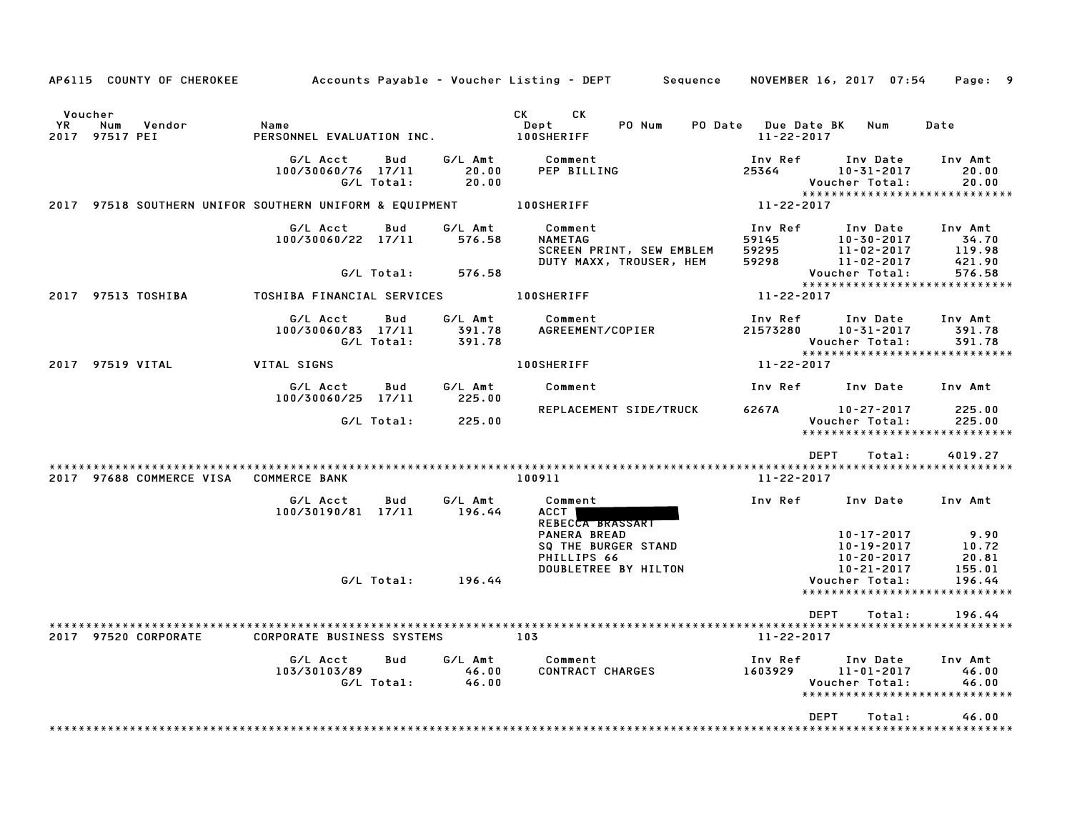| AP6115 COUNTY OF CHEROKEE                                          |                                                      |                             | Accounts Payable – Voucher Listing – DEPT         Sequence                                                                                                                                                                                                                         | NOVEMBER 16, 2017 07:54                 |                                                                                          | Page: 9                                                    |
|--------------------------------------------------------------------|------------------------------------------------------|-----------------------------|------------------------------------------------------------------------------------------------------------------------------------------------------------------------------------------------------------------------------------------------------------------------------------|-----------------------------------------|------------------------------------------------------------------------------------------|------------------------------------------------------------|
| Voucher<br>YR.<br>Num<br>Vendor<br>2017 97517 PEI                  | Name<br>PERSONNEL EVALUATION INC.                    |                             | CK and the set of the set of the set of the set of the set of the set of the set of the set of the set of the set of the set of the set of the set of the set of the set of the set of the set of the set of the set of the se<br><b>CK</b><br>PO Num<br>Dept<br><b>100SHERIFF</b> | PO Date Due Date BK<br>$11 - 22 - 2017$ | Num                                                                                      | Date                                                       |
|                                                                    | G/L Acct<br>Bud<br>100/30060/76 17/11<br>G/L Total:  | G/L Amt<br>20.00<br>20.00   | Comment<br>PEP BILLING                                                                                                                                                                                                                                                             | Inv Ref<br>25364                        | Inv Date<br>10-31-2017<br>Voucher Total:                                                 | Inv Amt<br>20.00<br>20.00<br>***************************** |
| 2017 97518 SOUTHERN UNIFOR SOUTHERN UNIFORM & EQUIPMENT 100SHERIFF |                                                      |                             |                                                                                                                                                                                                                                                                                    | 11-22-2017                              |                                                                                          |                                                            |
|                                                                    | G/L Acct<br>Bud<br>100/30060/22 17/11                | G/L Amt<br>576.58           | Comment<br>NAMETAG<br>SCREEN PRINT, SEW EMBLEM<br>DUTY MAXX, TROUSER, HEM                                                                                                                                                                                                          | Inv Ref<br>59145<br>59295<br>59298      | Inv Date<br>$10 - 30 - 2017$<br>11-02-2017<br>11-02-2017                                 | Inv Amt<br>34.70<br>119.98<br>421.90                       |
|                                                                    | G/L Total:                                           | 576.58                      |                                                                                                                                                                                                                                                                                    |                                         | Voucher Total:                                                                           | 576.58<br>*****************************                    |
| 2017 97513 TOSHIBA                                                 | TOSHIBA FINANCIAL SERVICES 100SHERIFF                |                             |                                                                                                                                                                                                                                                                                    | 11-22-2017                              |                                                                                          |                                                            |
|                                                                    | G/L Acct<br>Bud<br>100/30060/83 17/11<br>G/L Total:  | G/L Amt<br>391.78<br>391.78 | Comment<br>AGREEMENT/COPIER                                                                                                                                                                                                                                                        | Inv Ref<br>21573280                     | Inv Date<br>10-31-2017<br>Voucher Total:                                                 | Inv Amt<br>391.78<br>391.78                                |
| 2017 97519 VITAL                                                   | VITAL SIGNS                                          |                             | <b>100SHERIFF</b>                                                                                                                                                                                                                                                                  | 11-22-2017                              |                                                                                          | *****************************                              |
|                                                                    | G/L Acct<br>Bud                                      | G/L Amt<br>225.00           | Comment                                                                                                                                                                                                                                                                            | Inv Ref                                 | Inv Date                                                                                 | Inv Amt                                                    |
|                                                                    | 100/30060/25 17/11<br>G/L Total:                     | 225.00                      | REPLACEMENT SIDE/TRUCK                                                                                                                                                                                                                                                             | 6267A                                   | 10-27-2017<br>Voucher Total:                                                             | 225.00<br>225.00<br>*****************************          |
|                                                                    |                                                      |                             |                                                                                                                                                                                                                                                                                    | <b>DEPT</b>                             | Total:                                                                                   | 4019.27                                                    |
| 2017 97688 COMMERCE VISA                                           | <b>COMMERCE BANK</b>                                 |                             | 100911                                                                                                                                                                                                                                                                             | 11-22-2017                              |                                                                                          |                                                            |
|                                                                    | G/L Acct<br>Bud<br>100/30190/81 17/11                | G/L Amt<br>196.44           | Comment<br>ACCT  <br>REBECCA BRASSART                                                                                                                                                                                                                                              | Inv Ref                                 | Inv Date                                                                                 | Inv Amt                                                    |
|                                                                    |                                                      | $G/L$ Total: 196.44         | <b>PANERA BREAD</b><br>SQ THE BURGER STAND<br>PHILLIPS 66<br>DOUBLETREE BY HILTON                                                                                                                                                                                                  |                                         | $10 - 17 - 2017$<br>$10 - 19 - 2017$<br>$10 - 20 - 2017$<br>10-21-2017<br>Voucher Total: | 9.90<br>10.72<br>20.81<br>155.01<br>196.44                 |
|                                                                    |                                                      |                             |                                                                                                                                                                                                                                                                                    |                                         |                                                                                          | *****************************                              |
| 2017 97520 CORPORATE                                               | CORPORATE BUSINESS SYSTEMS                           | 103                         |                                                                                                                                                                                                                                                                                    | <b>DEPT</b><br>11-22-2017               | Total:                                                                                   | 196.44                                                     |
|                                                                    | G/L Acct<br><b>Bud</b><br>103/30103/89<br>G/L Total: | G/L Amt<br>46.00<br>46.00   | Comment<br>CONTRACT CHARGES                                                                                                                                                                                                                                                        | Inv Ref<br>1603929                      | Inv Date<br>11-01-2017<br>Voucher Total:                                                 | Inv Amt<br>46.00<br>46.00<br>***************************** |
|                                                                    |                                                      |                             |                                                                                                                                                                                                                                                                                    | <b>DEPT</b>                             | Total:                                                                                   | 46.00                                                      |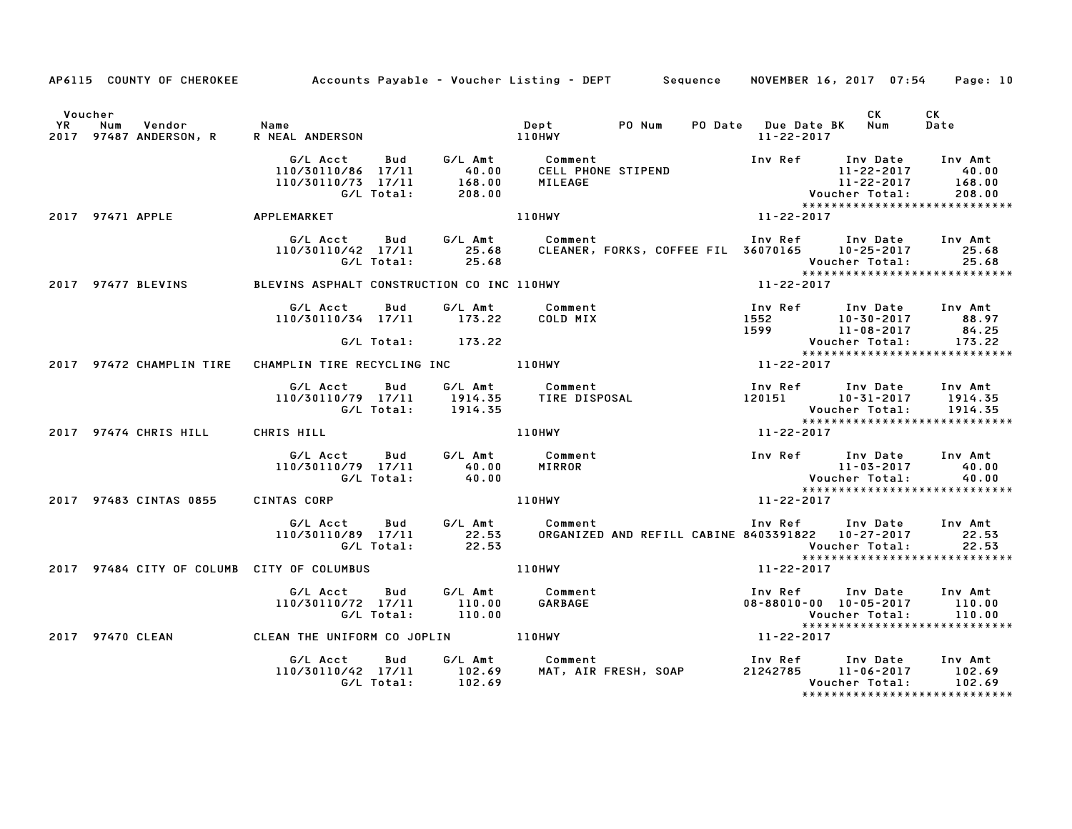|                                                                           |                                                                                        |                                                                              | AP6115 COUNTY OF CHEROKEE Accounts Payable - Voucher Listing - DEPT Sequence NOVEMBER 16, 2017 07:54                                                                                    |                                       |                                                                                                                   | Page: 10                    |
|---------------------------------------------------------------------------|----------------------------------------------------------------------------------------|------------------------------------------------------------------------------|-----------------------------------------------------------------------------------------------------------------------------------------------------------------------------------------|---------------------------------------|-------------------------------------------------------------------------------------------------------------------|-----------------------------|
| Voucher<br>YR Num Vendor – Name<br>2017 97487 ANDERSON, R – RNEAL ANDERSO |                                                                                        |                                                                              |                                                                                                                                                                                         | PO Date Due Date BK Num<br>11-22-2017 | <b>CK</b>                                                                                                         | CK<br>Date                  |
|                                                                           | G/L Acct<br>110/30110/86 17/11 40.00<br>110/30110/73 17/11 168.00<br>6/L Total: 208.00 | <b>Bud</b>                                                                   | G/L Amt Comment<br>Comment Inv Ref Inv Date Inv Amt<br>CELL PHONE STIPEND 11-22-2017 40.00<br>MILEAGE 11-22-2017 168.00<br>Voucher Total: 208.00<br>110HWY 11-22-2017 110HWY 11-22-2017 |                                       |                                                                                                                   |                             |
| 2017 97471 APPLE APPLEMARKET                                              |                                                                                        |                                                                              |                                                                                                                                                                                         |                                       |                                                                                                                   |                             |
|                                                                           | G/L Total:                                                                             | G/L Acct Bud G/L Amt Comment<br>25.68                                        | 110/30110/42 17/11 25.68 CLEANER, FORKS, COFFEE FIL 36070165 10-25-2017 25.68                                                                                                           |                                       | Inv Ref Inv Date Inv Amt<br>Voucher Total:                                                                        | 25.68                       |
| 2017 97477 BLEVINS BLEVINS ASPHALT CONSTRUCTION CO INC 110HWY             |                                                                                        |                                                                              |                                                                                                                                                                                         | $11 - 22 - 2017$                      |                                                                                                                   |                             |
|                                                                           | G/L Acct                                                                               | Bud<br>110/30110/34 17/11 173.22<br>G/L Total: 173.22                        | G/L Amt Comment<br>COLD MIX                                                                                                                                                             |                                       | 1.1, 1991<br>1992 10-30-2017 11-08-2017<br>1999 11-08-2017 12:599 11-08-2017<br>2017 173.22<br>2018 173.22        |                             |
|                                                                           |                                                                                        |                                                                              |                                                                                                                                                                                         |                                       | ******************************                                                                                    |                             |
| 2017 97472 CHAMPLIN TIRE CHAMPLIN TIRE RECYCLING INC 110HWY               |                                                                                        |                                                                              |                                                                                                                                                                                         | $11 - 22 - 2017$                      |                                                                                                                   |                             |
|                                                                           | G/L Total:                                                                             | 1914.35                                                                      |                                                                                                                                                                                         |                                       | Inv Ref Inv Date Inv Amt<br>120151 10-31-2017 1914.35<br>Voucher Total: 1914.35<br>****************************** |                             |
| 2017 97474 CHRIS HILL CHRIS HILL                                          |                                                                                        |                                                                              | 110HWY                                                                                                                                                                                  | 11-22-2017                            |                                                                                                                   |                             |
|                                                                           |                                                                                        | G/L Acct Bud G/L Amt Comment<br>110/30110/79 17/11 40.00<br>G/L Total: 40.00 | MIRROR                                                                                                                                                                                  | Vouc<br>*****<br>11-22-2017           | Voucher Total:                                                                                                    |                             |
| 2017 97483 CINTAS 0855                                                    | CINTAS CORP                                                                            |                                                                              | 110HWY                                                                                                                                                                                  |                                       |                                                                                                                   |                             |
|                                                                           | G/L Total:                                                                             | 22.53                                                                        | 6/L Acct Bud G/L Amt Comment Inv Ref Inv Date Inv Amt<br>110/30110/89 17/11 22.53 ORGANIZED AND REFILL CABINE 8403391822 10-27-2017 22.53<br>22.53 COLOR COLOR                          |                                       | Voucher Total:<br>******************************                                                                  | 22.53                       |
| 2017 97484 CITY OF COLUMB CITY OF COLUMBUS                                |                                                                                        |                                                                              | 110HWY                                                                                                                                                                                  | 11-22-2017                            |                                                                                                                   |                             |
|                                                                           | G/L Acct<br>110/30110/72 17/11 110.00<br>G/L Total:                                    | Bud<br>110.00                                                                | G/L Amt Comment<br>110.00 GARBAGE                                                                                                                                                       |                                       | Inv Ref Inv Date Inv Amt<br>08-88010-00 10-05-2017 110.00<br>Voucher Total:<br>*****************************      | 110.00                      |
| 2017 97470 CLEAN 6 CLEAN THE UNIFORM CO JOPLIN 110HWY                     |                                                                                        |                                                                              |                                                                                                                                                                                         | 11-22-2017                            |                                                                                                                   |                             |
|                                                                           |                                                                                        |                                                                              | y Aucl Bud G/LAmt Comment Inversion of the Date<br>110/30110/42 17/11 102.69 MAT, AIR FRESH, SOAP 21242785 11–06–2017<br>G/LTotal: 102.69                                               |                                       | *****************************                                                                                     | Inv Amt<br>102.69<br>102.69 |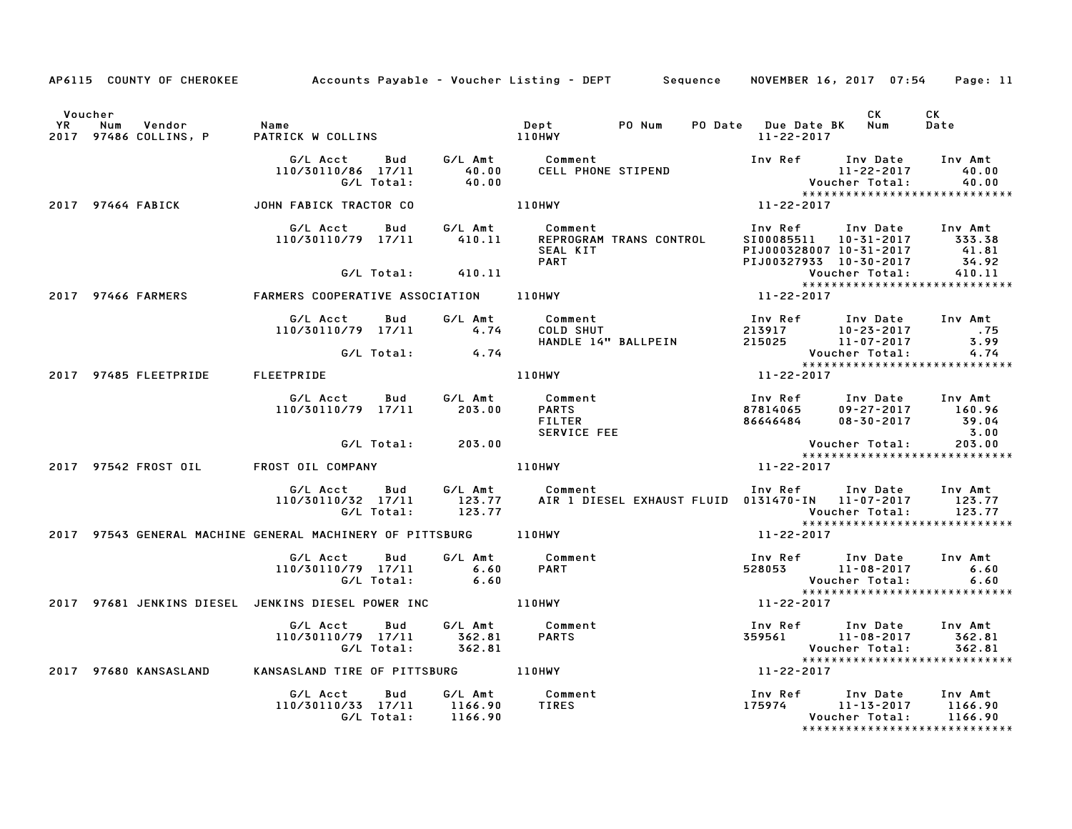|                      | AP6115 COUNTY OF CHEROKEE Accounts Payable - Voucher Listing - DEPT Sequence NOVEMBER 16, 2017 07:54 Page: 11 |                                              |                   |                               |                                                         |                         |                                                                                              |                                                                 |                                                                          |
|----------------------|---------------------------------------------------------------------------------------------------------------|----------------------------------------------|-------------------|-------------------------------|---------------------------------------------------------|-------------------------|----------------------------------------------------------------------------------------------|-----------------------------------------------------------------|--------------------------------------------------------------------------|
| Voucher<br><b>YR</b> | Num<br>Vendor<br>2017 97486 COLLINS, P                                                                        | Name<br>PATRICK W COLLINS 110HWY             |                   |                               | Dept PO Num                                             |                         | PO Date Due Date BK Num<br>11-22-2017                                                        | CK                                                              | CK<br>Date                                                               |
|                      |                                                                                                               | G/L Acct<br>110/30110/86 17/11<br>G/L Total: |                   | Bud G/L Amt<br>40.00<br>40.00 | Comment<br>CELL PHONE STIPEND                           |                         | Inv Ref Inv Date                                                                             | 11-22-2017                                                      | Inv Amt<br>40.00<br>Voucher Total: 40.00<br>**************************** |
|                      | 2017 97464 FABICK                                                                                             | JOHN FABICK TRACTOR CO                       |                   |                               | $110$ HWY                                               |                         | 11-22-2017                                                                                   |                                                                 |                                                                          |
|                      |                                                                                                               | G/L Acct<br>110/30110/79 17/11               | Bud               | G/L Amt<br>410.11             | Comment<br>SEAL KIT<br><b>PART</b>                      | REPROGRAM TRANS CONTROL | Inv Ref<br>SI00085511 10-31-2017 333.38<br>PIJ000328007 10-31-2017<br>PIJ00327933 10-30-2017 | Inv Date Inv Amt                                                | 41.81<br>34.92                                                           |
|                      |                                                                                                               |                                              | G/L Total:        | 410.11                        |                                                         |                         |                                                                                              | Voucher Total:                                                  | 410.11                                                                   |
|                      | 2017 97466 FARMERS                                                                                            | FARMERS COOPERATIVE ASSOCIATION 110HWY       |                   |                               |                                                         |                         | 11-22-2017                                                                                   |                                                                 | ******************************                                           |
|                      |                                                                                                               | G/L Acct<br>110/30110/79 17/11               | Bud               | G/L Amt<br>4.74               | Comment<br>COMMENT<br>COLD SHUT                         | HANDLE 14" BALLPEIN     | Inv Ref      Inv Date<br>213917 10-23-2017 .75<br>215025                                     | 11-07-2017                                                      | Inv Amt<br>3.99                                                          |
|                      |                                                                                                               | G/L Total:                                   |                   | 4.74                          |                                                         |                         |                                                                                              | Voucher Total:                                                  | 4.74<br>*****************************                                    |
|                      | 2017 97485 FLEETPRIDE                                                                                         | FLEETPRIDE                                   |                   |                               | 110HWY                                                  |                         | 11-22-2017                                                                                   |                                                                 |                                                                          |
|                      |                                                                                                               | G/LAcct Bud G/LAmt<br>110/30110/79 17/11     |                   | 203.00                        | Comment<br><b>PARTS</b><br><b>FILTER</b><br>SERVICE FEE |                         | Inv Ref Inv Date<br>87814065<br>86646484                                                     | $09 - 27 - 2017$ 160.96<br>08-30-2017 39.04<br>$08 - 30 - 2017$ | Inv Amt<br>39.04<br>3.00                                                 |
|                      |                                                                                                               |                                              | G/L Total: 203.00 |                               |                                                         |                         |                                                                                              | Voucher Total:                                                  | 203.00<br>*****************************                                  |
|                      | 2017 97542 FROST OIL                                                                                          | FROST OIL COMPANY                            |                   |                               | <b>110HWY</b>                                           |                         | 11-22-2017                                                                                   |                                                                 |                                                                          |
|                      |                                                                                                               | G/L Acct<br>110/30110/32 17/11<br>G/L Total: | <b>Bud</b>        | G/L Amt<br>123.77<br>123.77   | Comment                                                 |                         | Inv Ref Inv Date<br>AIR 1 DIESEL EXHAUST FLUID 0131470-IN 11-07-2017                         | Voucher Total:                                                  | Inv Amt<br>123.77<br>123.77                                              |
|                      | 2017 97543 GENERAL MACHINE GENERAL MACHINERY OF PITTSBURG 110HWY                                              |                                              |                   |                               |                                                         |                         | 11-22-2017                                                                                   |                                                                 |                                                                          |
|                      |                                                                                                               | G/L Acct<br>110/30110/79 17/11<br>G/L Total: | Bud               | 6.60<br>6.60                  | G/L Amt Comment<br><b>PART</b>                          |                         | Inv Ref Inv Date<br>528053                                                                   | 11-08-2017<br>Voucher Total:                                    | Inv Amt<br>6.60<br>6.60                                                  |
|                      | 2017 97681 JENKINS DIESEL JENKINS DIESEL POWER INC                                                            |                                              |                   |                               | 110HWY                                                  |                         | 11-22-2017                                                                                   |                                                                 | *****************************                                            |
|                      |                                                                                                               | G/L Acct<br>110/30110/79 17/11               | Bud<br>G/L Total: | G/L Amt<br>362.81<br>362.81   | Comment<br><b>PARTS</b>                                 |                         | Inv Ref     Inv Date<br>359561                                                               | 11-08-2017<br>Voucher Total:                                    | Inv Amt<br>362.81<br>362.81<br>*****************************             |
|                      | 2017 97680 KANSASLAND                                                                                         | KANSASLAND TIRE OF PITTSBURG 110HWY          |                   |                               |                                                         |                         | 11-22-2017                                                                                   |                                                                 |                                                                          |
|                      |                                                                                                               | G/L Acct<br>110/30110/33 17/11<br>G/L Total: | Bud               | G/L Amt<br>1166.90<br>1166.90 | Comment<br>TIRES                                        |                         | Inv Ref      Inv Date<br>175974                                                              | $11 - 13 - 2017$<br>Voucher Total:                              | Inv Amt<br>1166.90<br>1166.90<br>*****************************           |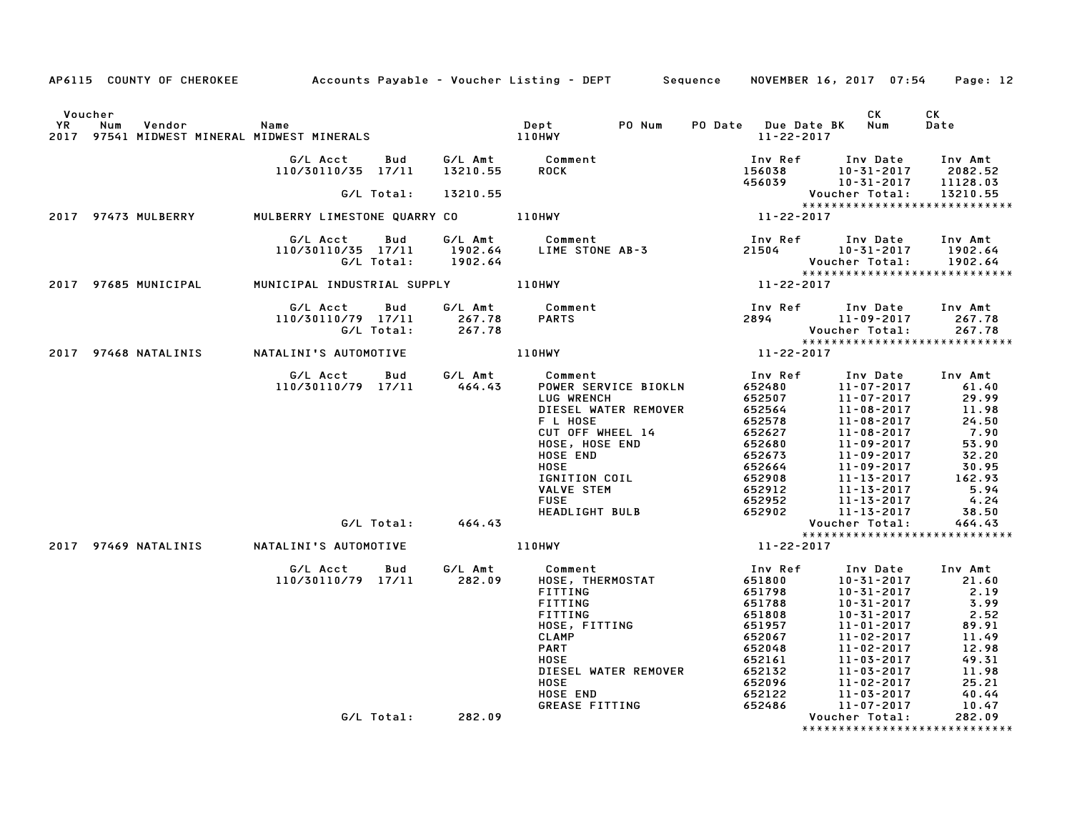|                      |     |                                                                                                                  |                                                |                     | AP6115 COUNTY OF CHEROKEE Accounts Payable - Voucher Listing - DEPT Sequence NOVEMBER 16, 2017 07:54 Page: 12                                                                                                                                          |            |                                                                                                                                                                                                                                                                                                                       |                                                                            |
|----------------------|-----|------------------------------------------------------------------------------------------------------------------|------------------------------------------------|---------------------|--------------------------------------------------------------------------------------------------------------------------------------------------------------------------------------------------------------------------------------------------------|------------|-----------------------------------------------------------------------------------------------------------------------------------------------------------------------------------------------------------------------------------------------------------------------------------------------------------------------|----------------------------------------------------------------------------|
|                      |     |                                                                                                                  |                                                |                     |                                                                                                                                                                                                                                                        |            |                                                                                                                                                                                                                                                                                                                       |                                                                            |
| Voucher<br><b>YR</b> | Num | Vendor<br>Pept 110HWY<br>2017 97541 MIDWEST MINERAL MIDWEST MINERALS 2017 97541 MIDWEST MINERAL MIDWEST MINERALS | Name                                           |                     | Dept PO Num                                                                                                                                                                                                                                            | 11-22-2017 | CK<br>PO Date Due Date BK Num                                                                                                                                                                                                                                                                                         | CK<br>Date                                                                 |
|                      |     |                                                                                                                  |                                                |                     |                                                                                                                                                                                                                                                        |            |                                                                                                                                                                                                                                                                                                                       |                                                                            |
|                      |     |                                                                                                                  |                                                | G/L Total: 13210.55 |                                                                                                                                                                                                                                                        |            | Voucher Total: 13210.55                                                                                                                                                                                                                                                                                               |                                                                            |
|                      |     |                                                                                                                  |                                                |                     | G/L Total: 13210.55<br>***** Vouc<br>2017 97473 MULBERRY MULBERRY LIMESTONE QUARRY CO 110HWY 11-22-2017                                                                                                                                                |            | ******************************                                                                                                                                                                                                                                                                                        |                                                                            |
|                      |     |                                                                                                                  |                                                |                     | 6/L Acct Bud 6/L Amt Comment<br>110/30110/35 17/11 1902.64 LIME STONE AB-3 21504 10-31-2017 1902.64<br>6/L Total: 1902.64 LIME STONE AB-3 21504 Voucher Total: 1902.64<br>NICIPAL INDUSTRIAL SUPPLY 110HWY 11-22-2017<br>11-22-2017                    |            |                                                                                                                                                                                                                                                                                                                       |                                                                            |
|                      |     | 2017 97685 MUNICIPAL MUNICIPAL INDUSTRIAL SUPPLY 110HWY                                                          |                                                |                     |                                                                                                                                                                                                                                                        |            |                                                                                                                                                                                                                                                                                                                       |                                                                            |
|                      |     |                                                                                                                  | 110/30110/79 17/11 267.78<br>G/L Total: 267.78 |                     | G/L Acct Bud G/L Amt Comment<br><b>PARTS</b>                                                                                                                                                                                                           |            | 1nv Ref 1nv Date 1nv Amt<br>2894 - 11-09-2017 - 267.78<br>- 12-2017 - Mousham Tatal<br>$x_1x_2x_3x_4x_5x_6x_7x_8x_8x_9x_1x_2x_3x_4x_4x_5x_6x_7x_8x_7x_8x_7x_8x_7x_8x_7x_8x_7x_8x_9x_1x_2x_2x_0x_7x_8x_9x_1x_2x_2x_0x_7x_8x_9x_1x_2x_3x_4x_5x_7x_8x_8x_9x_9x_1x_2x_3x_4x_5x_6x_7x_8x_8x_9x_1x_2x_3x_4x_4x_5x_6x_7x_8x$ |                                                                            |
|                      |     | 2017 97468 NATALINIS NATALINI'S AUTOMOTIVE 110HWY                                                                |                                                |                     |                                                                                                                                                                                                                                                        |            |                                                                                                                                                                                                                                                                                                                       |                                                                            |
|                      |     |                                                                                                                  |                                                |                     | 47ALINI'S AUIUMUIIVE<br>110/30110/79 17/11 464.43<br>CUL CHENNER SERVICE BOKLN<br>CUL CHENNER REMOVER<br>CUL OF WHEEL 14<br>CUL OF WHEEL 14<br>CUL OF MEER PROVER<br>CUL OF MEEL 14<br>CUL OF MEEL 14<br>CUL OF MEEL 14<br>HOSE END<br>HOSE END<br>HOS |            |                                                                                                                                                                                                                                                                                                                       |                                                                            |
|                      |     |                                                                                                                  |                                                |                     |                                                                                                                                                                                                                                                        |            |                                                                                                                                                                                                                                                                                                                       |                                                                            |
|                      |     |                                                                                                                  |                                                |                     |                                                                                                                                                                                                                                                        |            |                                                                                                                                                                                                                                                                                                                       | $\begin{array}{r} 162.52 \\ 162.54 \\ 5.94 \\ 4.24 \\ \hline\n\end{array}$ |
|                      |     |                                                                                                                  |                                                |                     |                                                                                                                                                                                                                                                        |            |                                                                                                                                                                                                                                                                                                                       |                                                                            |
|                      |     |                                                                                                                  |                                                |                     |                                                                                                                                                                                                                                                        |            |                                                                                                                                                                                                                                                                                                                       |                                                                            |
|                      |     | 2017 97469 NATALINIS NATALINI'S AUTOMOTIVE 110HWY                                                                |                                                |                     |                                                                                                                                                                                                                                                        |            | *****************************                                                                                                                                                                                                                                                                                         |                                                                            |
|                      |     |                                                                                                                  |                                                |                     | G/L Acct         Bud            G/L Amt              Comment<br>110/30110/79    17/11            282.09         HOSE,  THERMOSTAT                                                                                                                      |            |                                                                                                                                                                                                                                                                                                                       |                                                                            |
|                      |     |                                                                                                                  |                                                |                     | FITTING<br>FITTING                                                                                                                                                                                                                                     |            | 100 Ref 100 Date 100 Amt<br>10-31-2017 21.60<br>51798 10-31-2017 2.19<br>51788 10-31-2017 3.99<br>51808 10-31-2017 2.52                                                                                                                                                                                               |                                                                            |
|                      |     |                                                                                                                  |                                                |                     | FITTING<br>HOSE, FITTING<br>CLAMP                                                                                                                                                                                                                      |            |                                                                                                                                                                                                                                                                                                                       | 89.91<br>11.49                                                             |
|                      |     |                                                                                                                  |                                                |                     | <b>PART</b>                                                                                                                                                                                                                                            |            |                                                                                                                                                                                                                                                                                                                       | 12.98<br>49.31                                                             |
|                      |     |                                                                                                                  |                                                |                     | HOSE<br>DIESEL WATER REMOVER<br>HOSE<br>HOSE END<br>GREASE FITTING                                                                                                                                                                                     |            |                                                                                                                                                                                                                                                                                                                       | 11.98<br>$25.21$<br>40.44                                                  |
|                      |     |                                                                                                                  |                                                |                     |                                                                                                                                                                                                                                                        |            |                                                                                                                                                                                                                                                                                                                       | 10.47                                                                      |
|                      |     |                                                                                                                  |                                                | G/L Total: 282.09   |                                                                                                                                                                                                                                                        |            | Voucher Total:<br>*****************************                                                                                                                                                                                                                                                                       | 282.09                                                                     |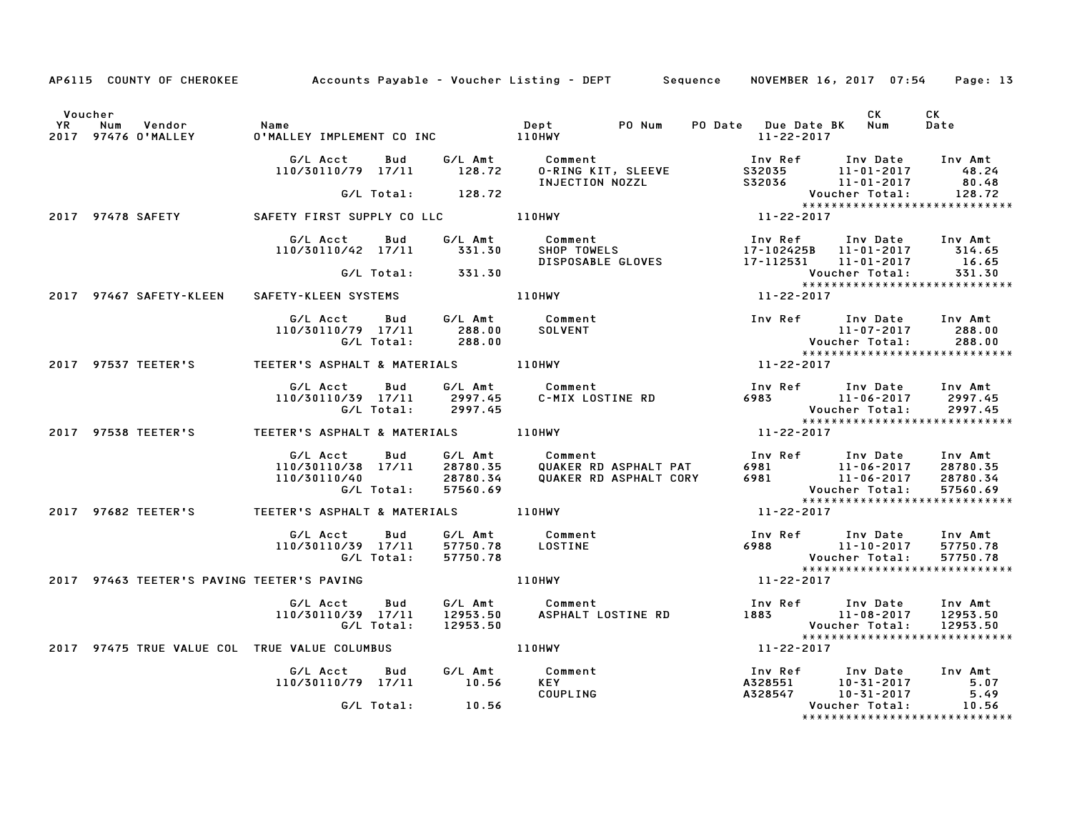|                      |                                            |                                                                     |                                  | AP6115 COUNTY OF CHEROKEE Accounts Payable - Voucher Listing - DEPT Sequence             | NOVEMBER 16, 2017 07:54                                                    | Page: 13                                                         |
|----------------------|--------------------------------------------|---------------------------------------------------------------------|----------------------------------|------------------------------------------------------------------------------------------|----------------------------------------------------------------------------|------------------------------------------------------------------|
| Voucher<br><b>YR</b> | Vendor<br>Num<br>2017 97476 O'MALLEY       | Name                                                                |                                  | PO Num                                                                                   | CK<br>PO Date Due Date BK Num<br>11-22-2017                                | CK<br>Date                                                       |
|                      |                                            | G/L Acct<br>Bud<br>110/30110/79 17/11                               | 128.72                           | G/L Amt Comment<br>0-RING KIT, SLEEVE<br>INJECTION NOZZL                                 | Inv Ref Inv Date<br>S32035 11-01-2017<br>S32036 11-01-2017                 | Inv Amt<br>48.24<br>80.48                                        |
|                      |                                            | G/L Total: 128.72                                                   |                                  |                                                                                          | Voucher Total:                                                             | 128.72                                                           |
|                      | 2017 97478 SAFETY                          |                                                                     |                                  |                                                                                          | $11 - 22 - 2017$                                                           | *****************************                                    |
|                      |                                            | G/L Acct<br>Bud<br>110/30110/42 17/11                               | G/L Amt<br>331.30                | Comment<br>SHOP TOWELS<br>DISPOSABLE GLOVES 17-112531 11-01-2017                         | Inv Ref<br>17-102425B 11-01-2017 314.65                                    | Inv Date Inv Amt<br>16.65                                        |
|                      |                                            | G/L Total: 331.30                                                   |                                  |                                                                                          | Voucher Total:                                                             | 331.30                                                           |
|                      | 2017 97467 SAFETY-KLEEN                    | SAFETY-KLEEN SYSTEMS                                                |                                  | <b>110HWY</b>                                                                            | 11-22-2017                                                                 | *****************************                                    |
|                      |                                            | G/L Acct<br>Bud<br>110/30110/79 17/11<br>G/L Total:                 | 288.00<br>288.00                 | G/L Amt Comment<br>SOLVENT                                                               | Inv Ref Inv Date<br>11-07-2017<br>Voucher Total:<br>****************       | Inv Amt<br>288.00<br>288.00                                      |
|                      |                                            | 2017 97537 TEETER'S TEETER'S ASPHALT & MATERIALS 110HWY             |                                  |                                                                                          | 11-22-2017                                                                 | *****************************                                    |
|                      |                                            | G/L Acct<br>Bud<br>110/30110/39 17/11<br>G/L Total:                 | 2997.45<br>2997.45               |                                                                                          | Voucher Total:                                                             | 2997.45<br>2997.45                                               |
|                      |                                            | 2017 97538 TEETER'S TEETER'S ASPHALT & MATERIALS 110HWY             |                                  |                                                                                          | $11 - 22 - 2017$                                                           | *****************************                                    |
|                      |                                            | G/L Acct<br>Bud<br>110/30110/38 17/11<br>110/30110/40<br>G/L Total: | 28780.35<br>28780.34<br>57560.69 | G/L Amt Comment<br>28780.35 QUAKER RI<br>QUAKER RD ASPHALT PAT<br>QUAKER RD ASPHALT CORY |                                                                            | Inv Amt<br>28780.35<br>28780.34<br>57560.69                      |
|                      | 2017 97682 TEETER'S                        |                                                                     |                                  |                                                                                          | 11-22-2017                                                                 | *****************************                                    |
|                      |                                            | Bud<br>G/L Acct<br>110/30110/39 17/11<br>G/L Total:                 | 57750.78                         | G/L Amt Comment<br>57750.78 LOSTINE                                                      | Inv Ref Inv Date<br>6988<br>11-10-2017<br>Voucher Total:                   | Inv Amt<br>57750.78<br>57750.78<br>***************************** |
|                      | 2017 97463 TEETER'S PAVING TEETER'S PAVING |                                                                     |                                  | 110HWY                                                                                   | 11-22-2017                                                                 |                                                                  |
|                      |                                            | G/L Acct<br>Bud<br>110/30110/39 17/11<br>G/L Total:                 | 12953.50                         | G/L Amt Comment<br>12953.50 ASPHALT L<br>ASPHALT LOSTINE RD                              | Voucher Total:                                                             | Inv Amt<br>12953.50<br>12953.50                                  |
|                      |                                            | 2017 97475 TRUE VALUE COL TRUE VALUE COLUMBUS                       |                                  | 110HWY                                                                                   | 11-22-2017                                                                 | *****************************                                    |
|                      |                                            | G/L Acct<br>Bud<br>110/30110/79 17/11                               | 10.56                            | G/L Amt Comment<br><b>KEY</b><br>COUPLING                                                | Inv Ref<br>A328551 10-31-2017<br>Assess 10-31-2017<br>Total:<br>10-31-2017 | Inv Date Inv Amt<br>5.07<br>5.49                                 |
|                      |                                            | G/L Total: 10.56                                                    |                                  |                                                                                          | Voucher Total:                                                             | 10.56<br>*****************************                           |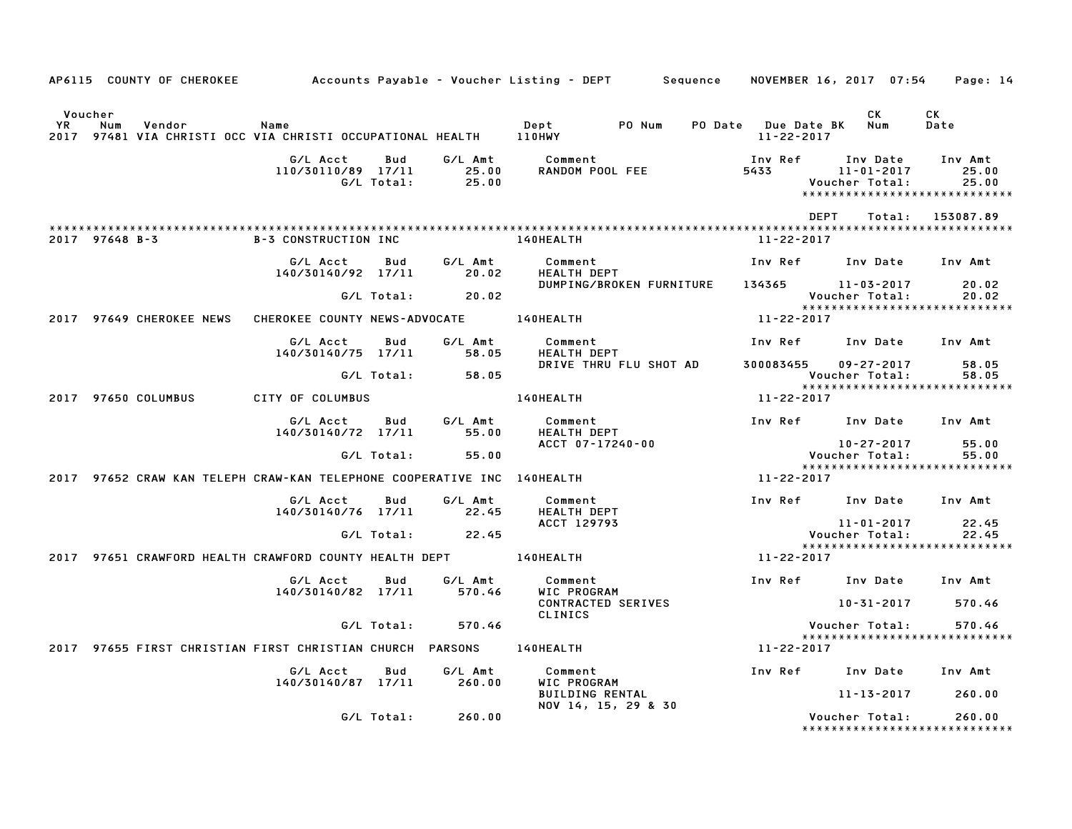|                      |                |                          |                                                                                   |                   |                   | AP6115 COUNTY OF CHEROKEE Accounts Payable – Voucher Listing – DEPT Sequence NOVEMBER 16, 2017 07:54 Page: 14 |                                             |                                                                           |                           |
|----------------------|----------------|--------------------------|-----------------------------------------------------------------------------------|-------------------|-------------------|---------------------------------------------------------------------------------------------------------------|---------------------------------------------|---------------------------------------------------------------------------|---------------------------|
| Voucher<br><b>YR</b> | Num            | Vendor                   | Name<br>2017 97481 VIA CHRISTI OCC VIA CHRISTI OCCUPATIONAL HEALTH 110HWY         |                   |                   | Dept<br>PO Num                                                                                                | PO Date Due Date BK Num<br>$11 - 22 - 2017$ | CK .                                                                      | CK<br>Date                |
|                      |                |                          | G/L Acct<br>110/30110/89 17/11 25.00                                              | Bud<br>G/L Total: | G/L Amt<br>25.00  | Comment<br>RANDOM POOL FEE                                                                                    | Inv Ref<br>5433                             | Inv Date<br>11-01-2017<br>Voucher Total:<br>***************************** | Inv Amt<br>25.00<br>25.00 |
|                      |                |                          |                                                                                   |                   |                   |                                                                                                               |                                             | <b>DEPT</b><br>Total:                                                     | 153087.89                 |
|                      | 2017 97648 B-3 |                          | <b>B-3 CONSTRUCTION INC</b>                                                       |                   |                   | <b>140HEALTH</b>                                                                                              | 11-22-2017                                  |                                                                           |                           |
|                      |                |                          | G/L Acct<br>140/30140/92 17/11                                                    | Bud               | G/L Amt<br>20.02  | Comment<br>HEALTH DEPT                                                                                        |                                             | Inv Ref      Inv Date     Inv Amt                                         |                           |
|                      |                |                          |                                                                                   | G/L Total:        | 20.02             | DUMPING/BROKEN FURNITURE                                                                                      |                                             | 134365 11-03-2017<br>Voucher Total:                                       | 20.02<br>20.02            |
|                      |                | 2017 97649 CHEROKEE NEWS | CHEROKEE COUNTY NEWS-ADVOCATE 140HEALTH                                           |                   |                   |                                                                                                               | 11-22-2017                                  | *****************************                                             |                           |
|                      |                |                          | G/L Acct                                                                          | Bud               | G/L Amt           | Comment                                                                                                       |                                             | Inv Ref      Inv Date                                                     | Inv Amt                   |
|                      |                |                          | 140/30140/75 17/11                                                                |                   | 58.05             | HEALTH DEPT<br>DRIVE THRU FLU SHOT AD                                                                         | 300083455                                   | $09 - 27 - 2017$                                                          | 58.05                     |
|                      |                |                          |                                                                                   | G/L Total:        | 58.05             |                                                                                                               |                                             | Voucher Total:<br>******************************                          | 58.05                     |
|                      |                | 2017 97650 COLUMBUS      | CITY OF COLUMBUS                                                                  |                   |                   | <b>140HEALTH</b>                                                                                              | 11-22-2017                                  |                                                                           |                           |
|                      |                |                          | G/L Acct<br>140/30140/72 17/11                                                    | Bud               | G/L Amt<br>55.00  | Comment<br>HEALTH DEPT                                                                                        |                                             | Inv Ref Inv Date Inv Amt                                                  |                           |
|                      |                |                          |                                                                                   | G/L Total:        | 55.00             | ACCT 07-17240-00                                                                                              |                                             | 10-27-2017<br>Voucher Total:                                              | 55.00<br>55.00            |
|                      |                |                          | 2017 97652 CRAW KAN TELEPH CRAW-KAN TELEPHONE COOPERATIVE INC 140HEALTH           |                   |                   |                                                                                                               | 11-22-2017                                  | *****************************                                             |                           |
|                      |                |                          | G/L Acct<br>140/30140/76 17/11                                                    | Bud               | G/L Amt<br>22.45  | Comment<br>HEALTH DEPT                                                                                        |                                             | Inv Ref Inv Date                                                          | Inv Amt                   |
|                      |                |                          |                                                                                   | G/L Total:        | 22.45             | ACCT 129793                                                                                                   |                                             | 11-01-2017<br>Voucher Total:                                              | 22.45<br>22.45            |
|                      |                |                          | 2017 97651 CRAWFORD HEALTH CRAWFORD COUNTY HEALTH DEPT __________________________ |                   |                   |                                                                                                               | 11-22-2017                                  | *****************************                                             |                           |
|                      |                |                          |                                                                                   |                   |                   |                                                                                                               |                                             |                                                                           |                           |
|                      |                |                          | G/L Acct<br>140/30140/82 17/11                                                    | Bud               | G/L Amt<br>570.46 | Comment<br>WIC PROGRAM<br><b>CONTRACTED SERIVES</b>                                                           |                                             | Inv Ref Inv Date<br>10-31-2017 570.46                                     | Inv Amt                   |
|                      |                |                          |                                                                                   | G/L Total:        | 570.46            | CLINICS                                                                                                       |                                             | Voucher Total:                                                            | 570.46                    |
|                      |                |                          | 2017 97655 FIRST CHRISTIAN FIRST CHRISTIAN CHURCH PARSONS 140HEALTH               |                   |                   |                                                                                                               | 11-22-2017                                  | *****************************                                             |                           |
|                      |                |                          | G/L Acct                                                                          | Bud               | G/L Amt           | Comment                                                                                                       |                                             | Inv Ref Inv Date                                                          | Inv Amt                   |
|                      |                |                          | 140/30140/87 17/11                                                                |                   | 260.00            | WIC PROGRAM<br><b>BUILDING RENTAL</b>                                                                         |                                             | 11-13-2017                                                                | 260.00                    |
|                      |                |                          |                                                                                   | G/L Total:        | 260.00            | NOV 14, 15, 29 & 30                                                                                           |                                             | Voucher Total:<br>******************************                          | 260.00                    |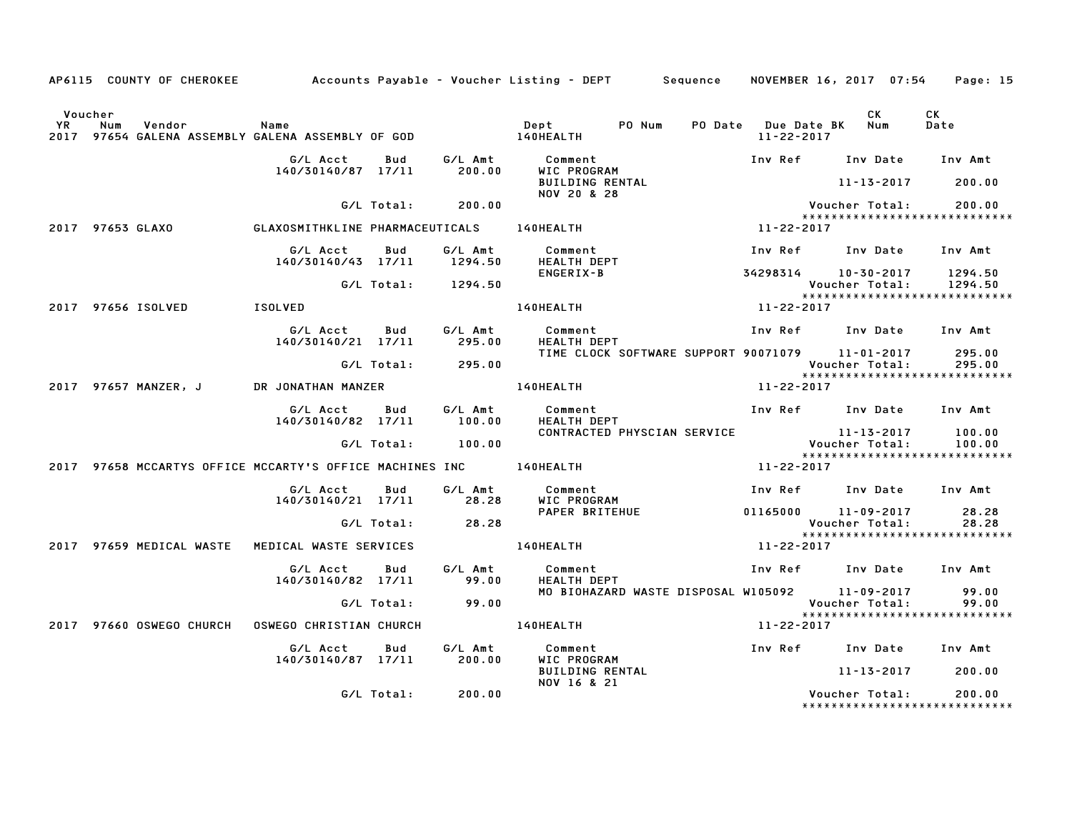|         | AP6115 COUNTY OF CHEROKEE         Accounts Payable – Voucher Listing – DEPT     Sequence   NOVEMBER 16, 2017 07:54 |                                        |            |                    |                                                                     |                  |                  |                                                                        | Page: 15         |
|---------|--------------------------------------------------------------------------------------------------------------------|----------------------------------------|------------|--------------------|---------------------------------------------------------------------|------------------|------------------|------------------------------------------------------------------------|------------------|
| Voucher |                                                                                                                    |                                        |            |                    |                                                                     |                  | 11-22-2017       | CK<br>PO Date Due Date BK Num                                          | CK<br>Date       |
|         |                                                                                                                    | G/L Acct Bud                           |            | G⁄L Amt            | Comment                                                             |                  |                  | Inv Ref Inv Date Inv Amt                                               |                  |
|         |                                                                                                                    | 140/30140/87 17/11                     |            | 200.00             | WIC PROGRAM<br><b>WIL FRUGRAM</b><br>BUILDING RENTAL<br>NOV 20 & 28 |                  |                  | $11 - 13 - 2017$                                                       | 200.00           |
|         |                                                                                                                    |                                        | G/L Total: | 200.00             |                                                                     |                  |                  | Voucher Total:<br>*****************************                        | 200.00           |
|         | 2017 97653 GLAXO 6LAXOSMITHKLINE PHARMACEUTICALS 140HEALTH                                                         |                                        |            |                    |                                                                     |                  | 11-22-2017       |                                                                        |                  |
|         |                                                                                                                    | G/L Acct<br>140/30140/43 17/11 1294.50 | Bud        |                    | G/L Amt Comment<br><b>HEALTH DEPT</b>                               |                  |                  | Inv Ref      Inv Date     Inv Amt                                      |                  |
|         |                                                                                                                    |                                        |            | G/L Total: 1294.50 | ENGERIX-B                                                           |                  |                  | 34298314 10-30-2017 1294.50<br>Voucher Total: 1294.50                  |                  |
|         | 2017 97656 ISOLVED                                                                                                 | <b>ISOLVED</b>                         |            |                    | <b>140HEALTH</b>                                                    |                  | $11 - 22 - 2017$ | *****************************                                          |                  |
|         |                                                                                                                    | G/L Acct                               | Bud        | G/L Amt            | Comment                                                             |                  |                  | Inv Ref Inv Date Inv Amt                                               |                  |
|         |                                                                                                                    | 140/30140/21 17/11 295.00              |            |                    | HEALTH DEPT                                                         |                  |                  | TIME CLOCK SOFTWARE SUPPORT 90071079 11-01-2017                        | 295.00           |
|         |                                                                                                                    |                                        |            | G/L Total: 295.00  |                                                                     |                  |                  | Voucher Total:<br>*****************************                        | 295.00           |
|         | 2017 97657 MANZER, J                                                                                               | DR JONATHAN MANZER                     |            |                    | 140HEALTH                                                           | $11 - 22 - 2017$ |                  |                                                                        |                  |
|         |                                                                                                                    | G/L Acct<br>140/30140/82 17/11         | Bud        | 100.00             | G/L Amt Comment<br>FEALTH DEPT                                      |                  |                  | Inv Ref Inv Date Inv Amt                                               |                  |
|         |                                                                                                                    |                                        |            | G/L Total: 100.00  |                                                                     |                  |                  | CONTRACTED PHYSCIAN SERVICE 11-13-2017<br>Voucher Total:               | 100.00<br>100.00 |
|         | 2017 97658 MCCARTYS OFFICE MCCARTY'S OFFICE MACHINES INC 140HEALTH                                                 |                                        |            |                    |                                                                     |                  | 11-22-2017       | *****************************                                          |                  |
|         |                                                                                                                    |                                        |            |                    |                                                                     |                  |                  |                                                                        |                  |
|         |                                                                                                                    | G/L Acct<br>140/30140/21 17/11         | Bud        | G/L Amt<br>28.28   | Comment<br>WIC PROGRAM                                              |                  |                  | Inv Ref Inv Date Inv Amt                                               |                  |
|         |                                                                                                                    |                                        |            | G/L Total: 28.28   |                                                                     |                  |                  | Voucher Total:                                                         | 28.28<br>28.28   |
|         |                                                                                                                    |                                        |            |                    |                                                                     |                  | 11-22-2017       | ******************************                                         |                  |
|         |                                                                                                                    | G/L Acct                               | Bud        | G/L Amt            | Comment                                                             |                  |                  | Inv Ref Inv Date Inv Amt                                               |                  |
|         |                                                                                                                    | 140/30140/82 17/11                     |            | 99.00              | <b>HEALTH DEPT</b>                                                  |                  |                  |                                                                        |                  |
|         |                                                                                                                    |                                        |            | G/L Total: 99.00   |                                                                     |                  |                  | MO BIOHAZARD WASTE DISPOSAL W105092 11-09-2017 99.00<br>Voucher Total: | 99.00            |
|         | 2017 97660 OSWEGO CHURCH                                                                                           | OSWEGO CHRISTIAN CHURCH 140HEALTH      |            |                    |                                                                     |                  | $11 - 22 - 2017$ | ******************************                                         |                  |
|         |                                                                                                                    | G/L Acct                               | Bud        |                    | G/L Amt Comment                                                     |                  |                  | Inv Ref Inv Date Inv Amt                                               |                  |
|         |                                                                                                                    | 140/30140/87 17/11 200.00              |            |                    | WIC PROGRAM                                                         |                  |                  |                                                                        |                  |
|         |                                                                                                                    |                                        |            |                    | <b>BUILDING RENTAL</b><br>NOV 16 & 21                               |                  |                  | 11-13-2017                                                             | 200.00           |
|         |                                                                                                                    |                                        | G/L Total: | 200.00             |                                                                     |                  |                  | Voucher Total:<br>*******************************                      | 200.00           |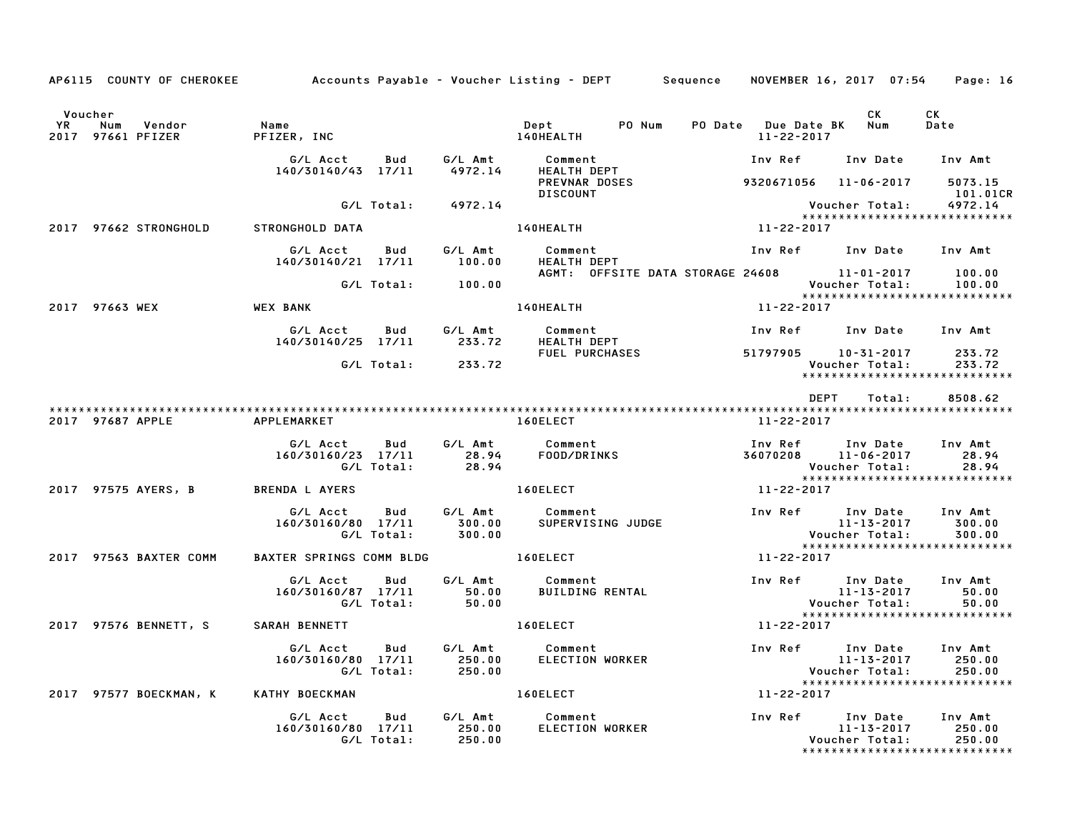|         |                                       |                                   |                    | AP6115 COUNTY OF CHEROKEE Accounts Payable - Voucher Listing - DEPT Sequence                                                                                                                                                  |                                              | NOVEMBER 16, 2017 07:54 | Page: 16                                          |
|---------|---------------------------------------|-----------------------------------|--------------------|-------------------------------------------------------------------------------------------------------------------------------------------------------------------------------------------------------------------------------|----------------------------------------------|-------------------------|---------------------------------------------------|
| Voucher |                                       |                                   |                    |                                                                                                                                                                                                                               |                                              | CK                      | <b>CK</b><br>Date                                 |
|         |                                       |                                   |                    |                                                                                                                                                                                                                               |                                              |                         |                                                   |
|         |                                       |                                   |                    | PREVNAR DOSES 9320671056 11-06-2017 5073.15<br><b>DISCOUNT</b>                                                                                                                                                                |                                              |                         | 101.01CR                                          |
|         |                                       |                                   | G/L Total: 4972.14 |                                                                                                                                                                                                                               |                                              |                         | *****************************                     |
|         | 2017 97662 STRONGHOLD STRONGHOLD DATA |                                   |                    |                                                                                                                                                                                                                               |                                              |                         |                                                   |
|         |                                       |                                   |                    | G/L Acct Bud G/L Amt Comment Inv Ref Inv Date Inv Amt<br>140/30140/21 17/11 100.00 HEALTH DEPT                                                                                                                                |                                              |                         |                                                   |
|         |                                       |                                   | G/L Total: 100.00  | AGMT: OFFSITE DATA STORAGE 24608 11-01-2017 100.00                                                                                                                                                                            |                                              | Voucher Total:          | 100.00                                            |
|         |                                       |                                   |                    | 140HEALTH 11-22-2017                                                                                                                                                                                                          |                                              |                         | *****************************                     |
|         |                                       |                                   |                    | G/L Acct Bud G/L Amt Comment Inv Ref Inv Date Inv Amt<br>140/30140/25 17/11 233.72 HEALTH DEPT<br>6/L Total: 233.72 FUEL PURCHASES 51797905 10–31–2017 233.72                                                                 |                                              |                         |                                                   |
|         |                                       |                                   |                    |                                                                                                                                                                                                                               | Voucher Total:                               |                         | ******************************                    |
|         |                                       |                                   |                    |                                                                                                                                                                                                                               | 11-22-2017                                   |                         |                                                   |
|         |                                       |                                   |                    | 6/L Acct Bud G/L Amt Comment Inv Ref Inv Date Inv Amt<br>160/30160/23 17/11 28.94 F00D/DRINKS 36070208 11-06-2017 28.94<br>6/L Total: 28.94 All 28.94 Voucher Total: 28.94<br>ENDA LAYERS 160ELECT 11-22-2017                 |                                              |                         | *****************************                     |
|         |                                       |                                   |                    | 2017 97575 AYERS, B BRENDA LAYERS FOR THE MANUSCRIPE OF THE RESONAL AREA SERIES AND RESONANCE OF THE RESONANCE OF THE SERIES OF THE SERIES OF THE SERIES OF THE SERIES OF THE SERIES OF THE SERIES OF THE SERIES OF THE SERIE |                                              |                         |                                                   |
|         |                                       |                                   |                    | G/L Acct Bud G/L Amt Comment Inv Ref Inv Date Inv Amt I60/30160/80 17/11 300.00<br>160/30160/80 17/11 300.00 SUPERVISING JUDGE 11-13-2017 300.00<br>6/L Total: 300.00 6/L Total: 300.00                                       |                                              |                         | 300.00<br>300.00<br>***************************** |
|         | 2017 97563 BAXTER COMM                | BAXTER SPRINGS COMM BLDG 160ELECT |                    |                                                                                                                                                                                                                               | $11 - 22 - 2017$                             |                         |                                                   |
|         |                                       |                                   |                    | G/L Acct Bud G/L Amt Comment<br>160/30160/87 17/11 50.00 BUILDING RENTAL<br>G/L Total: 50.00                                                                                                                                  | Inv Ref Inv Date Inv Amt<br>11-13-2017 50.00 |                         |                                                   |
|         | 2017 97576 BENNETT, S SARAH BENNETT   |                                   |                    | 160ELECT                                                                                                                                                                                                                      | $11 - 22 - 2017$                             |                         |                                                   |
|         |                                       |                                   |                    |                                                                                                                                                                                                                               |                                              |                         | 250.00<br>250.00<br>***************************** |
|         | 2017 97577 BOECKMAN, K                | KATHY BOECKMAN                    |                    | 160ELECT 11-22-2017                                                                                                                                                                                                           |                                              |                         |                                                   |
|         |                                       |                                   |                    | G/L Acct Bud G/L Amt Comment<br>160/30160/80 17/11 250.00 ELECTION WORK!<br>G/L Total: 250.00                                                                                                                                 |                                              | Voucher Total:          | 250.00<br>250.00                                  |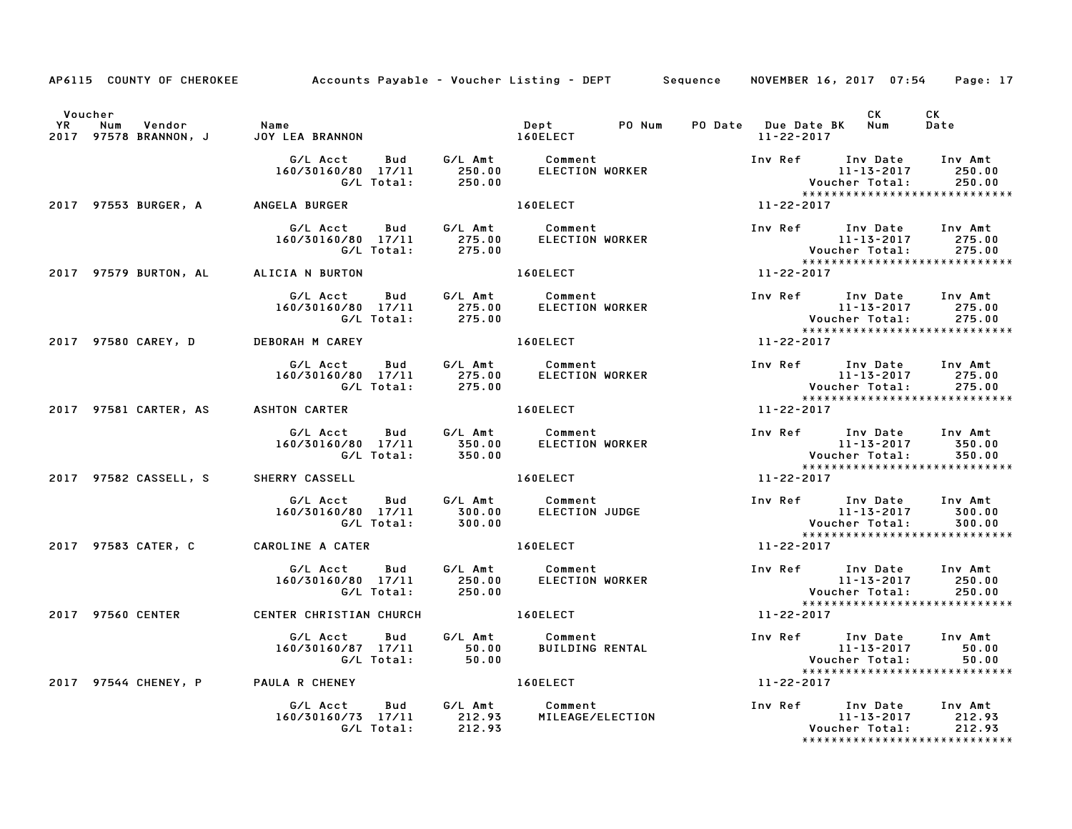|                                                            | AP6115 COUNTY OF CHEROKEE Accounts Payable – Voucher Listing – DEPT Sequence NOVEMBER 16, 2017 07:54 Page: 17                                               |                                                                                                     |                  |                  |                                                                        |                                                                                                           |
|------------------------------------------------------------|-------------------------------------------------------------------------------------------------------------------------------------------------------------|-----------------------------------------------------------------------------------------------------|------------------|------------------|------------------------------------------------------------------------|-----------------------------------------------------------------------------------------------------------|
| Voucher<br>www.com vendor<br>2017 97578 BRANNON, J JOY LEA |                                                                                                                                                             |                                                                                                     |                  |                  |                                                                        | CK<br>Date                                                                                                |
|                                                            | G/L Acct Bud G/L Amt Comment<br>160/30160/80 17/11 250.00 ELECTION WORKER<br>G/L Total: 250.00                                                              |                                                                                                     |                  |                  |                                                                        | Inv Ref Inv Date Inv Amt<br>11-13-2017 250.00<br>Voucher Total: 250.00<br>******************************  |
|                                                            | 2017 97553 BURGER, A ANGELA BURGER                                                                                                                          | 160ELECT And the set of the set of the set of the set of the set of the set of the set of the set o | $11 - 22 - 2017$ |                  |                                                                        |                                                                                                           |
|                                                            | G/L Acct  Bud  G/L Amt  Comment<br>160/30160/80  17/11  275.00  ELECTION WORKER<br>G/L Total:  275.00                                                       |                                                                                                     |                  |                  |                                                                        | *****************************                                                                             |
|                                                            | 2017 97579 BURTON, AL ALICIA N BURTON 160ELECT 160ELECT 11-22-2017                                                                                          |                                                                                                     |                  |                  |                                                                        |                                                                                                           |
|                                                            | G/L Acct  Bud  G/L Amt  Comment<br>160/30160/80  17/11  275.00  ELECTION WORKER<br>G/L Total:  275.00                                                       |                                                                                                     |                  |                  |                                                                        |                                                                                                           |
|                                                            | 2017 97580 CAREY, D DEBORAH M CAREY                                                                                                                         | 160ELECT NOTES                                                                                      |                  | $11 - 22 - 2017$ |                                                                        |                                                                                                           |
|                                                            | G/L Acct Bud G/L Amt Comment Inv Ref Inv Date Inv Amt<br>160/30160/80 17/11 275.00 ELECTION WORKER 10-13-2017 275.00<br>6/L Total: 275.00 6/L Total: 275.00 |                                                                                                     |                  |                  |                                                                        |                                                                                                           |
| 2017 97581 CARTER, AS ASHTON CARTER                        |                                                                                                                                                             | <b>160ELECT</b>                                                                                     | $11 - 22 - 2017$ |                  |                                                                        |                                                                                                           |
|                                                            | G/L Acct  Bud  G/L Amt  Comment<br>160/30160/80  17/11  350.00  ELECTION WORKER<br>G/L Total:  350.00                                                       |                                                                                                     |                  |                  |                                                                        | Inv Ref Inv Date Inv Amt<br>11-13-2017 350.00<br>Voucher Total: 350.00<br>******************************* |
| 2017 97582 CASSELL, S SHERRY CASSELL                       |                                                                                                                                                             | 160ELECT                                                                                            |                  | 11-22-2017       |                                                                        |                                                                                                           |
|                                                            | G/L Acct        Bud          G/L Amt            Comment<br>160/30160/80    17/11           300.00        ELECTION  JUDGE<br>G/L Total: 300.00               |                                                                                                     |                  |                  | 11-13-2017 300.00<br>11-13-2017<br>:Voucher Total<br>:                 | 300.00<br>*****************************                                                                   |
| 2017 97583 CATER, C                                        | <b>CAROLINE A CATER</b>                                                                                                                                     | 160ELECT                                                                                            |                  | 11-22-2017       |                                                                        |                                                                                                           |
|                                                            | G/L Acct  Bud  G/L Amt  Comment<br>160/30160/80  17/11  250.00  ELECTION<br>G/L Total:  250.00                                                              | <b>ELECTION WORKER</b>                                                                              |                  |                  | Inv Ref Inv Date Inv Amt<br>11-13-2017 250.00<br>Voucher Total: 250.00 | *****************************                                                                             |
| 2017 97560 CENTER                                          | CENTER CHRISTIAN CHURCH 160ELECT                                                                                                                            |                                                                                                     | $11 - 22 - 2017$ |                  |                                                                        |                                                                                                           |
|                                                            | G/L Acct Bud G/L Amt Comment<br>160/30160/87 17/11 50.00 BUILDING RENTAL<br>G/L Total: 50.00                                                                |                                                                                                     |                  |                  | Inv Ref Inv Date Inv Amt<br>11-13-2017 50.00<br>Voucher Total: 50.00   | 50.00<br>50.00                                                                                            |
|                                                            | 2017 97544 CHENEY, P PAULA R CHENEY                                                                                                                         | 160ELECT NOTES                                                                                      |                  | 11-22-2017       |                                                                        |                                                                                                           |
|                                                            | G/L Acct<br>160/30160/73 17/11 212.93 MILEAGE/ELECTION<br>G/L Total: 212.93 MILEAGE/ELECTION                                                                | Bud G/L Amt Comment                                                                                 |                  |                  | Inv Ref Inv Date Inv Amt<br>11-13-2017 212.93<br>Voucher Total:        | 212.93<br>*****************************                                                                   |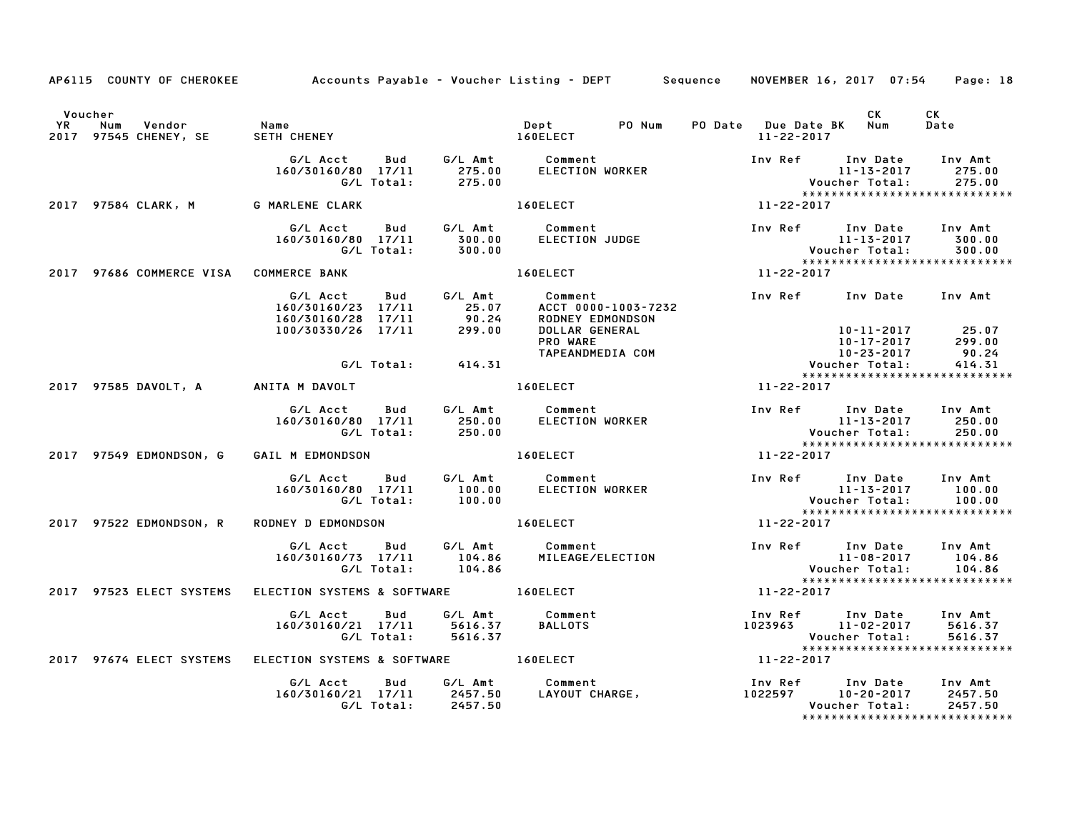|         | AP6115 COUNTY OF CHEROKEE                                       |                                                         |                                                                                                            | Accounts Payable – Voucher Listing – DEPT Sequence NOVEMBER 16, 2017 07:54 Page: 18                                                                                                                                                  |                  |                                                                                                                |                                                                                   |
|---------|-----------------------------------------------------------------|---------------------------------------------------------|------------------------------------------------------------------------------------------------------------|--------------------------------------------------------------------------------------------------------------------------------------------------------------------------------------------------------------------------------------|------------------|----------------------------------------------------------------------------------------------------------------|-----------------------------------------------------------------------------------|
| Voucher | num vendor – Name<br>2017 97545 CHENEY, SE – SETH CH            | SETH CHENEY<br>SETH CHENEY MEDICINE RESERVED AND RELECT |                                                                                                            | PO Num<br>Dept                                                                                                                                                                                                                       |                  | CK<br>PO Date Due Date BK Num<br>11-22-2017                                                                    | CK<br>Date                                                                        |
|         |                                                                 |                                                         |                                                                                                            | G/L Acct Bud G/L Amt Comment<br>160/30160/80 17/11 275.00 ELECTION WORKER<br>G/L Total: 275.00                                                                                                                                       |                  | Inv Ref Inv Date Inv Amt<br>$11 - 13 - 2017$                                                                   | 275.00                                                                            |
|         | 2017 97584 CLARK, M G MARLENE CLARK                             |                                                         |                                                                                                            | <b>160ELECT</b>                                                                                                                                                                                                                      | $11 - 22 - 2017$ |                                                                                                                |                                                                                   |
|         |                                                                 |                                                         | G/L Acct Bud G/L Amt Comment<br>160/30160/80 17/11 300.00<br>G/L Total: 300.00                             |                                                                                                                                                                                                                                      |                  | 11-13-2017 300.00<br>Voucher Total: 300.00<br>********************************                                 |                                                                                   |
|         | 2017 97686 COMMERCE VISA COMMERCE BANK                          |                                                         |                                                                                                            | 160ELECT                                                                                                                                                                                                                             | $11 - 22 - 2017$ |                                                                                                                |                                                                                   |
|         |                                                                 |                                                         |                                                                                                            | G/L Acct Bud G/L Amt Comment<br>160/30160/23 17/11 25.07 ACCT 0000-1003-7232<br>160/30160/28 17/11 90.24 RODNEY EDMONDSON<br>100/30330/26 17/11 299.00 DOLLAR GENERAL<br>PRO WARE<br>ACCT 0000-1003-7232                             |                  | Inv Ref Inv Date Inv Amt                                                                                       | 10-11-2017 25.07<br>10-17-2017 299.00<br>10-23-2017 90.24<br>oucher Total: 414.31 |
|         |                                                                 |                                                         | G/L Total:<br>414.31                                                                                       |                                                                                                                                                                                                                                      |                  |                                                                                                                | 414.31<br>*****************************                                           |
|         | 2017 97585 DAVOLT, A ANITA M DAVOLT AND AND ANN ANN AN AIGELECT |                                                         |                                                                                                            |                                                                                                                                                                                                                                      | $11 - 22 - 2017$ |                                                                                                                |                                                                                   |
|         |                                                                 |                                                         | G/L Acct Bud G/L Amt Comment<br>160/30160/80 17/11 250.00<br>G/L Total: 250.00                             | ELECTION WORKER                                                                                                                                                                                                                      |                  | Inv Ref Inv Date Inv Amt                                                                                       |                                                                                   |
|         | 2017 97549 EDMONDSON, G                                         | GAIL M EDMONDSON 160ELECT                               |                                                                                                            |                                                                                                                                                                                                                                      | $11 - 22 - 2017$ |                                                                                                                |                                                                                   |
|         |                                                                 |                                                         | G/L Acct Bud G/L Amt Comment<br>160/30160/80 17/11 100.00<br>G/L Total: 100.00                             | ELECTION WORKER                                                                                                                                                                                                                      |                  |                                                                                                                |                                                                                   |
|         | 2017 97522 EDMONDSON, R                                         | RODNEY D EDMONDSON 160ELECT                             |                                                                                                            |                                                                                                                                                                                                                                      |                  | 11-22-2017                                                                                                     |                                                                                   |
|         |                                                                 |                                                         | G/L Acct  Bud  G/L Amt  Comment<br>160/30160/73  17/11  104.86  MILEAGE/EI<br>G/L Total:  104.86           | MILEAGE/ELECTION                                                                                                                                                                                                                     |                  | Inv Ref Inv Date Inv Amt<br>11-08-2017 104.86<br>Voucher Total: 104.86<br>******************************       |                                                                                   |
|         | 2017 97523 ELECT SYSTEMS ELECTION SYSTEMS & SOFTWARE 160ELECT   |                                                         |                                                                                                            |                                                                                                                                                                                                                                      |                  | 11-22-2017                                                                                                     |                                                                                   |
|         |                                                                 | G/L Total:                                              | G/L Acct  Bud  G/L Amt  Comment<br>160/30160/21  17/11  5616.37  BALLOTS<br>G/L Total:  5616.37<br>5616.37 |                                                                                                                                                                                                                                      |                  | Inv Ref      Inv Date    Inv Amt<br>1023963        11-02-2017      5616.37<br>Voucher Total:<br>Youcher Total: | 5616.37<br>*****************************                                          |
|         |                                                                 |                                                         |                                                                                                            |                                                                                                                                                                                                                                      |                  | $11 - 22 - 2017$                                                                                               |                                                                                   |
|         |                                                                 |                                                         |                                                                                                            | G/L Acct     Bud     G/L Amt        Comment                         Inv Ref     Inv Date     Inv Amt<br>160/30160/21 17/11     2457.50     LAYOUT CHARGE,                    1022597     10–20–2017     2457.50<br>6/L Total:     24 |                  |                                                                                                                | *****************************                                                     |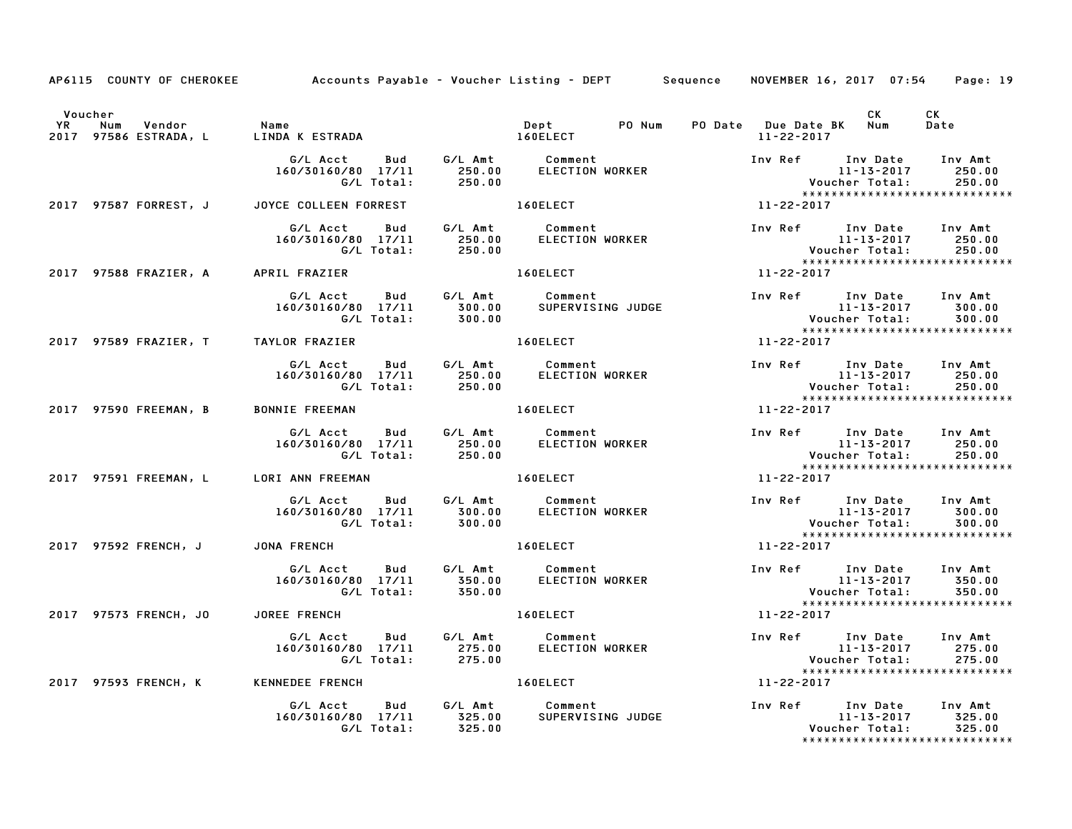|                                  | AP6115 COUNTY OF CHEROKEE Accounts Payable - Voucher Listing - DEPT Sequence NOVEMBER 16, 2017 07:54 Page: 19                                                                                                                      |                                 |                  |                   |                                                                                                           |
|----------------------------------|------------------------------------------------------------------------------------------------------------------------------------------------------------------------------------------------------------------------------------|---------------------------------|------------------|-------------------|-----------------------------------------------------------------------------------------------------------|
| Voucher                          | YR Num Vendor – Name<br>2017 97586 ESTRADA, L – LINDA K ESTRADA – – – – 160ELECT                                                                                                                                                   |                                 | 11-22-2017       |                   | CK<br>Date                                                                                                |
|                                  | G/L Acct Bud G/L Amt Comment<br>160/30160/80 17/11 250.00 ELECTION WORKER<br>G/L Total: 250.00                                                                                                                                     |                                 |                  |                   | Inv Ref Inv Date Inv Amt<br>11-13-2017 250.00<br>Voucher Total: 250.00<br>******************************  |
|                                  | 2017 97587 FORREST, J JOYCE COLLEEN FORREST 160ELECT                                                                                                                                                                               |                                 | $11 - 22 - 2017$ |                   |                                                                                                           |
|                                  | 6/L Acct Bud G/L Amt Comment Inv Ref Inv Date Inv Amt<br>160/30160/80 17/11 250.00 ELECTION WORKER 11-13-2017 250.00<br>6/L Total: 250.00 160ELECT 101<br>RIL FRAZIER 11-22-2017 11-22-2017<br>2017 97588 FRAZIER, A APRIL FRAZIER |                                 |                  |                   | *****************************                                                                             |
|                                  |                                                                                                                                                                                                                                    |                                 |                  |                   |                                                                                                           |
|                                  | G/L Acct  Bud  G/L Amt  Comment<br>160/30160/80  17/11  300.00  SUPERVISING JUDGE<br>G/L Total:  300.00                                                                                                                            |                                 |                  |                   | Inv Ref Inv Date Inv Amt<br>11-13-2017 500.00<br>Voucher Total: 500.00<br>******************************* |
|                                  | 2017 97589 FRAZIER, T TAYLOR FRAZIER                                                                                                                                                                                               | 160ELECT NO                     | $11 - 22 - 2017$ |                   |                                                                                                           |
|                                  | G/L Acct Bud G/L Amt Comment Inv Ref Inv Date Inv Amt<br>160/30160/80 17/11 250.00 ELECTION WORKER 11-13-2017 250.00<br>  G/L Total: 250.00 250.00 C/L Total: 250.00                                                               |                                 |                  |                   |                                                                                                           |
|                                  | 2017 97590 FREEMAN, B BONNIE FREEMAN NO MANUSCRIPT 160ELECT                                                                                                                                                                        |                                 | $11 - 22 - 2017$ |                   |                                                                                                           |
|                                  | G/L Acct  Bud  G/L Amt  Comment<br>160/30160/80  17/11  250.00  ELECTION WORKER<br>G/L Total:  250.00                                                                                                                              |                                 |                  |                   | Inv Ref Inv Date Inv Amt<br>11-13-2017 250.00<br>Voucher Total: 250.00<br>******************************  |
|                                  | 2017 97591 FREEMAN, L LORI ANN FREEMAN LORING THE LORELECT                                                                                                                                                                         |                                 | 11-22-2017       |                   |                                                                                                           |
|                                  | G/L Acct  Bud  G/L Amt  Comment<br>160/30160/80  17/11  300.00  ELECTION WORKER<br>G/L Total: 300.00                                                                                                                               |                                 |                  | 11-13-2017 300.00 | 300.00<br>*****************************                                                                   |
| 2017 97592 FRENCH, J JONA FRENCH |                                                                                                                                                                                                                                    | 160ELECT                        | 11-22-2017       |                   |                                                                                                           |
|                                  | G/L Acct Bud G/L Amt Comment<br>160/30160/80 17/11 350.00 ELECTION WORKER<br>G/L Total: 350.00                                                                                                                                     |                                 |                  |                   |                                                                                                           |
|                                  | 2017 97573 FRENCH, JO JOREE FRENCH                                                                                                                                                                                                 | 160ELECT And The Local Services | $11 - 22 - 2017$ |                   | *****************************                                                                             |
|                                  | G/L Acct  Bud  G/L Amt  Comment<br>160/30160/80  17/11  275.00  ELECTION WORKER<br>G/L Total:  275.00                                                                                                                              |                                 |                  |                   | Inv Ref Inv Date Inv Amt<br>11-13-2017 275.00<br>Voucher Total: 275.00<br>******************************* |
|                                  | 2017 97593 FRENCH, K KENNEDEE FRENCH                                                                                                                                                                                               | 160ELECT                        | 11-22-2017       |                   |                                                                                                           |
|                                  | G/L Acct  Bud  G/L Amt  Comment<br>160/30160/80  17/11  325.00  SUPERVISING  JUDGE<br>G/L Total:  325.00                                                                                                                           |                                 |                  | Voucher Total:    | 325.00<br>*****************************                                                                   |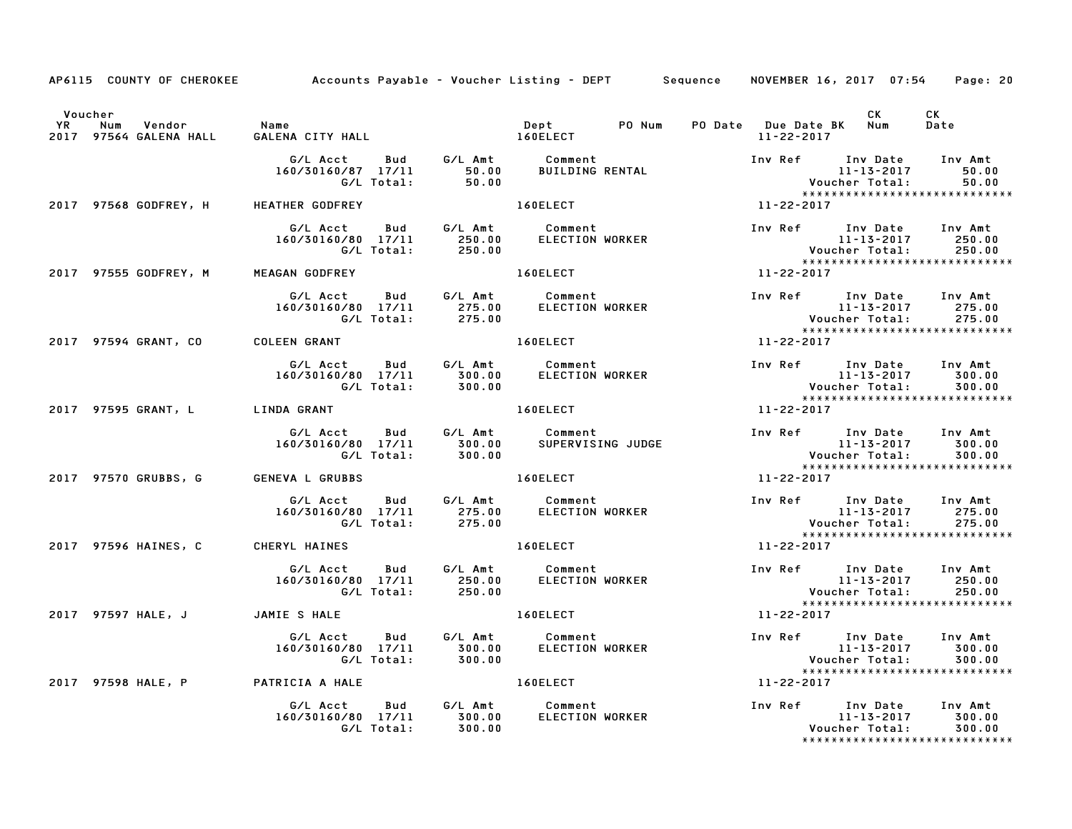|                                                                    | AP6115 COUNTY OF CHEROKEE Accounts Payable – Voucher Listing – DEPT Sequence                                                                                 |                                                                                                                |                  | NOVEMBER 16, 2017 07:54                                                                                 | Page: 20                                                                                                  |
|--------------------------------------------------------------------|--------------------------------------------------------------------------------------------------------------------------------------------------------------|----------------------------------------------------------------------------------------------------------------|------------------|---------------------------------------------------------------------------------------------------------|-----------------------------------------------------------------------------------------------------------|
| Voucher<br>YR Num Vendor - Name<br>2017 97564 GALENA HALL - GALENA |                                                                                                                                                              | Dept PO Num                                                                                                    |                  | CK <sub>2</sub><br>PO Date Due Date BK Num                                                              | CK<br>Date                                                                                                |
|                                                                    | GALENA CITY HALL 160ELECT                                                                                                                                    |                                                                                                                | 11-22-2017       |                                                                                                         |                                                                                                           |
|                                                                    |                                                                                                                                                              |                                                                                                                |                  |                                                                                                         | Inv Ref Inv Date Inv Amt<br>11-13-2017 50.00<br>Voucher Total: 50.00<br>******************************    |
|                                                                    | 2017 97568 GODFREY, H HEATHER GODFREY                                                                                                                        | 160ELECT And The Team of the Team of the Team of the Team of the Team of the Team of the Team of the Team of t | $11 - 22 - 2017$ |                                                                                                         |                                                                                                           |
|                                                                    | G/L Acct  Bud  G/L Amt  Comment<br>160/30160/80  17/11  250.00  ELECTION WORKER<br>G/L Total:  250.00                                                        |                                                                                                                |                  |                                                                                                         | *****************************                                                                             |
|                                                                    | 2017 97555 GODFREY, M MEAGAN GODFREY                                                                                                                         | 160ELECT 11-22-2017                                                                                            |                  |                                                                                                         |                                                                                                           |
|                                                                    | G/L Acct Bud G/L Amt Comment<br>160/30160/80 17/11 275.00 ELECTION WORKER<br>G/L Total: 275.00                                                               |                                                                                                                |                  |                                                                                                         | Inv Ref Inv Date Inv Amt<br>11-13-2017 275.00<br>Voucher Total: 275.00<br>******************************* |
|                                                                    | 2017 97594 GRANT, CO COLEEN GRANT                                                                                                                            | 160ELECT NOTES                                                                                                 | $11 - 22 - 2017$ |                                                                                                         |                                                                                                           |
|                                                                    | G/L Acct Bud G/L Amt Comment 160/30160/80 17/11 300.00<br>160/30160/80 17/11 300.00 ELECTION WORKER 11-13-2017 300.00<br>6/L Total: 300.00 6/L Total: 300.00 |                                                                                                                |                  |                                                                                                         | ---<br>Voucher Total: 300.00<br>******************************                                            |
| 2017 97595 GRANT, L LINDA GRANT                                    |                                                                                                                                                              | 160ELECT                                                                                                       | $11 - 22 - 2017$ |                                                                                                         |                                                                                                           |
|                                                                    | G/L Acct  Bud  G/L Amt  Comment<br>160/30160/80  17/11  300.00  SUPERVISING JUDGE<br>G/L Total:  300.00                                                      |                                                                                                                |                  |                                                                                                         | Inv Ref Inv Date Inv Amt<br>11-13-2017 300.00<br>Voucher Total: 300.00<br>******************************* |
| 2017 97570 GRUBBS, G                                               | <b>GENEVA L GRUBBS</b>                                                                                                                                       | 160ELECT                                                                                                       | 11-22-2017       |                                                                                                         |                                                                                                           |
|                                                                    | G/L Acct  Bud  G/L Amt  Comment<br>160/30160/80  17/11  275.00  ELECTION WORKER<br>G/L Total: 275.00                                                         |                                                                                                                |                  | Inv Ref Inv Date Inv Amt<br>11-13-2017                                                                  | 275.00<br>275.00<br>*****************************                                                         |
| 2017 97596 HAINES, C CHERYL HAINES                                 |                                                                                                                                                              | 160ELECT                                                                                                       | 11-22-2017       |                                                                                                         |                                                                                                           |
|                                                                    |                                                                                                                                                              |                                                                                                                |                  | Inv Ref       Inv Date     Inv Amt<br>11-13-2017           250.00<br>$11 - 13 - 2017$<br>Voucher Total: | 250.00                                                                                                    |
|                                                                    |                                                                                                                                                              | 160ELECT 11-22-2017                                                                                            |                  |                                                                                                         | *****************************                                                                             |
|                                                                    |                                                                                                                                                              |                                                                                                                |                  | Inv Ref 11-13-2017 Inv Amt<br>11-13-2017 300.00<br>Voucher Total: 300.00                                |                                                                                                           |
|                                                                    | 2017 97598 HALE, P PATRICIA A HALE                                                                                                                           | 160ELECT NOTES                                                                                                 | 11-22-2017       |                                                                                                         |                                                                                                           |
|                                                                    | G/L Acct Bud G/L Amt Comment<br>160/30160/80 17/11 300.00<br>G/L Total: 300.00                                                                               | ELECTION WORKER                                                                                                |                  | Inv Ref Inv Date Inv Amt<br>11-13-2017<br>Voucher Total:                                                | 300.00<br>300.00<br>*****************************                                                         |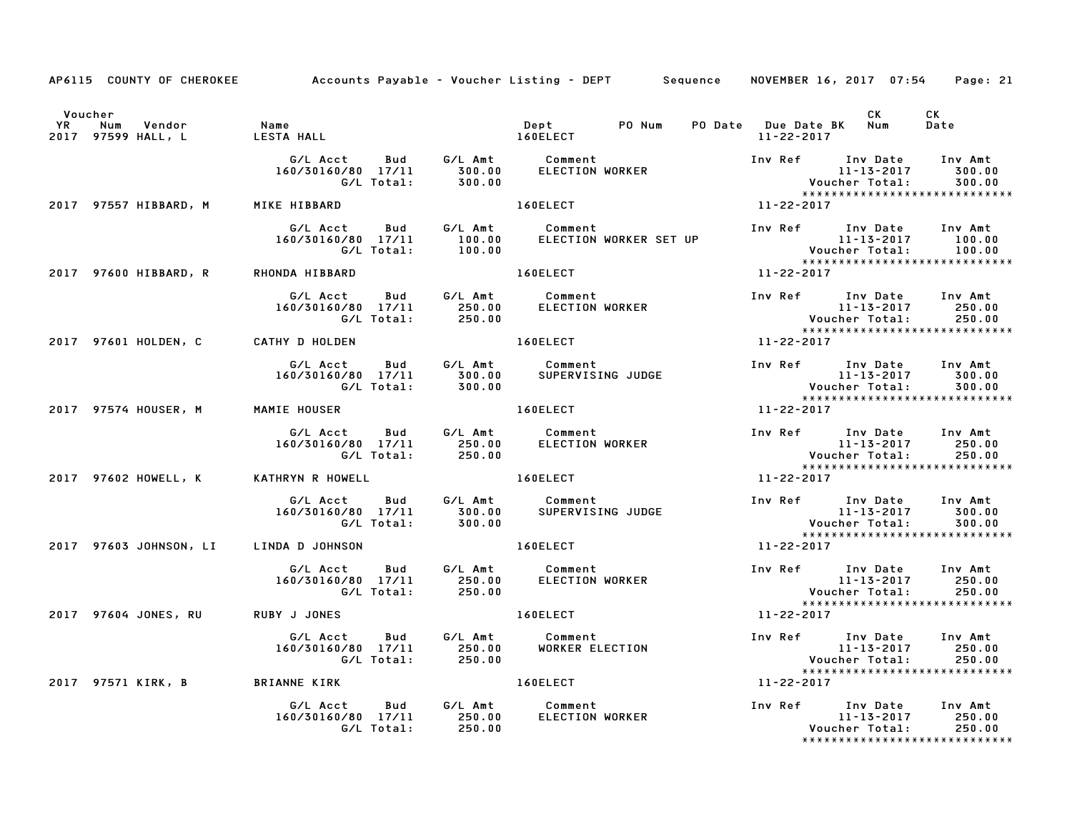|                                        |                                                                                                  |                              | AP6115 COUNTY OF CHEROKEE Accounts Payable – Voucher Listing – DEPT Sequence NOVEMBER 16, 2017 07:54           |                                                                                                                                                          | Page: 21                    |
|----------------------------------------|--------------------------------------------------------------------------------------------------|------------------------------|----------------------------------------------------------------------------------------------------------------|----------------------------------------------------------------------------------------------------------------------------------------------------------|-----------------------------|
| Voucher                                |                                                                                                  |                              | Dept PO Num                                                                                                    | <b>CK</b><br>PO Date Due Date BK Num<br>11-22-2017                                                                                                       | CK<br>Date                  |
|                                        | G/L Total: 300.00                                                                                |                              |                                                                                                                | *****************************                                                                                                                            | 300.00<br>300.00            |
|                                        | 2017 97557 HIBBARD, M MIKE HIBBARD                                                               |                              | 160ELECT                                                                                                       | 11-22-2017                                                                                                                                               |                             |
|                                        |                                                                                                  |                              |                                                                                                                |                                                                                                                                                          |                             |
| 2017 97600 HIBBARD, R                  | RHONDA HIBBARD                                                                                   |                              | 160ELECT                                                                                                       | 11-22-2017                                                                                                                                               |                             |
|                                        |                                                                                                  |                              |                                                                                                                |                                                                                                                                                          |                             |
| 2017 97601 HOLDEN, C CATHY D HOLDEN    |                                                                                                  |                              |                                                                                                                |                                                                                                                                                          |                             |
|                                        | G/L Acct Bud G/L Amt Comment<br>160/30160/80 17/11 300.00 SUPERVISING JUDGE<br>G/L Total: 300.00 |                              |                                                                                                                | Inv Ref Inv Date Inv Amt<br>$11 - 13 - 2017$ 300.00<br>11-13-2017<br>:Voucher Total<br>***************<br>*****************************                  | 300.00                      |
|                                        | 2017 97574 HOUSER, M MAMIE HOUSER                                                                |                              | 160ELECT                                                                                                       | $11 - 22 - 2017$                                                                                                                                         |                             |
|                                        |                                                                                                  |                              |                                                                                                                | 11-15-2017<br>Voucher Total: 250.00<br>******************************                                                                                    |                             |
| 2017 97602 HOWELL, K KATHRYN R HOWELL  |                                                                                                  | <b>Example 2018 160ELECT</b> | $11 - 22 - 2017$                                                                                               |                                                                                                                                                          |                             |
|                                        | G/L Total:                                                                                       | 300.00                       |                                                                                                                | / 1102-215<br>: Voucher Total<br>: × × × × × × × × × × × × × × × × × ×<br>*****************************                                                  | 11-13-2017 300.00<br>300.00 |
| 2017 97603 JOHNSON, LI LINDA D JOHNSON |                                                                                                  |                              | 160ELECT                                                                                                       | 11-22-2017                                                                                                                                               |                             |
|                                        |                                                                                                  |                              |                                                                                                                | Inv Ref Inv Date Inv Amt<br>11-13-2017 250.00<br>11-13-2017<br>: Voucher Total<br>* * * * * * * * * * * * * * * * * * *<br>***************************** | 250.00                      |
| 2017 97604 JONES, RU                   | <b>RUBY J JONES</b>                                                                              |                              | 160ELECT And The Second Second Second Second Second Second Second Second Second Second Second Second Second Se | $11 - 22 - 2017$                                                                                                                                         |                             |
|                                        | G/L Acct Bud G/L Amt Comment<br>160/30160/80 17/11 250.00 WORKER ELECTION<br>G/L Total: 250.00   |                              |                                                                                                                | Inv Ref Inv Date Inv Amt<br>11-13-2017 250.00<br>Voucher Total: 250.00<br>*******************************                                                |                             |
|                                        | 2017 97571 KIRK, B BRIANNE KIRK                                                                  |                              | 160ELECT                                                                                                       | 11-22-2017                                                                                                                                               |                             |
|                                        | G/L Acct<br>160/30160/80 17/11 250.00<br>G/L Total: 250.00                                       |                              | Bud G/L Amt Comment                                                                                            | Voucher Total:<br>*****************************                                                                                                          | 250.00<br>250.00            |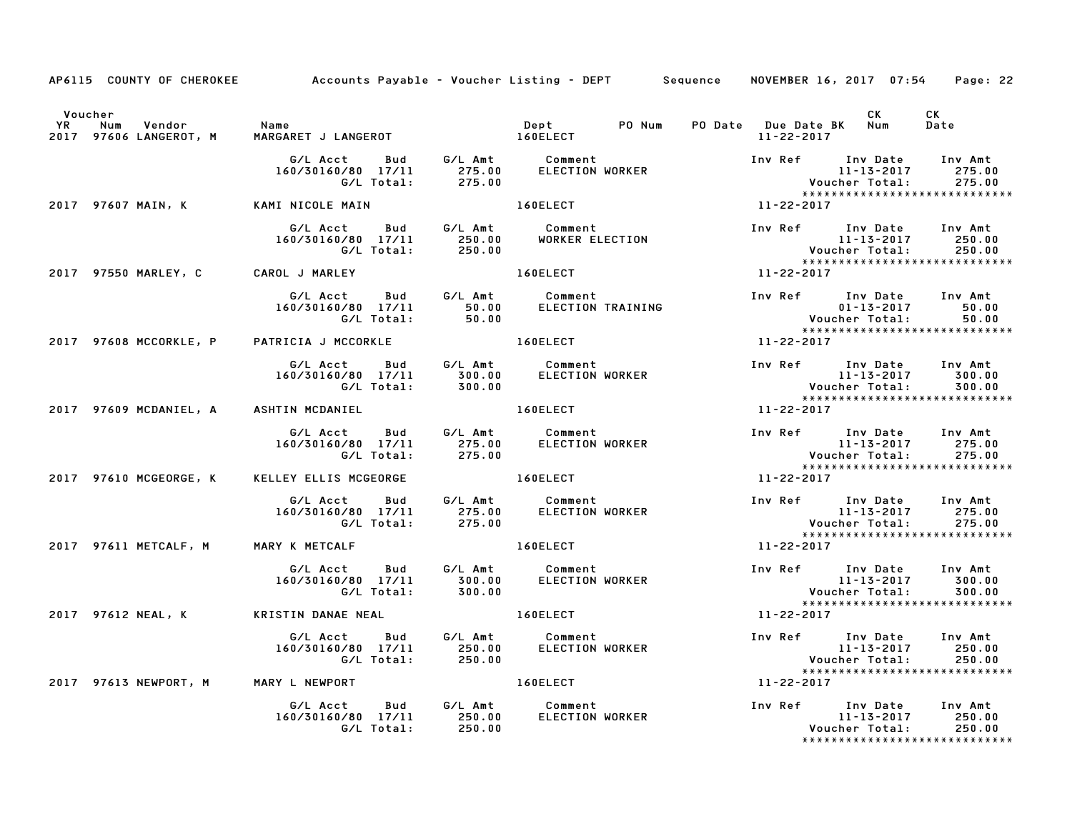|         |                                      | AP6115 COUNTY OF CHEROKEE Accounts Payable - Voucher Listing - DEPT Sequence NOVEMBER 16, 2017 07:54  |                                                                                                                                                                                                                                |                  |                              |                                               | Page: 22                                                                                                  |
|---------|--------------------------------------|-------------------------------------------------------------------------------------------------------|--------------------------------------------------------------------------------------------------------------------------------------------------------------------------------------------------------------------------------|------------------|------------------------------|-----------------------------------------------|-----------------------------------------------------------------------------------------------------------|
| Voucher |                                      |                                                                                                       |                                                                                                                                                                                                                                |                  | 11-22-2017                   | CK<br>PO Date Due Date BK Num                 | CK<br>Date                                                                                                |
|         |                                      |                                                                                                       | 160ELECT<br>Care                                                                                                                                                                                                               |                  |                              |                                               |                                                                                                           |
|         |                                      | 2017 97607 MAIN, K            KAMI NICOLE MAIN                                                        |                                                                                                                                                                                                                                |                  | $11 - 22 - 2017$             |                                               |                                                                                                           |
|         |                                      | G/L Acct Bud G/L Amt Comment<br>160/30160/80 17/11 250.00 WORKER EL<br>G/L Total: 250.00              | Comment Inv Ref Inv Date Inv Amt<br>WORKER ELECTION 11-13-2017 250.00<br>160ELECT 11-22-2017 11-22-2017                                                                                                                        |                  |                              |                                               |                                                                                                           |
|         | 2017 97550 MARLEY, C CAROL J MARLEY  |                                                                                                       |                                                                                                                                                                                                                                |                  |                              |                                               |                                                                                                           |
|         |                                      | G/L Acct Bud G/L Amt Comment<br>160/30160/80 17/11 50.00 ELECTION TRAINING<br>G/L Total: 50.00        |                                                                                                                                                                                                                                |                  |                              | Inv Ref Inv Date Inv Amt                      | 1100 July 1100 July 1100 July 1100 July 113-2017<br>11-22-2017 11-22-2017<br>11-22-2017                   |
|         |                                      | 2017 97608 MCCORKLE, P PATRICIA J MCCORKLE A RESERVATION AND RESERVE TO A RESERVE                     |                                                                                                                                                                                                                                |                  |                              |                                               |                                                                                                           |
|         |                                      | G/L Acct Bud G/L Amt Comment<br>160/30160/80 17/11 300.00 ELECTION WORKER<br>G/L Total: 300.00        | ELECTION WORKER                                                                                                                                                                                                                |                  |                              |                                               | Inv Ref Inv Date Inv Amt<br>11-13-2017 300.00<br>Voucher Total: 300.00<br>******************************* |
|         |                                      | 2017 97609 MCDANIEL, A ASHTIN MCDANIEL                                                                | 160ELECT And the state of the state of the state of the state of the state of the state of the state of the state of the state of the state of the state of the state of the state of the state of the state of the state of t |                  | $11 - 22 - 2017$             |                                               |                                                                                                           |
|         |                                      | 160/30160/80 17/11                                                                                    |                                                                                                                                                                                                                                |                  |                              |                                               | *****************************                                                                             |
|         |                                      | 2017 97610 MCGEORGE, K KELLEY ELLIS MCGEORGE THE LODELECT                                             |                                                                                                                                                                                                                                | $11 - 22 - 2017$ |                              |                                               |                                                                                                           |
|         |                                      | G/L Acct Bud G/L Amt Comment<br>160/30160/80 17/11 275.00 ELECTION WORKER<br>G/L Total: 275.00        |                                                                                                                                                                                                                                |                  |                              |                                               |                                                                                                           |
|         | 2017 97611 METCALF, M MARY K METCALF |                                                                                                       | 160ELECT                                                                                                                                                                                                                       |                  | 11-22-2017                   |                                               |                                                                                                           |
|         |                                      |                                                                                                       | ELECTION WORKER                                                                                                                                                                                                                |                  | 11-13-2017<br>:Voucher Total | Inv Ref Inv Date Inv Amt<br>11-13-2017 300.00 | 300.00                                                                                                    |
|         |                                      |                                                                                                       |                                                                                                                                                                                                                                |                  | 11-22-2017                   |                                               | *****************************                                                                             |
|         |                                      | G/L Acct  Bud  G/L Amt  Comment<br>160/30160/80  17/11  250.00  ELECTION WORKER<br>G/L Total:  250.00 |                                                                                                                                                                                                                                |                  |                              |                                               | *****************************                                                                             |
|         |                                      | 2017 97613 NEWPORT, M MARY L NEWPORT                                                                  | 160ELECT 11-22-2017                                                                                                                                                                                                            |                  |                              |                                               |                                                                                                           |
|         |                                      | G/L Acct Bud G/L Amt Comment<br>160/30160/80 17/11 250.00<br>G/L Total: 250.00                        | ELECTION WORKER                                                                                                                                                                                                                |                  |                              |                                               |                                                                                                           |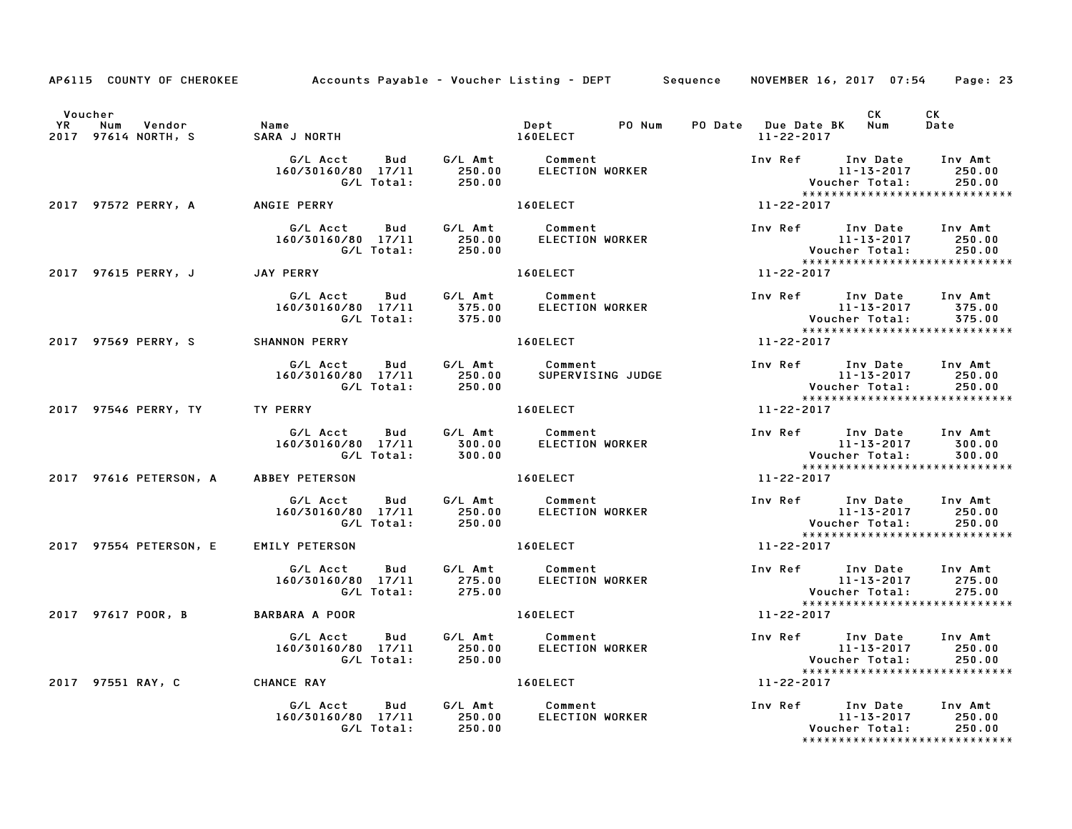|                               | AP6115 COUNTY OF CHEROKEE Accounts Payable – Voucher Listing – DEPT Sequence NOVEMBER 16, 2017 07:54     |         |                                                                                                                                                                                                                                |                  |                  |                                                                                                                                                      | Page: 23                                                                                                                  |
|-------------------------------|----------------------------------------------------------------------------------------------------------|---------|--------------------------------------------------------------------------------------------------------------------------------------------------------------------------------------------------------------------------------|------------------|------------------|------------------------------------------------------------------------------------------------------------------------------------------------------|---------------------------------------------------------------------------------------------------------------------------|
| Voucher                       |                                                                                                          |         | Dept<br>PO Num                                                                                                                                                                                                                 |                  | 11-22-2017       | CK<br>PO Date Due Date BK Num                                                                                                                        | <b>CK</b><br>Date                                                                                                         |
|                               | G/L Acct<br>160/30160/80 17/11<br>G/L Total:                                                             | 250.00  | ELECTION WORKER                                                                                                                                                                                                                |                  |                  | Inv Ref      Inv Date    Inv Amt<br>11-13-2017       250.00                                                                                          |                                                                                                                           |
|                               | 2017 97572 PERRY, A ANGIE PERRY                                                                          |         | <b>160ELECT</b>                                                                                                                                                                                                                |                  | $11 - 22 - 2017$ |                                                                                                                                                      |                                                                                                                           |
|                               |                                                                                                          |         |                                                                                                                                                                                                                                |                  |                  |                                                                                                                                                      |                                                                                                                           |
|                               | 2017 97615 PERRY, J JAY PERRY                                                                            |         | 160ELECT And The Local Contract of the Contract of the Contract of the Contract of the Contract of the Contract of the Contract of the Contract of the Contract of the Contract of the Contract of the Contract of the Contrac |                  |                  |                                                                                                                                                      |                                                                                                                           |
|                               | G/L Acct  Bud  G/L Amt  Comment<br>160/30160/80  17/11  375.00  ELECTION WORKER<br>G/L Total:  375.00    |         |                                                                                                                                                                                                                                |                  |                  |                                                                                                                                                      | Inv Ref Inv Date Inv Amt<br>11-13-2017 375.00<br>Voucher Total: 375.00<br>*********************************<br>11-22-2017 |
|                               | 2017 97569 PERRY, S SHANNON PERRY                                                                        |         | <b>160ELECT</b>                                                                                                                                                                                                                |                  |                  |                                                                                                                                                      |                                                                                                                           |
|                               | G/L Acct  Bud  G/L Amt  Comment<br>160/30160/80  17/11  250.00  SUPERVISING  JUDGE<br>G/L Total:  250.00 |         |                                                                                                                                                                                                                                |                  |                  | Inv Ref Inv Date Inv Amt<br>11-13-2017<br>11-13-2017<br>:Voucher Total<br>***************                                                            | 250.00<br>250.00<br>******************************                                                                        |
| 2017 97546 PERRY, TY TY PERRY |                                                                                                          |         | 160ELECT                                                                                                                                                                                                                       |                  | 11-22-2017       |                                                                                                                                                      |                                                                                                                           |
|                               | 160/30160/80 17/11                                                                                       |         |                                                                                                                                                                                                                                |                  |                  |                                                                                                                                                      |                                                                                                                           |
| 2017 97616 PETERSON, A        | <b>ABBEY PETERSON</b>                                                                                    |         | 160ELECT                                                                                                                                                                                                                       | $11 - 22 - 2017$ |                  |                                                                                                                                                      |                                                                                                                           |
|                               | G/L Acct  Bud  G/L Amt  Comment<br>160/30160/80  17/11  250.00  ELECTION WORKER<br>G/L Total:            | 250.00  | ELECTION WORKER                                                                                                                                                                                                                |                  |                  | Inv Ref       Inv Date     Inv Amt<br>11-13-2017               250.00<br>11-13-2017<br>11-13-2017<br>:Voucher Total<br>***************************** | 250.00<br>250.00                                                                                                          |
| 2017 97554 PETERSON, E        | <b>EMILY PETERSON</b>                                                                                    |         | 160ELECT                                                                                                                                                                                                                       |                  | 11-22-2017       |                                                                                                                                                      |                                                                                                                           |
|                               | G/L Acct<br><b>Bud</b><br>160/30160/80 17/11<br>160/80 17/11 275.00<br>275.00 G/L Total: 275.00          | G/L Amt | <b>Comment</b><br>ELECTION<br>ELECTION WORKER                                                                                                                                                                                  |                  |                  | Inv Ref Inv Date<br>11-13-2017<br>$11 - 13 - 2017$<br>Voucher Total:                                                                                 | Inv Amt<br>275.00<br>275.00                                                                                               |
| 2017 97617 POOR, B            | <b>BARBARA A POOR</b>                                                                                    |         | 160ELECT And The Lines                                                                                                                                                                                                         | $11 - 22 - 2017$ |                  |                                                                                                                                                      |                                                                                                                           |
|                               | G/L Acct Bud G/L Amt Comment<br>160/30160/80 17/11 250.00 ELECTION WORKER<br>G/L Total: 250.00           |         |                                                                                                                                                                                                                                |                  |                  | Inv Ref Inv Date Inv Amt<br>11-13-2017 250.00<br>Voucher Total: 250.00<br>*****************************                                              | 250.00<br>250.00                                                                                                          |
|                               | 2017 97551 RAY, C CHANCE RAY                                                                             |         | 160ELECT And The League                                                                                                                                                                                                        |                  | 11-22-2017       |                                                                                                                                                      |                                                                                                                           |
|                               | G/L Acct<br>160/30160/80 17/11 250.00<br>G/L Total: 250.00                                               |         | Bud G/L Amt Comment<br>ELECTION WORKER                                                                                                                                                                                         |                  |                  | Inv Ref Inv Date Inv Amt<br>11-13-2017<br>Voucher Total:                                                                                             | 250.00<br>250.00<br>*****************************                                                                         |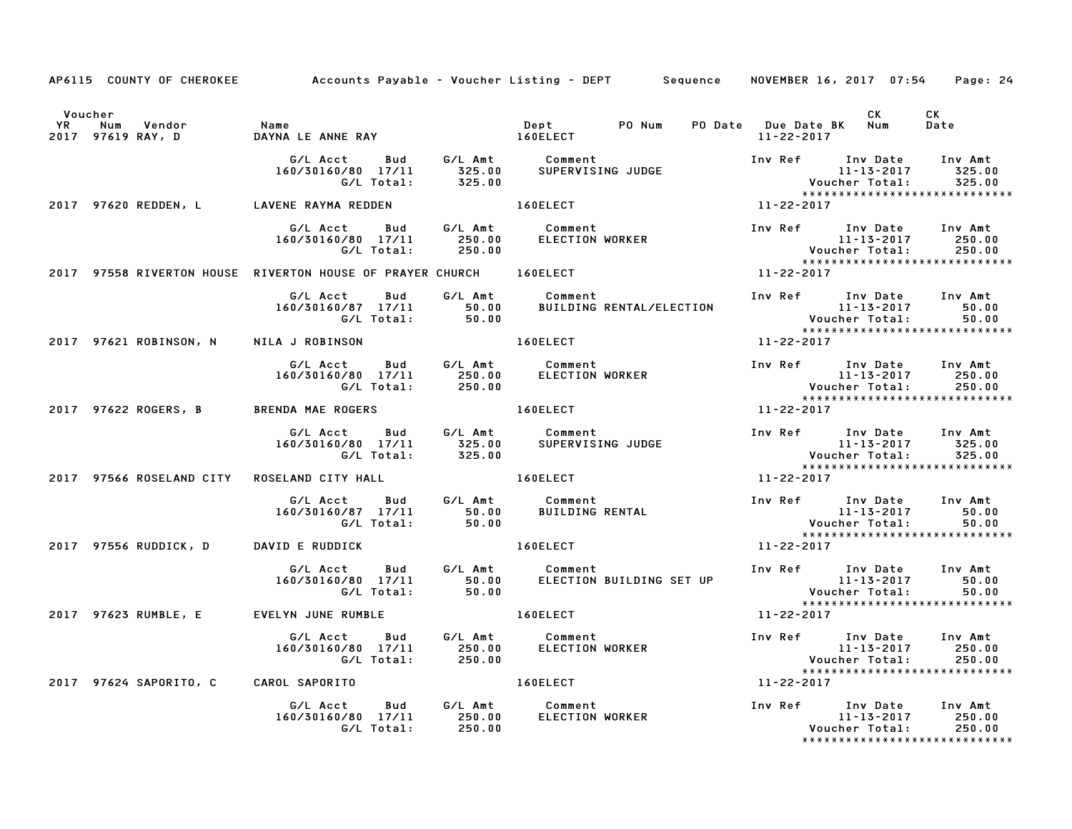|                      |                                       | AP6115 COUNTY OF CHEROKEE Accounts Payable - Voucher Listing - DEPT Sequence                                                        |       |                                   |                  | NOVEMBER 16, 2017 07:54                                                       |                   | Page: 24                                                                                                  |
|----------------------|---------------------------------------|-------------------------------------------------------------------------------------------------------------------------------------|-------|-----------------------------------|------------------|-------------------------------------------------------------------------------|-------------------|-----------------------------------------------------------------------------------------------------------|
| Voucher<br><b>YR</b> | Num Vendor<br>2017 97619 RAY, D       | Name<br>DAYNA LE ANNE RAY<br>DAYNA LE ANNE RAY DELECT                                                                               |       | Dept PO Num<br>1/051567           |                  | PO Date Due Date BK Num<br>11-22-2017                                         | <b>CK</b>         | CK<br>Date                                                                                                |
|                      |                                       | G/L Acct Bud G/L Amt Comment<br>160/30160/80 17/11 325.00 SUPERVISING JUDGE<br>G/L Total: 325.00                                    |       |                                   |                  | Inv Ref      Inv Date     Inv Amt                                             | $11 - 13 - 2017$  | 325.00<br>Voucher Total: 325.00<br>*****************************                                          |
|                      |                                       | 2017 97620 REDDEN, L LAVENE RAYMA REDDEN                                                                                            |       | 160ELECT                          |                  | 11-22-2017                                                                    |                   |                                                                                                           |
|                      |                                       | G/L Acct     Bud     G/L Amt     Comment<br>160/30160/80   17/11         250.00        ELECTION WORKER<br>G/L Total:         250.00 |       |                                   |                  |                                                                               |                   | Inv Ref Inv Date Inv Amt<br>11-13-2017 250.00<br>Voucher Total: 250.00<br>******************************* |
|                      |                                       | 2017 97558 RIVERTON HOUSE RIVERTON HOUSE OF PRAYER CHURCH 160ELECT                                                                  |       |                                   |                  | $11 - 22 - 2017$                                                              |                   |                                                                                                           |
|                      |                                       | G/L Acct Bud<br>160/30160/87 17/11<br>160/87 17/11 50.00<br>G/L Total: 50.00                                                        |       |                                   |                  |                                                                               |                   |                                                                                                           |
|                      |                                       | 2017 97621 ROBINSON, N NILA J ROBINSON                                                                                              |       | <b>160ELECT</b>                   |                  | 11-22-2017                                                                    |                   |                                                                                                           |
|                      |                                       |                                                                                                                                     |       |                                   |                  |                                                                               |                   | *****************************                                                                             |
|                      |                                       | 2017 97622 ROGERS, B BRENDA MAE ROGERS                                                                                              |       | 160ELECT                          |                  | 11-22-2017                                                                    |                   |                                                                                                           |
|                      |                                       | G/L Acct  Bud  G/L Amt  Comment<br>160/30160/80  17/11  325.00  SUPERVISING JUDGE<br>G/L Total:  325.00                             |       |                                   |                  | 11-13-2017<br>: Voucher Total<br>****************                             |                   | 325.00<br>******************************                                                                  |
|                      |                                       | 2017 97566 ROSELAND CITY ROSELAND CITY HALL                                                                                         |       | 160ELECT                          | $11 - 22 - 2017$ |                                                                               |                   |                                                                                                           |
|                      |                                       |                                                                                                                                     |       |                                   |                  | Inv Ref Inv Date Inv Amt                                                      |                   |                                                                                                           |
|                      | 2017 97556 RUDDICK, D DAVID E RUDDICK |                                                                                                                                     |       | 160ELECT                          |                  |                                                                               |                   |                                                                                                           |
|                      |                                       | G/L Acct  Bud  G/L Amt  Comment<br>160/30160/80  17/11  50.00  ELECTION<br>G/L Total:                                               | 50.00 |                                   |                  |                                                                               |                   | ******************************                                                                            |
|                      |                                       | 2017 97623 RUMBLE, E EVELYN JUNE RUMBLE                                                                                             |       | 160ELECT                          |                  | 11-22-2017                                                                    |                   |                                                                                                           |
|                      |                                       | Acct Bud G/LAmt Comment<br>160/80 17/11 250.00 ELECTION WORKER<br>G/L Total: 250.00<br>G/L Acct<br>160/30160/80 17/11               |       |                                   |                  |                                                                               | 11-13-2017 250.00 | *****************************                                                                             |
|                      | 2017 97624 SAPORITO, C CAROL SAPORITO |                                                                                                                                     |       | 160ELECT And The Local Contractor |                  | $11 - 22 - 2017$                                                              |                   |                                                                                                           |
|                      |                                       | G/L Acct<br>160/30160/80 17/11 250.00<br>G/L Total: 250.00                                                                          |       | Bud G/L Amt Comment               | ELECTION WORKER  | Inv Ref Inv Date Inv Amt<br>11-13-2017 250.00<br>150.00 Voucher Total: 250.00 |                   |                                                                                                           |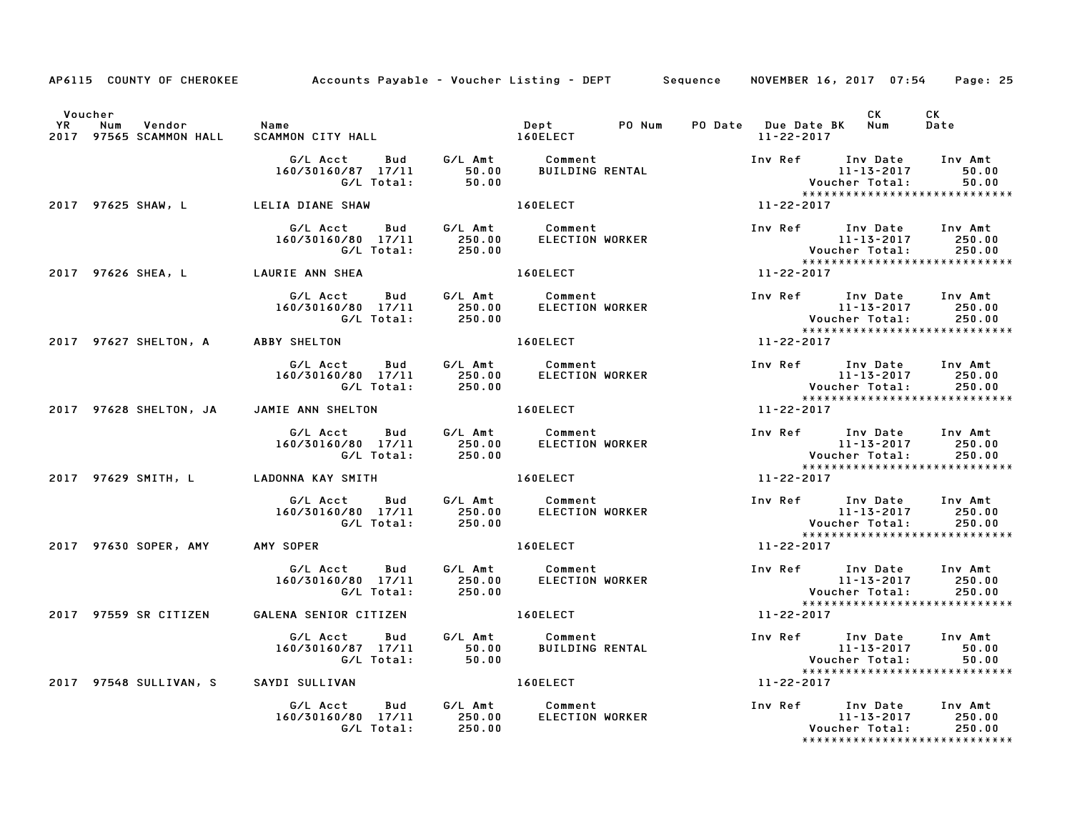|    |                                 | AP6115 COUNTY OF CHEROKEE Accounts Payable – Voucher Listing – DEPT Sequence                         |                                                                                                                                                                                                                                |                          |                  | NOVEMBER 16, 2017 07:54                                                                     | Page: 25                                                                                               |
|----|---------------------------------|------------------------------------------------------------------------------------------------------|--------------------------------------------------------------------------------------------------------------------------------------------------------------------------------------------------------------------------------|--------------------------|------------------|---------------------------------------------------------------------------------------------|--------------------------------------------------------------------------------------------------------|
| YR | Voucher<br>Num Vendor Name      |                                                                                                      | Dept PO Num                                                                                                                                                                                                                    |                          |                  | CK<br>PO Date Due Date BK Num                                                               | CK<br>Date                                                                                             |
|    | 2017 97565 SCAMMON HALL         | SCAMMON CITY HALL 160ELECT                                                                           |                                                                                                                                                                                                                                |                          | 11-22-2017       |                                                                                             |                                                                                                        |
|    |                                 |                                                                                                      |                                                                                                                                                                                                                                |                          |                  |                                                                                             | Inv Ref Inv Date Inv Amt<br>11-13-2017 50.00<br>Voucher Total: 50.00<br>****************************** |
|    | 2017 97625 SHAW, L              | LELIA DIANE SHAW                                                                                     | 160ELECT And the state of the state of the state of the state of the state of the state of the state of the state of the state of the state of the state of the state of the state of the state of the state of the state of t | $11 - 22 - 2017$         |                  |                                                                                             |                                                                                                        |
|    |                                 | G/L Acct Bud G/L Amt Comment<br>160/30160/80 17/11 250.00 ELECTION WORKER<br>G/L Total: 250.00       |                                                                                                                                                                                                                                |                          |                  |                                                                                             | *****************************                                                                          |
|    |                                 | 2017 97626 SHEA, Least LAURIE ANN SHEA                                                               | 160ELECT 11-22-2017                                                                                                                                                                                                            |                          |                  |                                                                                             |                                                                                                        |
|    |                                 | G/L Acct  Bud  G/L Amt  Comment<br>160/30160/80  17/11  250.00  ELECTION WOR<br>G/L Total:  250.00   | ELECTION WORKER                                                                                                                                                                                                                |                          |                  |                                                                                             |                                                                                                        |
|    |                                 | 2017 97627 SHELTON, A ABBY SHELTON                                                                   | 160ELECT AND THE RESIDENCE                                                                                                                                                                                                     |                          |                  |                                                                                             |                                                                                                        |
|    |                                 |                                                                                                      |                                                                                                                                                                                                                                |                          |                  |                                                                                             | 11-13-2017 250.00<br>Voucher Total: 250.00<br>*****************************                            |
|    |                                 | 2017 97628 SHELTON, JA JAMIE ANN SHELTON 160ELECT                                                    |                                                                                                                                                                                                                                | $11 - 22 - 2017$         |                  |                                                                                             |                                                                                                        |
|    |                                 | G/L Acct Bud G/L Amt Comment<br>160/30160/80 17/11 250.00 ELECTION WORKER<br>G/L Total: 250.00       |                                                                                                                                                                                                                                |                          |                  | Inv Ref Inv Date Inv Amt<br>11-13-2017 250.00                                               |                                                                                                        |
|    |                                 |                                                                                                      | 160ELECT                                                                                                                                                                                                                       |                          | $11 - 22 - 2017$ |                                                                                             |                                                                                                        |
|    |                                 | G/L Acct  Bud  G/L Amt  Comment<br>160/30160/80  17/11  250.00  ELECTION WORKER<br>G/L Total: 250.00 |                                                                                                                                                                                                                                |                          |                  | Inv Ref      Inv Date    Inv Amt<br>11-13-2017       250.00<br>11-13-2017<br>:Voucher Total | 250.00<br>*****************************                                                                |
|    | 2017 97630 SOPER, AMY AMY SOPER |                                                                                                      | <b>160ELECT</b>                                                                                                                                                                                                                |                          | 11-22-2017       |                                                                                             |                                                                                                        |
|    |                                 |                                                                                                      | ELECTION WORKER                                                                                                                                                                                                                |                          |                  | Inv Ref Inv Date<br>11-13-2017<br>Voucher Total:<br>xxxxxxxxxxxxxxxxxxxxxxx                 | Inv Amt<br>250.00<br>250.00                                                                            |
|    | 2017 97559 SR CITIZEN           | GALENA SENIOR CITIZEN                                                                                | 160ELECT And The Local Contractor                                                                                                                                                                                              | $11 - 22 - 2017$         |                  |                                                                                             | ******************************                                                                         |
|    |                                 |                                                                                                      |                                                                                                                                                                                                                                |                          |                  | Inv Ref 1nv Date Inv Amt<br>11-13-2017 50.00<br>Voucher Total: 50.00                        | 50.00<br>50.00                                                                                         |
|    |                                 | 2017 97548 SULLIVAN, S SAYDI SULLIVAN                                                                | 160ELECT And the set of the set of the set of the set of the set of the set of the set of the set of the set o                                                                                                                 |                          | 11-22-2017       |                                                                                             |                                                                                                        |
|    |                                 | G/L Acct<br>160/30160/80 17/11 250.00<br>G/L Total: 250.00                                           | Bud G/L Amt Comment<br>ELECTION WORKER                                                                                                                                                                                         | Inv Ref Inv Date Inv Amt |                  | 11-13-2017<br>Voucher Total:                                                                | 250.00<br>250.00<br>*****************************                                                      |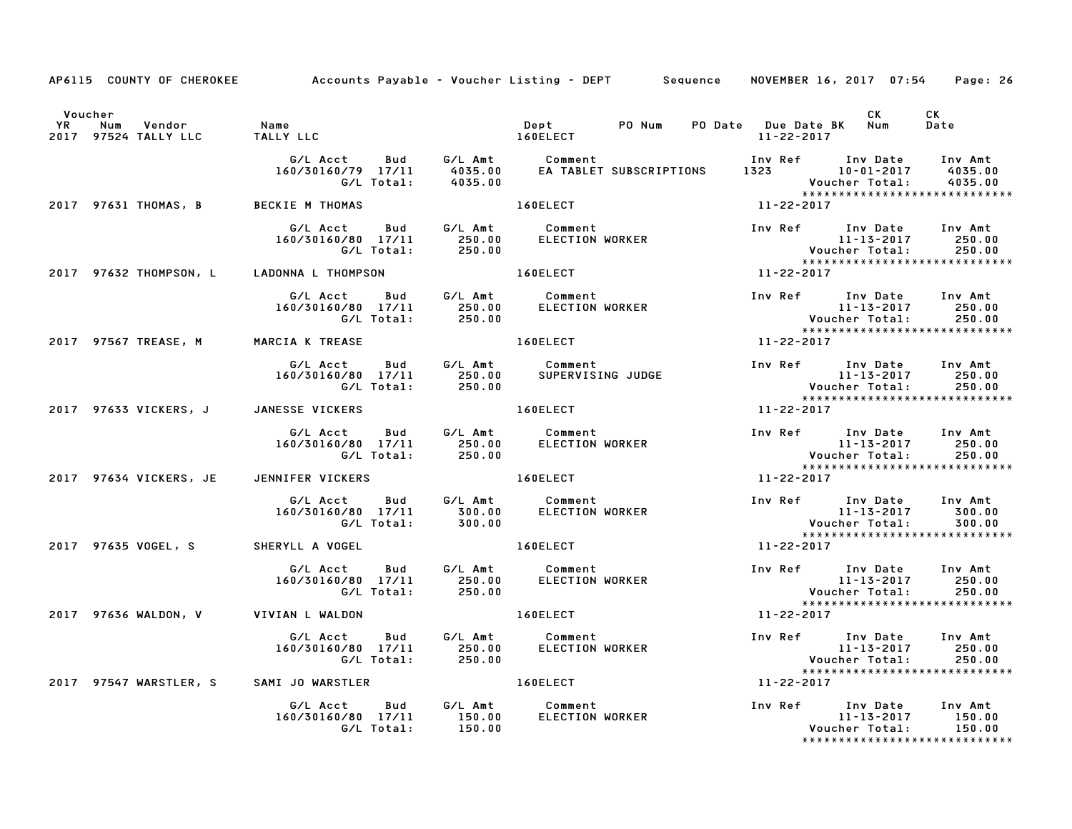|         |                                                          | AP6115 COUNTY OF CHEROKEE Accounts Payable - Voucher Listing - DEPT Sequence NOVEMBER 16, 2017 07:54 Page: 26                                                                                                    |                                                                                                                                                                                                                                |                  |                  |                                                                                                                                                                                                                                                                  |                                                                                                            |
|---------|----------------------------------------------------------|------------------------------------------------------------------------------------------------------------------------------------------------------------------------------------------------------------------|--------------------------------------------------------------------------------------------------------------------------------------------------------------------------------------------------------------------------------|------------------|------------------|------------------------------------------------------------------------------------------------------------------------------------------------------------------------------------------------------------------------------------------------------------------|------------------------------------------------------------------------------------------------------------|
| Voucher | YR Num Vendor - Name<br>2017 97524 TALLY LLC - TALLY LLO | TALLY LLC                                                                                                                                                                                                        | Dept<br>160ELECT                                                                                                                                                                                                               |                  | 11-22-2017       | CK and the set of the set of the set of the set of the set of the set of the set of the set of the set of the set of the set of the set of the set of the set of the set of the set of the set of the set of the set of the se<br>PO Num PO Date Due Date BK Num | CK<br>Date                                                                                                 |
|         |                                                          | G/L Acct Bud G/L Amt Comment Inv Ref Inv Date Inv Amt<br>160/30160/79 17/11 4035.00 EA TABLET SUBSCRIPTIONS 1323 10-01-2017 4035.00<br>G/L Total: 4035.00 6/L Total: 4035.00                                     |                                                                                                                                                                                                                                |                  |                  |                                                                                                                                                                                                                                                                  |                                                                                                            |
|         | 2017 97631 THOMAS, B                                     | <b>BECKIE M THOMAS</b>                                                                                                                                                                                           | 160ELECT                                                                                                                                                                                                                       |                  | $11 - 22 - 2017$ |                                                                                                                                                                                                                                                                  |                                                                                                            |
|         |                                                          | G/L Acct Bud G/L Amt Comment<br>160/30160/80 17/11 250.00 ELECTION WORKER<br>G/L Total: 250.00                                                                                                                   |                                                                                                                                                                                                                                |                  |                  | Inv Ref Inv Date Inv Amt                                                                                                                                                                                                                                         | 11-13-2017 250.00<br>Voucher Total: 250.00<br>******************************                               |
|         |                                                          | 2017 97632 THOMPSON, L LADONNA L THOMPSON 160ELECT                                                                                                                                                               |                                                                                                                                                                                                                                | $11 - 22 - 2017$ |                  |                                                                                                                                                                                                                                                                  |                                                                                                            |
|         |                                                          | G/L Acct Bud G/L Amt Comment Inv Ref Inv Date Inv Amt<br>160/30160/80 17/11 250.00 ELECTION WORKER 11-13-2017 250.00<br>C/L Total: 250.00 6<br>2017 97567 TREASE, M MARCIA K TREASE 160ELECT 160ELECT 11-22-2017 |                                                                                                                                                                                                                                |                  |                  |                                                                                                                                                                                                                                                                  |                                                                                                            |
|         |                                                          |                                                                                                                                                                                                                  |                                                                                                                                                                                                                                |                  |                  |                                                                                                                                                                                                                                                                  |                                                                                                            |
|         |                                                          | G/L Acct  Bud  G/L Amt  Comment<br>160/30160/80  17/11  250.00  SUPERVISING JUDGE<br>G/L Total:  250.00                                                                                                          |                                                                                                                                                                                                                                |                  |                  |                                                                                                                                                                                                                                                                  | Inv Ref Inv Date Inv Amt<br>11-13-2017 250.00<br>Voucher Total: 250.00<br>******************************** |
|         |                                                          | 2017 97633 VICKERS, J JANESSE VICKERS                                                                                                                                                                            | 160ELECT NOTES                                                                                                                                                                                                                 |                  | $11 - 22 - 2017$ |                                                                                                                                                                                                                                                                  |                                                                                                            |
|         |                                                          |                                                                                                                                                                                                                  |                                                                                                                                                                                                                                |                  |                  |                                                                                                                                                                                                                                                                  |                                                                                                            |
|         | 2017 97634 VICKERS, JE                                   | JENNIFER VICKERS 160ELECT                                                                                                                                                                                        | $11 - 22 - 2017$                                                                                                                                                                                                               |                  |                  |                                                                                                                                                                                                                                                                  |                                                                                                            |
|         |                                                          | G/L Acct Bud G/L Amt Comment<br>160/30160/80 17/11 300.00 ELECTION WORKER<br>G/L Total: 300.00                                                                                                                   |                                                                                                                                                                                                                                |                  |                  |                                                                                                                                                                                                                                                                  | Inv Ref Inv Date Inv Amt<br>11-13-2017 300.00<br>Voucher Total: 300.00<br>*******************************  |
|         | 2017 97635 VOGEL, S SHERYLL A VOGEL                      |                                                                                                                                                                                                                  | 160ELECT                                                                                                                                                                                                                       |                  | 11-22-2017       |                                                                                                                                                                                                                                                                  |                                                                                                            |
|         |                                                          | G/L Total: 250.00                                                                                                                                                                                                |                                                                                                                                                                                                                                |                  |                  | 11-13-2017<br>:Voucher Total                                                                                                                                                                                                                                     | 250.00                                                                                                     |
|         |                                                          | 2017 97636 WALDON, V VIVIAN L WALDON                                                                                                                                                                             | 160ELECT And the state of the state of the state of the state of the state of the state of the state of the state of the state of the state of the state of the state of the state of the state of the state of the state of t |                  | 11-22-2017       | ******************************                                                                                                                                                                                                                                   |                                                                                                            |
|         |                                                          |                                                                                                                                                                                                                  |                                                                                                                                                                                                                                |                  |                  |                                                                                                                                                                                                                                                                  |                                                                                                            |
|         |                                                          | 2017 97547 WARSTLER, S SAMI JO WARSTLER 160ELECT 11-22-2017                                                                                                                                                      |                                                                                                                                                                                                                                |                  |                  |                                                                                                                                                                                                                                                                  |                                                                                                            |
|         |                                                          | G/L Acct Bud G/L Amt Comment<br>160/30160/80 17/11 150.00 ELECTION WORKER<br>G/L Total: 150.00                                                                                                                   |                                                                                                                                                                                                                                |                  |                  | Inv Ref Inv Date Inv Amt                                                                                                                                                                                                                                         |                                                                                                            |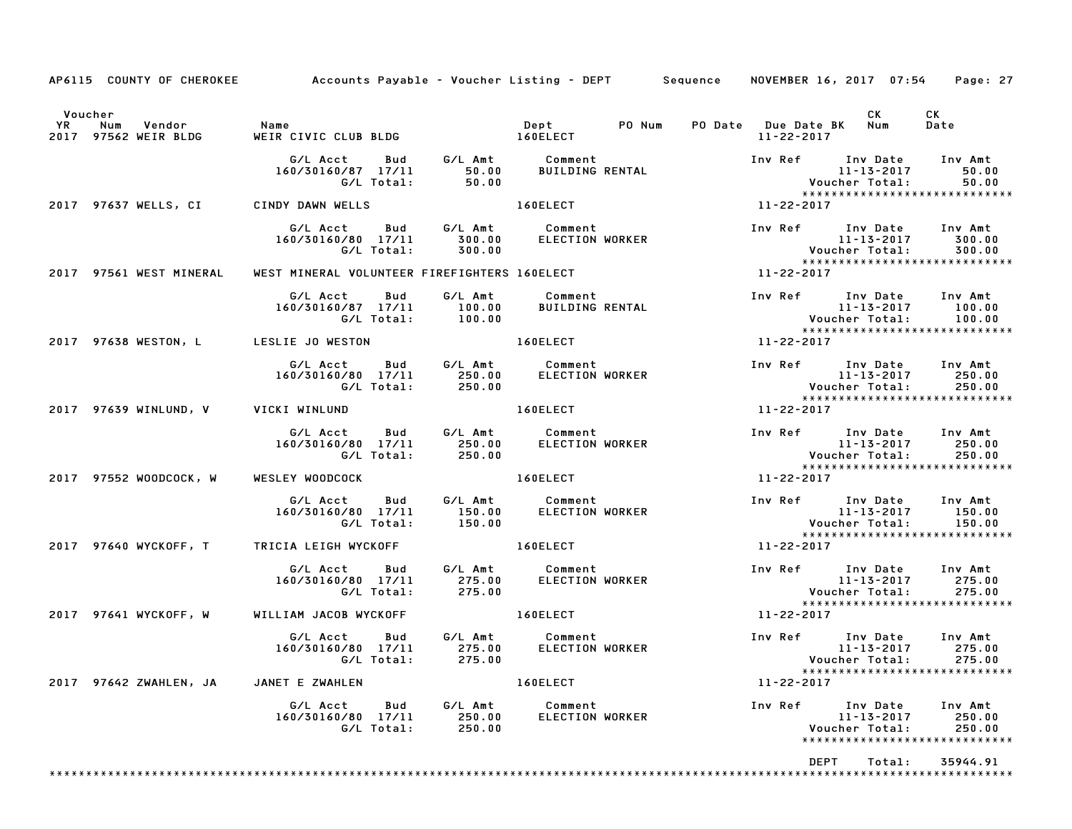| AP6115 COUNTY OF CHEROKEE Accounts Payable - Voucher Listing - DEPT Sequence |                                                                                                       |                  |                                                        |        |                  |                  | NOVEMBER 16, 2017 07:54                                                                                                            | Page: 27                    |
|------------------------------------------------------------------------------|-------------------------------------------------------------------------------------------------------|------------------|--------------------------------------------------------|--------|------------------|------------------|------------------------------------------------------------------------------------------------------------------------------------|-----------------------------|
| Voucher<br><b>YR</b><br>Num Vendor<br>2017 97562 WEIR BLDG                   | Name<br>WEIR CIVIC CLUB BLDG                                                                          |                  | Dept<br>160ELECT                                       | PO Num |                  | 11-22-2017       | CK .<br>PO Date Due Date BK Num                                                                                                    | CK<br>Date                  |
|                                                                              | G/L Acct Bud<br>160/30160/87 17/11<br>G/L Total:                                                      | 50.00<br>50.00   | G/L Amt Comment<br>50.00 BUILDING I<br>BUILDING RENTAL |        |                  |                  | Inv Ref Inv Date<br>11-13-2017<br>Voucher Total:<br>Voucher Total:<br>Voucher Total:                                               | Inv Amt<br>50.00<br>50.00   |
| 2017 97637 WELLS, CI CINDY DAWN WELLS                                        |                                                                                                       |                  | <b>160ELECT</b>                                        |        |                  | 11-22-2017       |                                                                                                                                    |                             |
|                                                                              | G/L Acct Bud G/L Amt Comment<br>160/30160/80 17/11<br>G/L Total:                                      | 300.00<br>300.00 | ELECTION WORKER                                        |        |                  |                  | Inv Ref Inv Date Inv Amt<br>11-13-2017                                                                                             | 300.00                      |
| 2017 97561 WEST MINERAL                                                      | WEST MINERAL VOLUNTEER FIREFIGHTERS 160ELECT                                                          |                  |                                                        |        | $11 - 22 - 2017$ |                  |                                                                                                                                    |                             |
|                                                                              | G/L Acct<br><b>Bud</b><br>$160/30160/87$ $17/11$ $100.00$<br>G/L Total: $100.00$                      | G/L Amt          | Comment<br><b>BUILDING RENTAL</b>                      |        |                  |                  | Inv Ref Inv Date Inv Amt<br>11-13-2017 100.00<br>11-13-2017<br>Voucher Total:<br>*****************************                     | 100.00<br>100.00            |
| 2017 97638 WESTON, L                                                         | LESLIE JO WESTON                                                                                      |                  | 160ELECT <b>New York 160ELECT</b>                      |        |                  | $11 - 22 - 2017$ |                                                                                                                                    |                             |
|                                                                              | G/L Acct Bud G/L Amt Comment<br>160/30160/80 17/11 250.00 ELECTION WORKER<br>G/L Total: 250.00        |                  |                                                        |        |                  |                  | Inv Ref Inv Date Inv Amt<br>11-13-2017 250.00<br>Voucher Total: 250.00<br>*******************************                          |                             |
| 2017 97639 WINLUND, V VICKI WINLUND                                          |                                                                                                       |                  | 160ELECT                                               |        |                  | 11-22-2017       |                                                                                                                                    |                             |
|                                                                              | G/L Acct  Bud  G/L Amt  Comment<br>160/30160/80  17/11  250.00  ELECTION WORKER<br>G/L Total:  250.00 |                  |                                                        |        |                  |                  | Inv Ref       Inv Date     Inv Amt<br>11-13-2017           250.00<br>11-13-2017<br>:Voucher Total<br>***************************** | 250.00                      |
| 2017 97552 WOODCOCK, W                                                       | WESLEY WOODCOCK                                                                                       |                  | 160ELECT                                               |        |                  | 11-22-2017       |                                                                                                                                    |                             |
|                                                                              |                                                                                                       |                  |                                                        |        |                  |                  | Inv Ref       Inv Date     Inv Amt<br>11-13-2017         150.00<br>Voucher Total:<br>*****************************                 | 150.00<br>150.00            |
| 2017 97640 WYCKOFF, T                                                        | TRICIA LEIGH WYCKOFF                                                                                  |                  | 160ELECT <b>New York 160ELECT</b>                      |        |                  | $11 - 22 - 2017$ |                                                                                                                                    |                             |
|                                                                              | 160/30160/80 17/11 275.00<br>G/L Total: 275.00                                                        |                  | ELECTION WORKER                                        |        |                  |                  | Inv Ref 1nv Date Inv Amt<br>11-13-2017 275.00<br>Voucher Total: 275.00<br>*****************************                            |                             |
| 2017 97641 WYCKOFF, W WILLIAM JACOB WYCKOFF 160ELECT                         |                                                                                                       |                  |                                                        |        |                  | 11-22-2017       |                                                                                                                                    |                             |
|                                                                              | 160/30160/80 17/11                                                                                    |                  |                                                        |        |                  |                  | Inv Ref       Inv Date     Inv Amt<br>11-13-2017            275.00<br><b>Voucher Total:</b><br>*****************************       | 275.00                      |
| 2017 97642 ZWAHLEN, JA                                                       | JANET E ZWAHLEN                                                                                       |                  | 160ELECT                                               |        |                  | 11-22-2017       |                                                                                                                                    |                             |
|                                                                              | <b>Bud</b><br>G/L Acct<br>160/30160/80 17/11 250.00<br>G/L Total: 250.00                              |                  | G/L Amt Comment<br>250.00 ELECTION<br>ELECTION WORKER  |        |                  |                  | Inv Ref Inv Date<br>11-13-2017<br>Voucher Total:<br>*****************************                                                  | Inv Amt<br>250.00<br>250.00 |
|                                                                              |                                                                                                       |                  |                                                        |        |                  |                  | <b>DEPT</b><br>Total:                                                                                                              | 35944.91                    |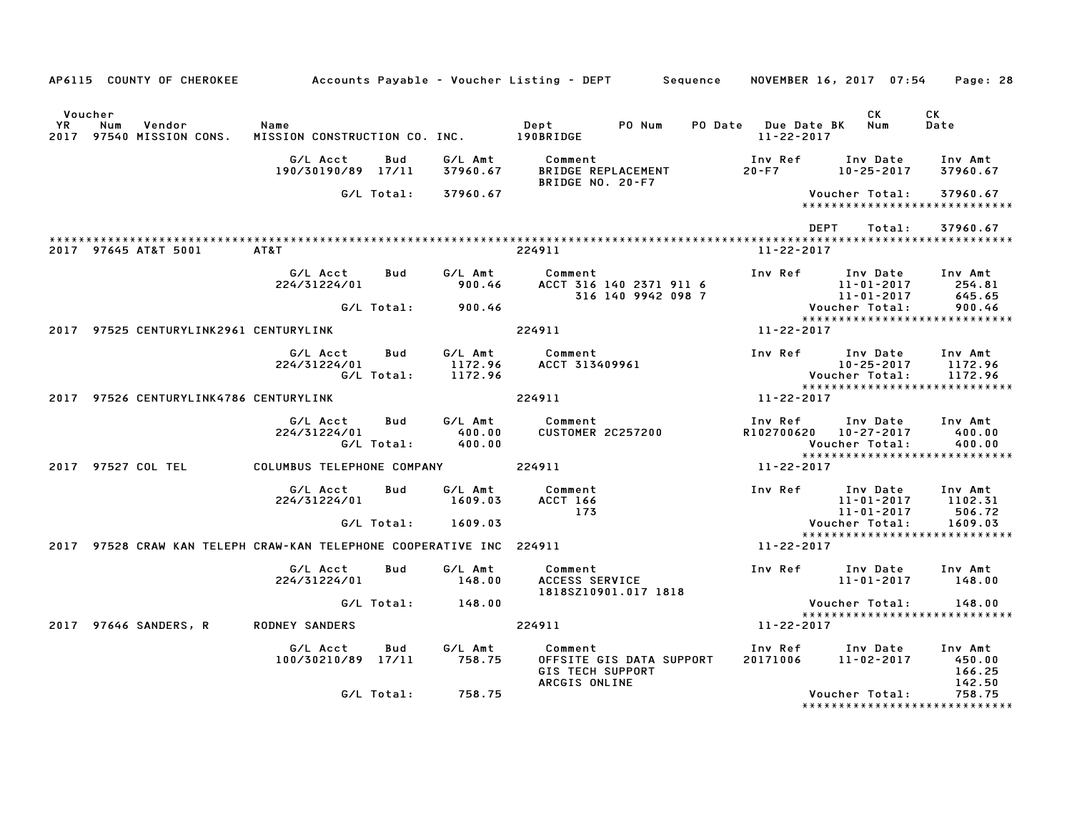|               | AP6115 COUNTY OF CHEROKEE                                            |                                       |                   |                               | Accounts Payable – Voucher Listing – DEPT           Sequence |                                               |                                   | NOVEMBER 16, 2017 07:54                 |                              | Page: 28                                                     |
|---------------|----------------------------------------------------------------------|---------------------------------------|-------------------|-------------------------------|--------------------------------------------------------------|-----------------------------------------------|-----------------------------------|-----------------------------------------|------------------------------|--------------------------------------------------------------|
| Voucher<br>YR | Num<br>Vendor<br>2017 97540 MISSION CONS.                            | Name<br>MISSION CONSTRUCTION CO. INC. |                   |                               | Dept<br>190BRIDGE                                            | PO Num                                        | PO Date Due Date BK<br>11-22-2017 |                                         | CK<br>Num                    | <b>CK</b><br>Date                                            |
|               |                                                                      | G/L Acct<br>190/30190/89 17/11        | Bud               | G/L Amt<br>37960.67           | Comment<br><b>BRIDGE REPLACEMENT</b>                         |                                               | Inv Ref<br>$20 - F7$              |                                         | Inv Date<br>$10 - 25 - 2017$ | Inv Amt<br>37960.67                                          |
|               |                                                                      |                                       | G/L Total:        | 37960.67                      | BRIDGE NO. 20-F7                                             |                                               |                                   | Voucher Total:                          |                              | 37960.67<br>******************************                   |
|               |                                                                      |                                       |                   |                               |                                                              |                                               |                                   | <b>DEPT</b>                             | Total:                       | 37960.67                                                     |
|               | 2017 97645 AT&T 5001                                                 | AT&T                                  |                   |                               | 224911                                                       |                                               | $11 - 22 - 2017$                  |                                         |                              |                                                              |
|               |                                                                      | G/L Acct<br>224/31224/01              | Bud               | G/L Amt<br>900.46             | Comment                                                      | ACCT 316 140 2371 911 6<br>316 140 9942 098 7 | Inv Ref                           | 11-01-2017                              | Inv Date<br>11-01-2017       | Inv Amt<br>254.81<br>645.65                                  |
|               |                                                                      |                                       | G/L Total:        | 900.46                        |                                                              |                                               |                                   | Voucher Total:                          |                              | 900.46<br>*****************************                      |
|               | 2017 97525 CENTURYLINK2961 CENTURYLINK                               |                                       |                   |                               | 224911                                                       |                                               | 11-22-2017                        |                                         |                              |                                                              |
|               |                                                                      | G/L Acct<br>224/31224/01              | Bud<br>G/L Total: | G/L Amt<br>1172.96<br>1172.96 | Comment<br>ACCT 313409961                                    |                                               | Inv Ref                           | Voucher Total:                          | Inv Date<br>$10 - 25 - 2017$ | Inv Amt<br>1172.96<br>1172.96                                |
|               | 2017 97526 CENTURYLINK4786 CENTURYLINK                               |                                       |                   |                               | 224911                                                       |                                               | 11-22-2017                        |                                         |                              | *****************************                                |
|               |                                                                      | G/L Acct<br>224/31224/01              | Bud<br>G/L Total: | G/L Amt<br>400.00<br>400.00   | Comment<br><b>CUSTOMER 2C257200</b>                          |                                               | Inv Ref                           | R102700620 10-27-2017<br>Voucher Total: | Inv Date                     | Inv Amt<br>400.00<br>400.00<br>***************************** |
|               | 2017 97527 COL TEL                                                   | COLUMBUS TELEPHONE COMPANY            |                   |                               | 224911                                                       |                                               | $11 - 22 - 2017$                  |                                         |                              |                                                              |
|               |                                                                      | G/L Acct<br>224/31224/01              | Bud               | G/L Amt<br>1609.03            | Comment<br>ACCT 166<br>173                                   |                                               | Inv Ref                           | 11-01-2017                              | Inv Date<br>11-01-2017       | Inv Amt<br>1102.31<br>506.72                                 |
|               |                                                                      |                                       | G/L Total:        | 1609.03                       |                                                              |                                               |                                   | Voucher Total:                          |                              | 1609.03<br>*****************************                     |
|               | 2017 97528 CRAW KAN TELEPH CRAW-KAN TELEPHONE COOPERATIVE INC 224911 |                                       |                   |                               |                                                              |                                               | $11 - 22 - 2017$                  |                                         |                              |                                                              |
|               |                                                                      | G/L Acct<br>224/31224/01              | Bud               | G/L Amt<br>148.00             | Comment<br>ACCESS SERVICE                                    | 1818SZ10901.017 1818                          | Inv Ref                           | Inv Date                                | 11-01-2017                   | Inv Amt<br>148.00                                            |
|               |                                                                      |                                       | G/L Total:        | 148.00                        |                                                              |                                               |                                   | Voucher Total:                          |                              | 148.00<br>*****************************                      |
|               | 2017 97646 SANDERS, R                                                | <b>RODNEY SANDERS</b>                 |                   |                               | 224911                                                       |                                               | 11-22-2017                        |                                         |                              |                                                              |
|               |                                                                      | G/L Acct<br>100/30210/89 17/11        | Bud               | G/L Amt<br>758.75             | Comment<br><b>GIS TECH SUPPORT</b><br>ARCGIS ONLINE          | OFFSITE GIS DATA SUPPORT                      | Inv Ref<br>20171006               | $11 - 02 - 2017$                        | Inv Date                     | Inv Amt<br>450.00<br>166.25<br>142.50                        |
|               |                                                                      |                                       | G/L Total:        | 758.75                        |                                                              |                                               |                                   | Voucher Total:                          |                              | 758.75<br>*****************************                      |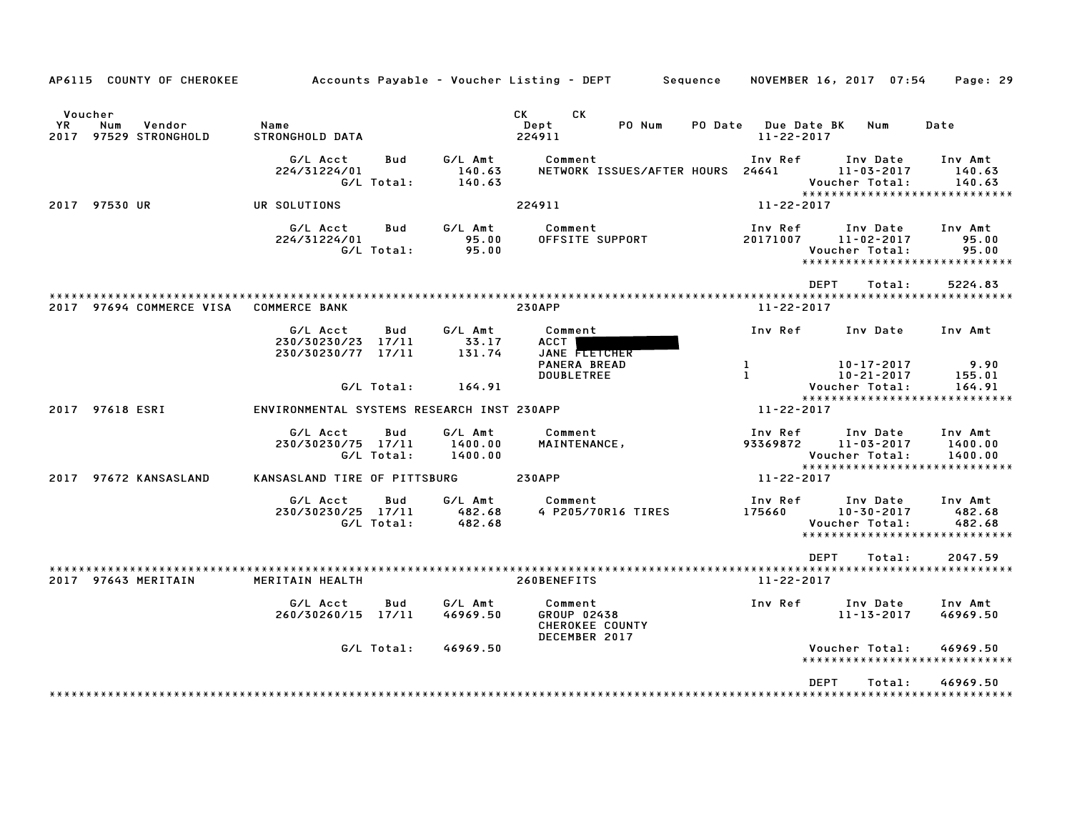| AP6115 COUNTY OF CHEROKEE                                   |                                                      |                            |                               | Accounts Payable – Voucher Listing – DEPT                  | Sequence                           | NOVEMBER 16, 2017 07:54                                                         | Page: 29                      |
|-------------------------------------------------------------|------------------------------------------------------|----------------------------|-------------------------------|------------------------------------------------------------|------------------------------------|---------------------------------------------------------------------------------|-------------------------------|
| Voucher<br>YR.<br>Vendor<br>Num<br>97529 STRONGHOLD<br>2017 | Name<br><b>STRONGHOLD DATA</b>                       |                            |                               | СK<br>CK .<br>Dept<br>PO Num<br>224911                     | <b>PO Date</b><br>$11 - 22 - 2017$ | <b>Due Date BK</b><br>Num                                                       | Date                          |
|                                                             | G/L Acct<br>224/31224/01                             | Bud<br>G/L Total:          | G/L Amt<br>140.63<br>140.63   | Comment<br>NETWORK ISSUES/AFTER HOURS                      | Inv Ref<br>24641                   | Inv Date<br>$11 - 03 - 2017$<br>Voucher Total:<br>***************************** | Inv Amt<br>140.63<br>140.63   |
| 2017 97530 UR                                               | UR SOLUTIONS                                         |                            |                               | 224911                                                     | $11 - 22 - 2017$                   |                                                                                 |                               |
|                                                             | G/L Acct<br>224/31224/01                             | Bud<br>G/L Total:          | G/L Amt<br>95.00<br>95.00     | Comment<br>OFFSITE SUPPORT                                 | Inv Ref<br>20171007                | Inv Date<br>$11 - 02 - 2017$<br>Voucher Total:<br>***************************** | Inv Amt<br>95.00<br>95.00     |
|                                                             |                                                      |                            |                               |                                                            |                                    | <b>DEPT</b><br>Total:                                                           | 5224.83                       |
| 2017 97694 COMMERCE VISA                                    | <b>COMMERCE BANK</b>                                 |                            |                               | <b>230APP</b>                                              | $11 - 22 - 2017$                   |                                                                                 |                               |
|                                                             | G/L Acct<br>230/30230/23 17/11<br>230/30230/77 17/11 | Bud                        | G/L Amt<br>33.17<br>131.74    | Comment<br>ACCT<br>JANE FLETCHER                           | Inv Ref                            | Inv Date                                                                        | Inv Amt                       |
|                                                             |                                                      | G/L Total:                 | 164.91                        | <b>PANERA BREAD</b><br><b>DOUBLETREE</b>                   | $\mathbf{1}$<br>$\mathbf{L}$       | 10-17-2017<br>$10 - 21 - 2017$<br>Voucher Total:                                | 9.90<br>155.01<br>164.91      |
| 2017 97618 ESRI                                             | ENVIRONMENTAL SYSTEMS RESEARCH INST 230APP           |                            |                               |                                                            | 11-22-2017                         | *****************************                                                   |                               |
|                                                             | G/L Acct<br>230/30230/75 17/11                       | Bud<br>G/L Total:          | G/L Amt<br>1400.00<br>1400.00 | Comment<br>MAINTENANCE,                                    | Inv Ref<br>93369872                | Inv Date<br>$11 - 03 - 2017$<br>Voucher Total:                                  | Inv Amt<br>1400.00<br>1400.00 |
| 2017 97672 KANSASLAND                                       | KANSASLAND TIRE OF PITTSBURG                         |                            |                               | <b>230APP</b>                                              | 11-22-2017                         | ****************************                                                    |                               |
|                                                             | G/L Acct<br>230/30230/25                             | Bud<br>17/11<br>G/L Total: | G/L Amt<br>482.68<br>482.68   | Comment<br>4 P205/70R16 TIRES                              | Inv Ref<br>175660                  | Inv Date<br>$10 - 30 - 2017$<br>Voucher Total:<br>***************************** | Inv Amt<br>482.68<br>482.68   |
|                                                             |                                                      |                            |                               |                                                            |                                    | <b>DEPT</b><br>Total:                                                           | 2047.59                       |
| 2017 97643 MERITAIN                                         | MERITAIN HEALTH                                      |                            |                               | 260BENEFITS                                                | 11-22-2017                         |                                                                                 |                               |
|                                                             | G/L Acct<br>260/30260/15 17/11                       | Bud                        | G/L Amt<br>46969.50           | Comment<br>GROUP 02438<br>CHEROKEE COUNTY<br>DECEMBER 2017 | Inv Ref                            | Inv Date<br>$11 - 13 - 2017$                                                    | Inv Amt<br>46969.50           |
|                                                             |                                                      | G/L Total:                 | 46969.50                      |                                                            |                                    | Voucher Total:<br>******************************                                | 46969.50                      |
|                                                             |                                                      |                            |                               |                                                            |                                    | <b>DEPT</b><br>Total:                                                           | 46969.50                      |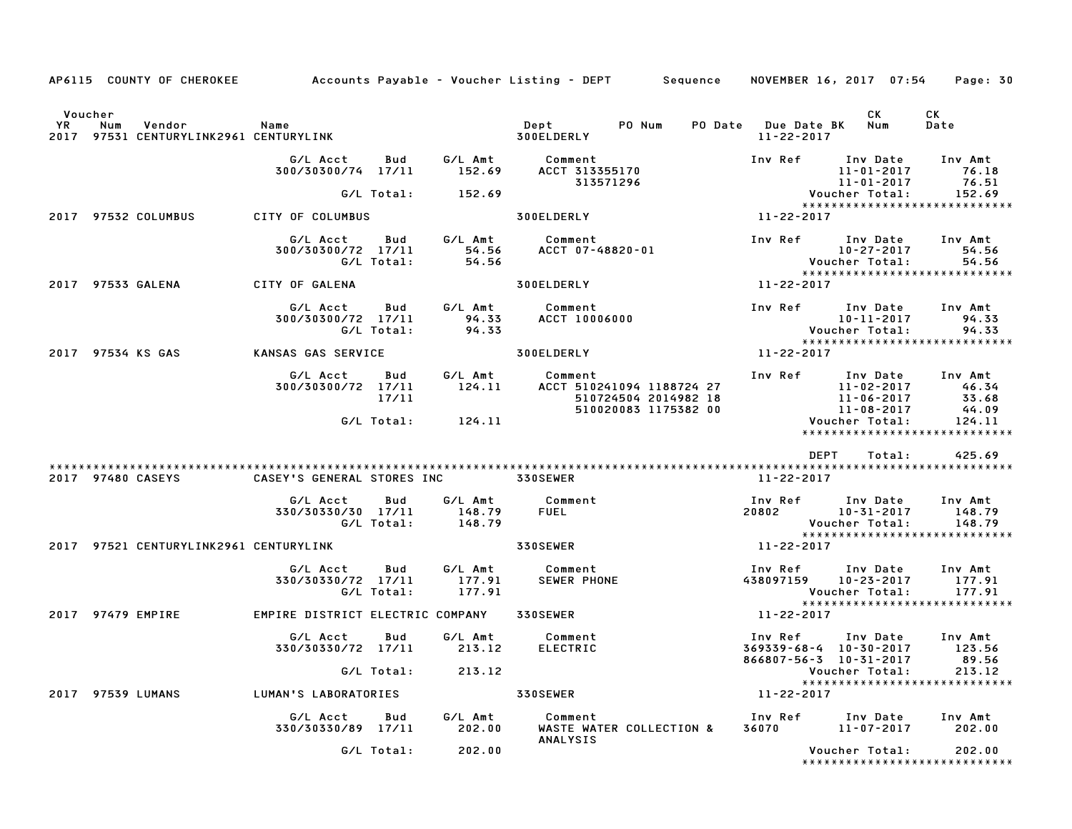|                      |     | AP6115 COUNTY OF CHEROKEE                        |                                           |                   |                             | Accounts Payable – Voucher Listing – DEPT         Sequence     NOVEMBER 16, 2017  07:54 |                                                                   |                                                      | Page: 30                                                     |
|----------------------|-----|--------------------------------------------------|-------------------------------------------|-------------------|-----------------------------|-----------------------------------------------------------------------------------------|-------------------------------------------------------------------|------------------------------------------------------|--------------------------------------------------------------|
| Voucher<br><b>YR</b> | Num | Vendor<br>2017 97531 CENTURYLINK2961 CENTURYLINK | Name                                      |                   |                             | Dept PONum<br>300ELDERLY                                                                | PO Date Due Date BK<br>11-22-2017                                 | CK<br>Num                                            | CK<br>Date                                                   |
|                      |     |                                                  | G/L Acct<br>300/30300/74 17/11            | Bud               | G/L Amt<br>152.69           | Comment<br>ACCT 313355170<br>313571296                                                  | Inv Ref Inv Date                                                  | 11-01-2017<br>11-01-2017                             | Inv Amt<br>76.18<br>76.51                                    |
|                      |     |                                                  |                                           | G/L Total:        | 152.69                      |                                                                                         |                                                                   | Voucher Total:                                       | 152.69<br>******************************                     |
|                      |     | 2017 97532 COLUMBUS                              | CITY OF COLUMBUS                          |                   |                             | <b>300ELDERLY</b>                                                                       | 11-22-2017                                                        |                                                      |                                                              |
|                      |     |                                                  | G/L Acct<br>300/30300/72 17/11            | Bud<br>G/L Total: | 54.56                       | G/L Amt Comment<br>54.56 ACCT 07-48820-01                                               | Inv Ref Inv Date<br>10-27-2017<br>:Voucher Total                  | 10-27-2017                                           | Inv Amt<br>54.56<br>54.56<br>*****************************   |
|                      |     | 2017 97533 GALENA                                | CITY OF GALENA                            |                   |                             | <b>300ELDERLY</b>                                                                       | 11-22-2017                                                        |                                                      |                                                              |
|                      |     |                                                  | G/L Acct<br>300/30300/72 17/11            | Bud<br>G/L Total: | 94.33<br>94.33              | G/L Amt Comment<br><b>ACCT 10006000</b>                                                 | Inv Ref      Inv Date                                             | 10-11-2017<br>Voucher Total:                         | Inv Amt<br>94.33<br>94.33<br>*****************************   |
|                      |     | 2017 97534 KS GAS                                | KANSAS GAS SERVICE                        |                   |                             | 300ELDERLY                                                                              | 11-22-2017                                                        |                                                      |                                                              |
|                      |     |                                                  | G/L Acct<br>300/30300/72 17/11            | Bud<br>17/11      | G/L Amt<br>124.11           | Comment<br>ACCT 510241094 1188724 27<br>510724504 2014982 18<br>510020083 1175382 00    | Inv Ref Inv Date Inv Amt                                          | 11-02-2017<br>11-02-2017<br>11-06-2017<br>11-08-2017 | 46.34<br>33.68<br>44.09                                      |
|                      |     |                                                  |                                           | G/L Total:        | 124.11                      |                                                                                         |                                                                   | Voucher Total:                                       | 124.11<br>*****************************                      |
|                      |     |                                                  |                                           |                   |                             |                                                                                         | DEPT                                                              | Total:                                               | 425.69                                                       |
|                      |     | 2017 97480 CASEYS                                | CASEY'S GENERAL STORES INC 330SEWER       |                   |                             |                                                                                         | 11-22-2017                                                        |                                                      |                                                              |
|                      |     |                                                  | G/L Acct<br>330/30330/30 17/11            | Bud<br>G/L Total: | G/L Amt<br>148.79<br>148.79 | Comment<br><b>FUEL</b>                                                                  | Inv Ref      Inv Date<br>20802                                    | 10-31-2017<br>Voucher Total:                         | Inv Amt<br>148.79<br>148.79<br>***************************** |
|                      |     | 2017 97521 CENTURYLINK2961 CENTURYLINK           |                                           |                   |                             | <b>330SEWER</b>                                                                         | 11-22-2017                                                        |                                                      |                                                              |
|                      |     |                                                  | G/L Acct<br>330/30330/72 17/11            | Bud<br>G/L Total: | G/L Amt<br>177.91<br>177.91 | Comment<br><b>SEWER PHONE</b>                                                           | Inv Ref Inv Date<br>438097159 10-23-2017                          | Voucher Total:                                       | Inv Amt<br>177.91<br>177.91                                  |
|                      |     | 2017 97479 EMPIRE                                | EMPIRE DISTRICT ELECTRIC COMPANY 330SEWER |                   |                             |                                                                                         | 11-22-2017                                                        |                                                      | *****************************                                |
|                      |     |                                                  | G/L Acct<br>330/30330/72 17/11            | Bud               | G/L Amt<br>213.12           | Comment<br><b>ELECTRIC</b>                                                              | Inv Ref<br>$369339 - 68 - 4$ 10-30-2017<br>866807-56-3 10-31-2017 | Inv Date                                             | Inv Amt<br>123.56<br>89.56                                   |
|                      |     |                                                  |                                           | G/L Total:        | 213.12                      |                                                                                         |                                                                   | Voucher Total:                                       | 213.12                                                       |
|                      |     | 2017 97539 LUMANS                                | LUMAN'S LABORATORIES                      |                   |                             | 330SEWER                                                                                | 11-22-2017                                                        |                                                      | *****************************                                |
|                      |     |                                                  | G/L Acct<br>330/30330/89 17/11            | Bud               | G/L Amt<br>202.00           | Comment<br>WASTE WATER COLLECTION &<br>ANALYSIS                                         | Inv Ref<br>36070                                                  | Inv Date<br>11-07-2017                               | Inv Amt<br>202.00                                            |
|                      |     |                                                  |                                           | G/L Total:        | 202.00                      |                                                                                         |                                                                   | Voucher Total:                                       | 202.00<br>*****************************                      |